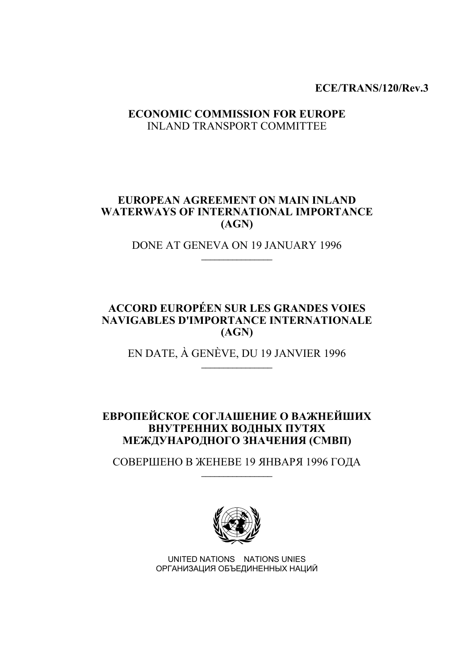**ECE/TRANS/120/Rev.3** 

## **ECONOMIC COMMISSION FOR EUROPE**  INLAND TRANSPORT COMMITTEE

## **EUROPEAN AGREEMENT ON MAIN INLAND WATERWAYS OF INTERNATIONAL IMPORTANCE (AGN)**

DONE AT GENEVA ON 19 JANUARY 1996  $\overline{\phantom{a}}$  , where  $\overline{\phantom{a}}$  , where  $\overline{\phantom{a}}$ 

## **ACCORD EUROPÉEN SUR LES GRANDES VOIES NAVIGABLES D'IMPORTANCE INTERNATIONALE (AGN)**

EN DATE, À GENÈVE, DU 19 JANVIER 1996  $\_$ 

## **ЕВРОПЕЙСКОЕ СОГЛАШЕНИЕ О ВАЖНЕЙШИХ ВНУТРЕННИХ ВОДНЫХ ПУТЯХ МЕЖДУНАРОДНОГО ЗНАЧЕНИЯ (СМВП)**

СОВЕРШЕНО В ЖЕНЕВЕ 19 ЯНВАРЯ 1996 ГОДА  $\_$ 



UNITED NATIONS NATIONS UNIES ОРГАНИЗАЦИЯ ОБЪЕДИНЕННЫХ НАЦИЙ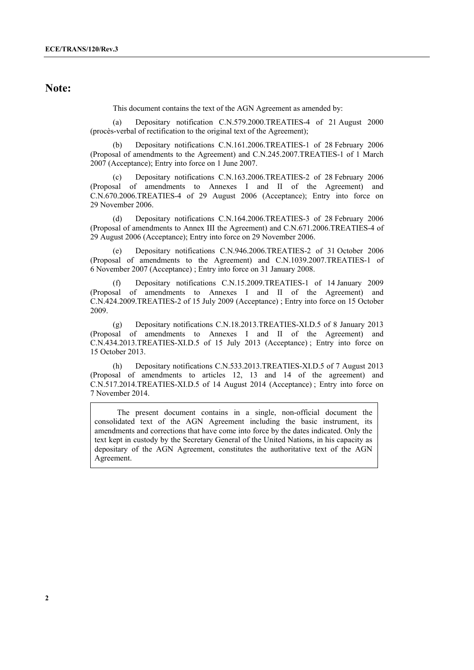## **Note:**

This document contains the text of the AGN Agreement as amended by:

 (a) Depositary notification C.N.579.2000.TREATIES-4 of 21 August 2000 (procès-verbal of rectification to the original text of the Agreement);

 (b) Depositary notifications C.N.161.2006.TREATIES-1 of 28 February 2006 (Proposal of amendments to the Agreement) and C.N.245.2007.TREATIES-1 of 1 March 2007 (Acceptance); Entry into force on 1 June 2007.

 (с) Depositary notifications C.N.163.2006.TREATIES-2 of 28 February 2006 (Proposal of amendments to Annexes I and II of the Agreement) and C.N.670.2006.TREATIES-4 of 29 August 2006 (Acceptance); Entry into force on 29 November 2006.

 (d) Depositary notifications C.N.164.2006.TREATIES-3 of 28 February 2006 (Proposal of amendments to Annex III the Agreement) and C.N.671.2006.TREATIES-4 of 29 August 2006 (Acceptance); Entry into force on 29 November 2006.

 (e) Depositary notifications C.N.946.2006.TREATIES-2 of 31 October 2006 (Proposal of amendments to the Agreement) and C.N.1039.2007.TREATIES-1 of 6 November 2007 (Acceptance) ; Entry into force on 31 January 2008.

 (f) Depositary notifications C.N.15.2009.TREATIES-1 of 14 January 2009 (Proposal of amendments to Annexes I and II of the Agreement) and C.N.424.2009.TREATIES-2 of 15 July 2009 (Acceptance) ; Entry into force on 15 October 2009.

 (g) Depositary notifications C.N.18.2013.TREATIES-XI.D.5 of 8 January 2013 (Proposal of amendments to Annexes I and II of the Agreement) and C.N.434.2013.TREATIES-XI.D.5 of 15 July 2013 (Acceptance) ; Entry into force on 15 October 2013.

 (h) Depositary notifications C.N.533.2013.TREATIES-XI.D.5 of 7 August 2013 (Proposal of amendments to articles 12, 13 and 14 of the agreement) and C.N.517.2014.TREATIES-XI.D.5 of 14 August 2014 (Acceptance) ; Entry into force on 7 November 2014.

 The present document contains in a single, non-official document the consolidated text of the AGN Agreement including the basic instrument, its amendments and corrections that have come into force by the dates indicated. Only the text kept in custody by the Secretary General of the United Nations, in his capacity as depositary of the AGN Agreement, constitutes the authoritative text of the AGN Agreement.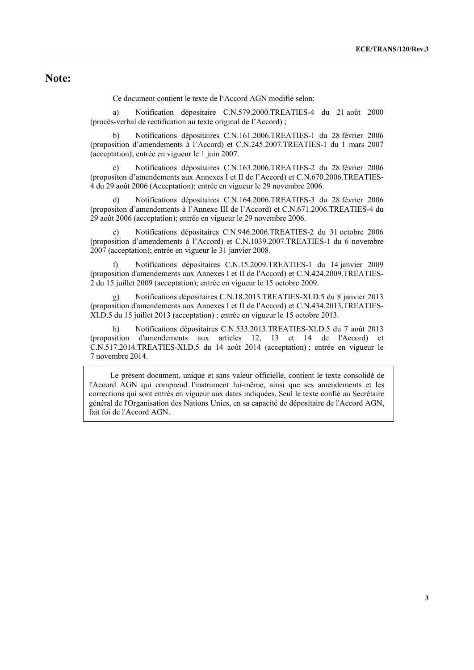## **Note:**

Ce document contient le texte de l'Accord AGN modifié selon:

 a) Notification dépositaire C.N.579.2000.TREATIES-4 du 21 août 2000 (procès-verbal de rectification au texte original de l'Accord) ;

 b) Notifications dépositaires C.N.161.2006.TREATIES-1 du 28 février 2006 (proposition d'amendements à l'Accord) et C.N.245.2007.TREATIES-1 du 1 mars 2007 (acceptation); entrée en vigueur le 1 juin 2007.

 c) Notifications dépositaires C.N.163.2006.TREATIES-2 du 28 février 2006 (propositon d'amendements aux Annexes I et II de l'Accord) et C.N.670.2006.TREATIES-4 du 29 août 2006 (Acceptation); entrée en vigueur le 29 novembre 2006.

 d) Notifications dépositaires C.N.164.2006.TREATIES-3 du 28 février 2006 (propositon d'amendements à l'Annexe III de l'Accord) et C.N.671.2006.TREATIES-4 du 29 août 2006 (acceptation); entrée en vigueur le 29 novembre 2006.

 e) Notifications dépositaires C.N.946.2006.TREATIES-2 du 31 octobre 2006 (proposition d'amendements à l'Accord) et C.N.1039.2007.TREATIES-1 du 6 novembre 2007 (acceptation); entrée en vigueur le 31 janvier 2008.

 f) Notifications dépositaires C.N.15.2009.TREATIES-1 du 14 janvier 2009 (proposition d'amendements aux Annexes I et II de l'Accord) et C.N.424.2009.TREATIES-2 du 15 juillet 2009 (acceptation); entrée en vigueur le 15 octobre 2009.

 g) Notifications dépositaires C.N.18.2013.TREATIES-XI.D.5 du 8 janvier 2013 (proposition d'amendements aux Annexes I et II de l'Accord) et C.N.434.2013.TREATIES-XI.D.5 du 15 juillet 2013 (acceptation) ; entrée en vigueur le 15 octobre 2013.

 h) Notifications dépositaires C.N.533.2013.TREATIES-XI.D.5 du 7 août 2013 (proposition d'amendements aux articles 12, 13 et 14 de l'Accord) et C.N.517.2014.TREATIES-XI.D.5 du 14 août 2014 (acceptation) ; entrée en vigueur le 7 novembre 2014.

 Le présent document, unique et sans valeur officielle, contient le texte consolidé de l'Accord AGN qui comprend l'instrument lui-même, ainsi que ses amendements et les corrections qui sont entrés en vigueur aux dates indiquées. Seul le texte confié au Secrétaire général de l'Organisation des Nations Unies, en sa capacité de dépositaire de l'Accord AGN, fait foi de l'Accord AGN.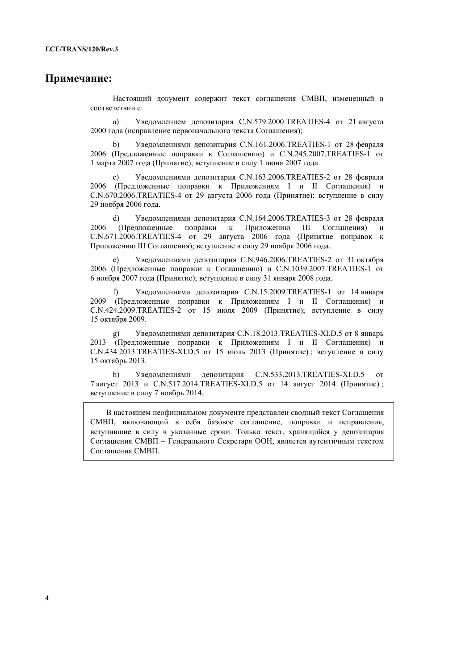## **Примечание:**

Настоящий документ содержит текст соглашения СМВП, измененный в соответствии с:

 a) Уведомлением депозитария C.N.579.2000.TREATIES-4 от 21 августа 2000 года (исправление первоначального текста Соглашения);

 b) Уведомлениями депозитария C.N.161.2006.TREATIES-1 от 28 февраля 2006 (Предложенные поправки к Соглашению) и C.N.245.2007.TREATIES-1 от 1 марта 2007 года (Принятие); вступление в силу 1 июня 2007 года.

 c) Уведомлениями депозитария C.N.163.2006.TREATIES-2 от 28 февраля 2006 (Предложенные поправки к Приложениям I и II Соглашения) и C.N.670.2006.TREATIES-4 от 29 августа 2006 года (Принятие); вступление в силу 29 ноября 2006 года.

 d) Уведомлениями депозитария C.N.164.2006.TREATIES-3 от 28 февраля 2006 (Предложенные поправки к Приложению III Соглашения) и C.N.671.2006.TREATIES-4 от 29 августа 2006 года (Принятие поправок к Приложению III Соглашения); вступление в силу 29 ноября 2006 года.

 e) Уведомлениями депозитария C.N.946.2006.TREATIES-2 от 31 октября 2006 (Предложенные поправки к Соглашению) и C.N.1039.2007.TREATIES-1 от 6 ноября 2007 года (Принятие); вступление в силу 31 января 2008 года.

 f) Уведомлениями депозитария C.N.15.2009.TREATIES-1 от 14 января 2009 (Предложенные поправки к Приложениям I и II Соглашения) и C.N.424.2009.TREATIES-2 от 15 июля 2009 (Принятие); вступление в силу 15 октября 2009.

 g) Уведомлениями депозитария C.N.18.2013.TREATIES-XI.D.5 от 8 январь 2013 (Предложенные поправки к Приложениям I и II Соглашения) и C.N.434.2013.TREATIES-XI.D.5 от 15 июль 2013 (Принятие) ; вступление в силу 15 октябрь 2013.

 h) Уведомлениями депозитария C.N.533.2013.TREATIES-XI.D.5 от 7 август 2013 и C.N.517.2014.TREATIES-XI.D.5 от 14 август 2014 (Принятие) ; вступление в силу 7 ноябрь 2014.

В настоящем неофициальном документе представлен сводный текст Соглашения СМВП, включающий в себя базовое соглашение, поправки и исправления, вступившие в силу в указанные сроки. Только текст, хранящийся у депозитария Соглашения СМВП – Генерального Секретаря ООН, является аутентичным текстом Соглашения СМВП.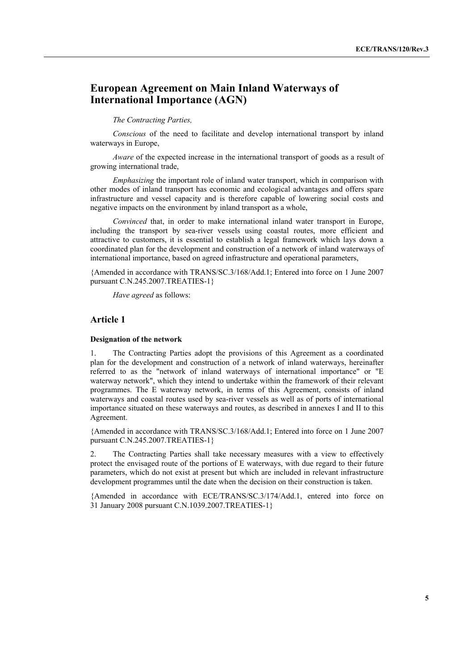## **European Agreement on Main Inland Waterways of International Importance (AGN)**

#### *The Contracting Parties,*

 *Conscious* of the need to facilitate and develop international transport by inland waterways in Europe,

 *Aware* of the expected increase in the international transport of goods as a result of growing international trade,

 *Emphasizing* the important role of inland water transport, which in comparison with other modes of inland transport has economic and ecological advantages and offers spare infrastructure and vessel capacity and is therefore capable of lowering social costs and negative impacts on the environment by inland transport as a whole,

 *Convinced* that, in order to make international inland water transport in Europe, including the transport by sea-river vessels using coastal routes, more efficient and attractive to customers, it is essential to establish a legal framework which lays down a coordinated plan for the development and construction of a network of inland waterways of international importance, based on agreed infrastructure and operational parameters,

{Amended in accordance with TRANS/SC.3/168/Add.1; Entered into force on 1 June 2007 pursuant C.N.245.2007.TREATIES-1}

 *Have agreed* as follows:

#### **Article 1**

#### **Designation of the network**

1. The Contracting Parties adopt the provisions of this Agreement as a coordinated plan for the development and construction of a network of inland waterways, hereinafter referred to as the "network of inland waterways of international importance" or "E waterway network", which they intend to undertake within the framework of their relevant programmes. The E waterway network, in terms of this Agreement, consists of inland waterways and coastal routes used by sea-river vessels as well as of ports of international importance situated on these waterways and routes, as described in annexes I and II to this Agreement.

{Amended in accordance with TRANS/SC.3/168/Add.1; Entered into force on 1 June 2007 pursuant C.N.245.2007.TREATIES-1}

2. The Contracting Parties shall take necessary measures with a view to effectively protect the envisaged route of the portions of E waterways, with due regard to their future parameters, which do not exist at present but which are included in relevant infrastructure development programmes until the date when the decision on their construction is taken.

{Amended in accordance with ECE/TRANS/SC.3/174/Add.1, entered into force on 31 January 2008 pursuant C.N.1039.2007.TREATIES-1}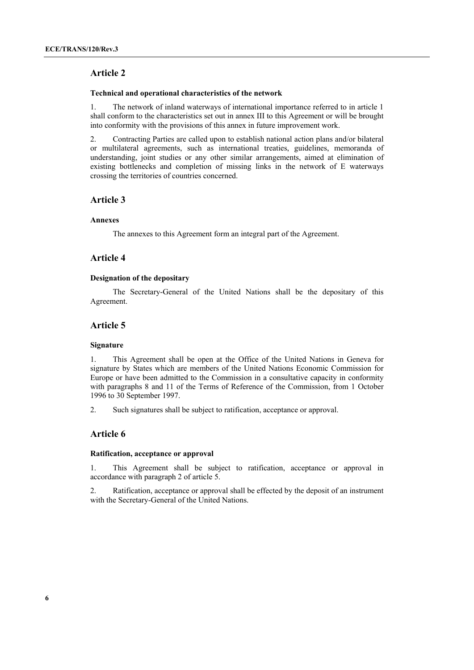#### **Technical and operational characteristics of the network**

1. The network of inland waterways of international importance referred to in article 1 shall conform to the characteristics set out in annex III to this Agreement or will be brought into conformity with the provisions of this annex in future improvement work.

2. Contracting Parties are called upon to establish national action plans and/or bilateral or multilateral agreements, such as international treaties, guidelines, memoranda of understanding, joint studies or any other similar arrangements, aimed at elimination of existing bottlenecks and completion of missing links in the network of E waterways crossing the territories of countries concerned.

#### **Article 3**

#### **Annexes**

The annexes to this Agreement form an integral part of the Agreement.

## **Article 4**

#### **Designation of the depositary**

 The Secretary-General of the United Nations shall be the depositary of this Agreement.

## **Article 5**

#### **Signature**

1. This Agreement shall be open at the Office of the United Nations in Geneva for signature by States which are members of the United Nations Economic Commission for Europe or have been admitted to the Commission in a consultative capacity in conformity with paragraphs 8 and 11 of the Terms of Reference of the Commission, from 1 October 1996 to 30 September 1997.

2. Such signatures shall be subject to ratification, acceptance or approval.

### **Article 6**

#### **Ratification, acceptance or approval**

1. This Agreement shall be subject to ratification, acceptance or approval in accordance with paragraph 2 of article 5.

2. Ratification, acceptance or approval shall be effected by the deposit of an instrument with the Secretary-General of the United Nations.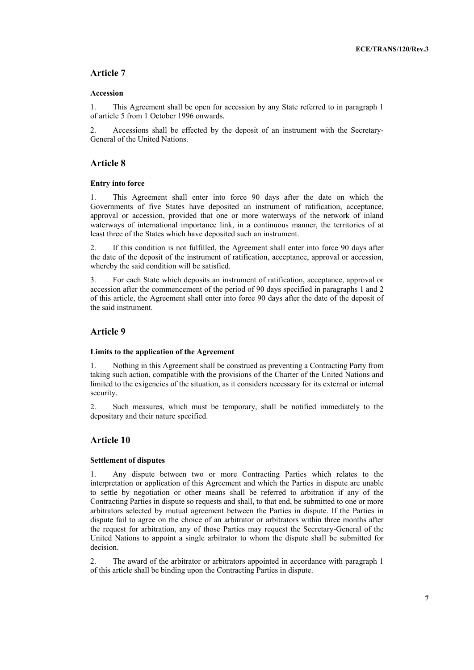#### **Accession**

1. This Agreement shall be open for accession by any State referred to in paragraph 1 of article 5 from 1 October 1996 onwards.

2. Accessions shall be effected by the deposit of an instrument with the Secretary-General of the United Nations.

## **Article 8**

#### **Entry into force**

1. This Agreement shall enter into force 90 days after the date on which the Governments of five States have deposited an instrument of ratification, acceptance, approval or accession, provided that one or more waterways of the network of inland waterways of international importance link, in a continuous manner, the territories of at least three of the States which have deposited such an instrument.

2. If this condition is not fulfilled, the Agreement shall enter into force 90 days after the date of the deposit of the instrument of ratification, acceptance, approval or accession, whereby the said condition will be satisfied.

3. For each State which deposits an instrument of ratification, acceptance, approval or accession after the commencement of the period of 90 days specified in paragraphs 1 and 2 of this article, the Agreement shall enter into force 90 days after the date of the deposit of the said instrument.

### **Article 9**

#### **Limits to the application of the Agreement**

1. Nothing in this Agreement shall be construed as preventing a Contracting Party from taking such action, compatible with the provisions of the Charter of the United Nations and limited to the exigencies of the situation, as it considers necessary for its external or internal security.

2. Such measures, which must be temporary, shall be notified immediately to the depositary and their nature specified.

### **Article 10**

#### **Settlement of disputes**

1. Any dispute between two or more Contracting Parties which relates to the interpretation or application of this Agreement and which the Parties in dispute are unable to settle by negotiation or other means shall be referred to arbitration if any of the Contracting Parties in dispute so requests and shall, to that end, be submitted to one or more arbitrators selected by mutual agreement between the Parties in dispute. If the Parties in dispute fail to agree on the choice of an arbitrator or arbitrators within three months after the request for arbitration, any of those Parties may request the Secretary-General of the United Nations to appoint a single arbitrator to whom the dispute shall be submitted for decision.

2. The award of the arbitrator or arbitrators appointed in accordance with paragraph 1 of this article shall be binding upon the Contracting Parties in dispute.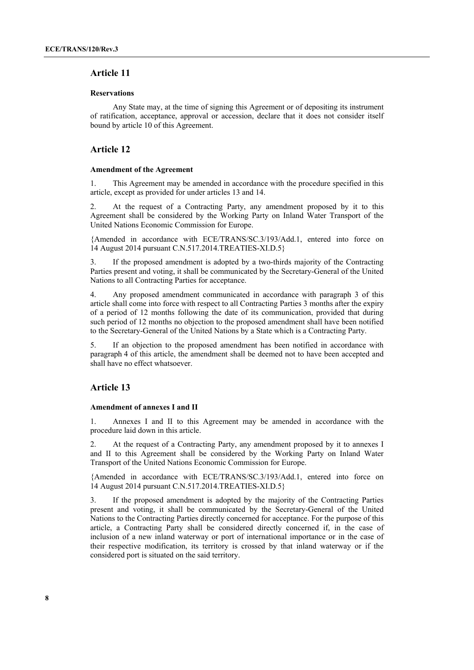#### **Reservations**

 Any State may, at the time of signing this Agreement or of depositing its instrument of ratification, acceptance, approval or accession, declare that it does not consider itself bound by article 10 of this Agreement.

#### **Article 12**

#### **Amendment of the Agreement**

1. This Agreement may be amended in accordance with the procedure specified in this article, except as provided for under articles 13 and 14.

2. At the request of a Contracting Party, any amendment proposed by it to this Agreement shall be considered by the Working Party on Inland Water Transport of the United Nations Economic Commission for Europe.

{Amended in accordance with ECE/TRANS/SC.3/193/Add.1, entered into force on 14 August 2014 pursuant C.N.517.2014.TREATIES-XI.D.5}

3. If the proposed amendment is adopted by a two-thirds majority of the Contracting Parties present and voting, it shall be communicated by the Secretary-General of the United Nations to all Contracting Parties for acceptance.

4. Any proposed amendment communicated in accordance with paragraph 3 of this article shall come into force with respect to all Contracting Parties 3 months after the expiry of a period of 12 months following the date of its communication, provided that during such period of 12 months no objection to the proposed amendment shall have been notified to the Secretary-General of the United Nations by a State which is a Contracting Party.

5. If an objection to the proposed amendment has been notified in accordance with paragraph 4 of this article, the amendment shall be deemed not to have been accepted and shall have no effect whatsoever.

## **Article 13**

#### **Amendment of annexes I and II**

1. Annexes I and II to this Agreement may be amended in accordance with the procedure laid down in this article.

2. At the request of a Contracting Party, any amendment proposed by it to annexes I and II to this Agreement shall be considered by the Working Party on Inland Water Transport of the United Nations Economic Commission for Europe.

{Amended in accordance with ECE/TRANS/SC.3/193/Add.1, entered into force on 14 August 2014 pursuant C.N.517.2014.TREATIES-XI.D.5}

3. If the proposed amendment is adopted by the majority of the Contracting Parties present and voting, it shall be communicated by the Secretary-General of the United Nations to the Contracting Parties directly concerned for acceptance. For the purpose of this article, a Contracting Party shall be considered directly concerned if, in the case of inclusion of a new inland waterway or port of international importance or in the case of their respective modification, its territory is crossed by that inland waterway or if the considered port is situated on the said territory.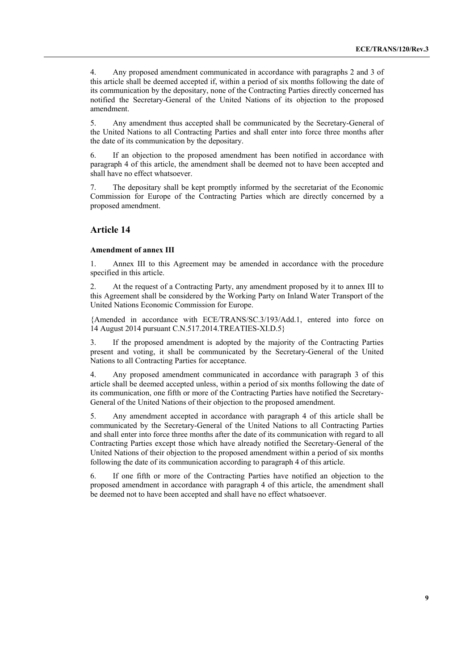4. Any proposed amendment communicated in accordance with paragraphs 2 and 3 of this article shall be deemed accepted if, within a period of six months following the date of its communication by the depositary, none of the Contracting Parties directly concerned has notified the Secretary-General of the United Nations of its objection to the proposed amendment.

5. Any amendment thus accepted shall be communicated by the Secretary-General of the United Nations to all Contracting Parties and shall enter into force three months after the date of its communication by the depositary.

6. If an objection to the proposed amendment has been notified in accordance with paragraph 4 of this article, the amendment shall be deemed not to have been accepted and shall have no effect whatsoever.

7. The depositary shall be kept promptly informed by the secretariat of the Economic Commission for Europe of the Contracting Parties which are directly concerned by a proposed amendment.

#### **Article 14**

#### **Amendment of annex III**

1. Annex III to this Agreement may be amended in accordance with the procedure specified in this article.

2. At the request of a Contracting Party, any amendment proposed by it to annex III to this Agreement shall be considered by the Working Party on Inland Water Transport of the United Nations Economic Commission for Europe.

{Amended in accordance with ECE/TRANS/SC.3/193/Add.1, entered into force on 14 August 2014 pursuant C.N.517.2014.TREATIES-XI.D.5}

3. If the proposed amendment is adopted by the majority of the Contracting Parties present and voting, it shall be communicated by the Secretary-General of the United Nations to all Contracting Parties for acceptance.

4. Any proposed amendment communicated in accordance with paragraph 3 of this article shall be deemed accepted unless, within a period of six months following the date of its communication, one fifth or more of the Contracting Parties have notified the Secretary-General of the United Nations of their objection to the proposed amendment.

5. Any amendment accepted in accordance with paragraph 4 of this article shall be communicated by the Secretary-General of the United Nations to all Contracting Parties and shall enter into force three months after the date of its communication with regard to all Contracting Parties except those which have already notified the Secretary-General of the United Nations of their objection to the proposed amendment within a period of six months following the date of its communication according to paragraph 4 of this article.

6. If one fifth or more of the Contracting Parties have notified an objection to the proposed amendment in accordance with paragraph 4 of this article, the amendment shall be deemed not to have been accepted and shall have no effect whatsoever.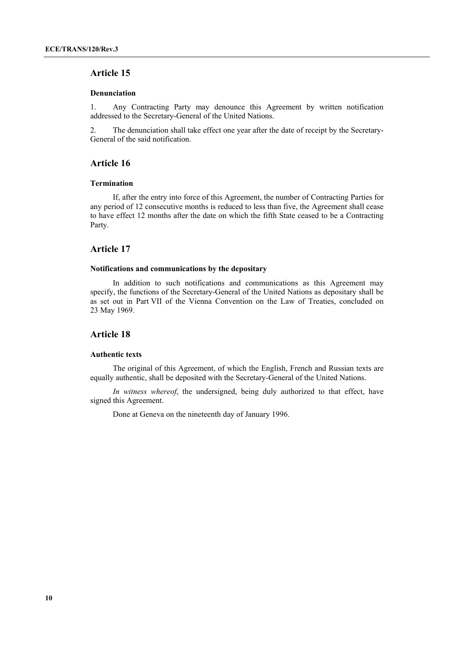#### **Denunciation**

1. Any Contracting Party may denounce this Agreement by written notification addressed to the Secretary-General of the United Nations.

2. The denunciation shall take effect one year after the date of receipt by the Secretary-General of the said notification.

## **Article 16**

#### **Termination**

 If, after the entry into force of this Agreement, the number of Contracting Parties for any period of 12 consecutive months is reduced to less than five, the Agreement shall cease to have effect 12 months after the date on which the fifth State ceased to be a Contracting Party.

#### **Article 17**

#### **Notifications and communications by the depositary**

 In addition to such notifications and communications as this Agreement may specify, the functions of the Secretary-General of the United Nations as depositary shall be as set out in Part VII of the Vienna Convention on the Law of Treaties, concluded on 23 May 1969.

#### **Article 18**

#### **Authentic texts**

 The original of this Agreement, of which the English, French and Russian texts are equally authentic, shall be deposited with the Secretary-General of the United Nations.

*In witness whereof*, the undersigned, being duly authorized to that effect, have signed this Agreement.

Done at Geneva on the nineteenth day of January 1996.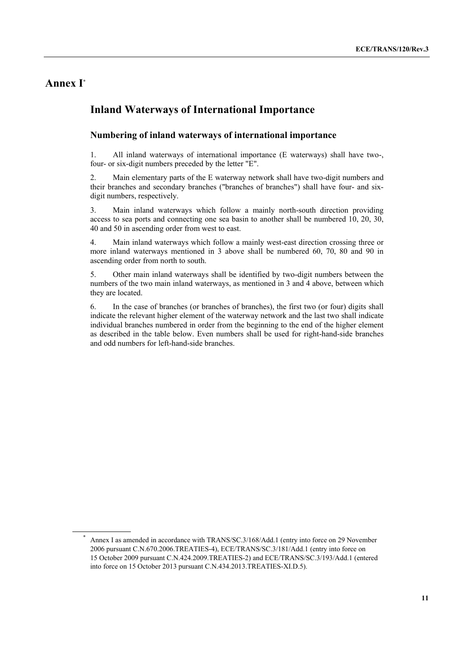## **Annex I\***

 $\overline{a}$ 

## **Inland Waterways of International Importance**

### **Numbering of inland waterways of international importance**

1. All inland waterways of international importance (E waterways) shall have two-, four- or six-digit numbers preceded by the letter "E".

2. Main elementary parts of the E waterway network shall have two-digit numbers and their branches and secondary branches ("branches of branches") shall have four- and sixdigit numbers, respectively.

3. Main inland waterways which follow a mainly north-south direction providing access to sea ports and connecting one sea basin to another shall be numbered 10, 20, 30, 40 and 50 in ascending order from west to east.

4. Main inland waterways which follow a mainly west-east direction crossing three or more inland waterways mentioned in 3 above shall be numbered 60, 70, 80 and 90 in ascending order from north to south.

5. Other main inland waterways shall be identified by two-digit numbers between the numbers of the two main inland waterways, as mentioned in 3 and 4 above, between which they are located.

6. In the case of branches (or branches of branches), the first two (or four) digits shall indicate the relevant higher element of the waterway network and the last two shall indicate individual branches numbered in order from the beginning to the end of the higher element as described in the table below. Even numbers shall be used for right-hand-side branches and odd numbers for left-hand-side branches.

Annex I as amended in accordance with TRANS/SC.3/168/Add.1 (entry into force on 29 November 2006 pursuant C.N.670.2006.TREATIES-4), ECE/TRANS/SC.3/181/Add.1 (entry into force on 15 October 2009 pursuant C.N.424.2009.TREATIES-2) and ECE/TRANS/SC.3/193/Add.1 (entered into force on 15 October 2013 pursuant C.N.434.2013.TREATIES-XI.D.5).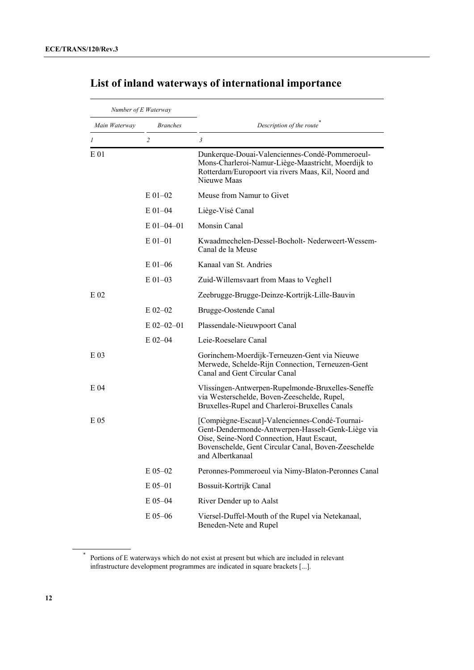| Number of E Waterway |                 |                                                                                                                                                                                                                             |
|----------------------|-----------------|-----------------------------------------------------------------------------------------------------------------------------------------------------------------------------------------------------------------------------|
| Main Waterway        | <b>Branches</b> | Description of the route                                                                                                                                                                                                    |
| 1                    | $\overline{c}$  | 3                                                                                                                                                                                                                           |
| $E_{01}$             |                 | Dunkerque-Douai-Valenciennes-Condé-Pommeroeul-<br>Mons-Charleroi-Namur-Liège-Maastricht, Moerdijk to<br>Rotterdam/Europoort via rivers Maas, Kil, Noord and<br>Nieuwe Maas                                                  |
|                      | $E$ 01-02       | Meuse from Namur to Givet                                                                                                                                                                                                   |
|                      | $E$ 01-04       | Liège-Visé Canal                                                                                                                                                                                                            |
|                      | $E$ 01-04-01    | Monsin Canal                                                                                                                                                                                                                |
|                      | $E 01 - 01$     | Kwaadmechelen-Dessel-Bocholt-Nederweert-Wessem-<br>Canal de la Meuse                                                                                                                                                        |
|                      | $E$ 01-06       | Kanaal van St. Andries                                                                                                                                                                                                      |
|                      | $E$ 01–03       | Zuid-Willemsvaart from Maas to Veghel1                                                                                                                                                                                      |
| $E_{02}$             |                 | Zeebrugge-Brugge-Deinze-Kortrijk-Lille-Bauvin                                                                                                                                                                               |
|                      | $E$ 02-02       | Brugge-Oostende Canal                                                                                                                                                                                                       |
|                      | $E$ 02-02-01    | Plassendale-Nieuwpoort Canal                                                                                                                                                                                                |
|                      | $E$ 02-04       | Leie-Roeselare Canal                                                                                                                                                                                                        |
| E 03                 |                 | Gorinchem-Moerdijk-Terneuzen-Gent via Nieuwe<br>Merwede, Schelde-Rijn Connection, Terneuzen-Gent<br>Canal and Gent Circular Canal                                                                                           |
| E 04                 |                 | Vlissingen-Antwerpen-Rupelmonde-Bruxelles-Seneffe<br>via Westerschelde, Boven-Zeeschelde, Rupel,<br>Bruxelles-Rupel and Charleroi-Bruxelles Canals                                                                          |
| E 05                 |                 | [Compiègne-Escaut]-Valenciennes-Condé-Tournai-<br>Gent-Dendermonde-Antwerpen-Hasselt-Genk-Liège via<br>Oise, Seine-Nord Connection, Haut Escaut,<br>Bovenschelde, Gent Circular Canal, Boven-Zeeschelde<br>and Albertkanaal |
|                      | $E$ 05-02       | Peronnes-Pommeroeul via Nimy-Blaton-Peronnes Canal                                                                                                                                                                          |
|                      | $E$ 05-01       | Bossuit-Kortrijk Canal                                                                                                                                                                                                      |
|                      | E 05-04         | River Dender up to Aalst                                                                                                                                                                                                    |
|                      | $E$ 05-06       | Viersel-Duffel-Mouth of the Rupel via Netekanaal,<br>Beneden-Nete and Rupel                                                                                                                                                 |

# **List of inland waterways of international importance**

<sup>\*</sup> Portions of E waterways which do not exist at present but which are included in relevant infrastructure development programmes are indicated in square brackets [...].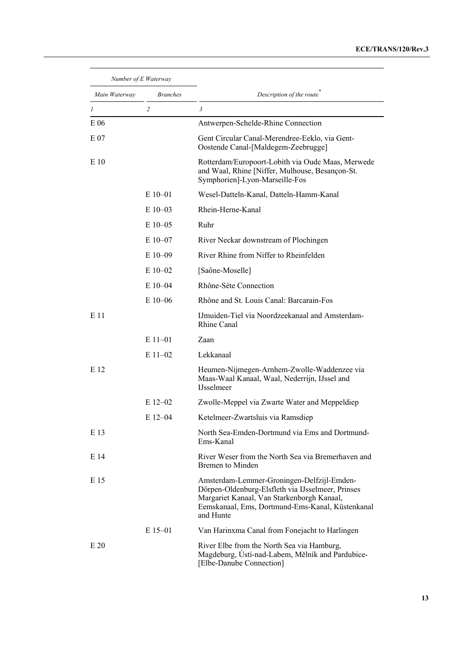| Number of E Waterway |                 |                                                                                                                                                                                                                |
|----------------------|-----------------|----------------------------------------------------------------------------------------------------------------------------------------------------------------------------------------------------------------|
| Main Waterway        | <b>Branches</b> | Description of the route                                                                                                                                                                                       |
| $\mathcal{I}$        | $\overline{c}$  | 3                                                                                                                                                                                                              |
| E 06                 |                 | Antwerpen-Schelde-Rhine Connection                                                                                                                                                                             |
| E 07                 |                 | Gent Circular Canal-Merendree-Eeklo, via Gent-<br>Oostende Canal-[Maldegem-Zeebrugge]                                                                                                                          |
| E 10                 |                 | Rotterdam/Europoort-Lobith via Oude Maas, Merwede<br>and Waal, Rhine [Niffer, Mulhouse, Besançon-St.<br>Symphorien]-Lyon-Marseille-Fos                                                                         |
|                      | $E10-01$        | Wesel-Datteln-Kanal, Datteln-Hamm-Kanal                                                                                                                                                                        |
|                      | $E10-03$        | Rhein-Herne-Kanal                                                                                                                                                                                              |
|                      | $E$ 10–05       | Ruhr                                                                                                                                                                                                           |
|                      | $E10-07$        | River Neckar downstream of Plochingen                                                                                                                                                                          |
|                      | $E10-09$        | River Rhine from Niffer to Rheinfelden                                                                                                                                                                         |
|                      | $E10-02$        | [Saône-Moselle]                                                                                                                                                                                                |
|                      | $E$ 10–04       | Rhône-Sète Connection                                                                                                                                                                                          |
|                      | $E_{10-06}$     | Rhône and St. Louis Canal: Barcarain-Fos                                                                                                                                                                       |
| E 11                 |                 | IJ muiden-Tiel via Noordzeekanaal and Amsterdam-<br>Rhine Canal                                                                                                                                                |
|                      | $E$ 11-01       | Zaan                                                                                                                                                                                                           |
|                      | $E$ 11-02       | Lekkanaal                                                                                                                                                                                                      |
| E 12                 |                 | Heumen-Nijmegen-Arnhem-Zwolle-Waddenzee via<br>Maas-Waal Kanaal, Waal, Nederrijn, IJssel and<br><b>IJsselmeer</b>                                                                                              |
|                      | $E$ 12–02       | Zwolle-Meppel via Zwarte Water and Meppeldiep                                                                                                                                                                  |
|                      | $E$ 12–04       | Ketelmeer-Zwartsluis via Ramsdiep                                                                                                                                                                              |
| E 13                 |                 | North Sea-Emden-Dortmund via Ems and Dortmund-<br>Ems-Kanal                                                                                                                                                    |
| E 14                 |                 | River Weser from the North Sea via Bremerhaven and<br>Bremen to Minden                                                                                                                                         |
| E 15                 |                 | Amsterdam-Lemmer-Groningen-Delfzijl-Emden-<br>Dörpen-Oldenburg-Elsfleth via IJsselmeer, Prinses<br>Margariet Kanaal, Van Starkenborgh Kanaal,<br>Eemskanaal, Ems, Dortmund-Ems-Kanal, Küstenkanal<br>and Hunte |
|                      | $E$ 15-01       | Van Harinxma Canal from Fonejacht to Harlingen                                                                                                                                                                 |
| E20                  |                 | River Elbe from the North Sea via Hamburg,<br>Magdeburg, Ústí-nad-Labem, Mělník and Pardubice-<br>[Elbe-Danube Connection]                                                                                     |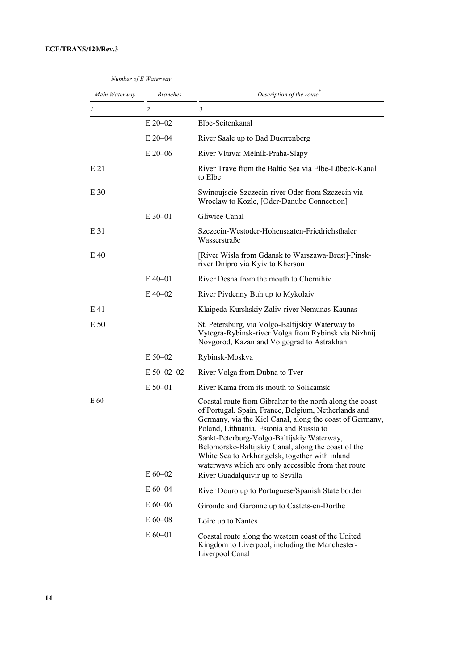| Number of E Waterway |                 |                                                                                                                                                                                                                                                                                                                                                                                                                                         |
|----------------------|-----------------|-----------------------------------------------------------------------------------------------------------------------------------------------------------------------------------------------------------------------------------------------------------------------------------------------------------------------------------------------------------------------------------------------------------------------------------------|
| Main Waterway        | <b>Branches</b> | Description of the route                                                                                                                                                                                                                                                                                                                                                                                                                |
| 1                    | $\overline{2}$  | 3                                                                                                                                                                                                                                                                                                                                                                                                                                       |
|                      | $E$ 20-02       | Elbe-Seitenkanal                                                                                                                                                                                                                                                                                                                                                                                                                        |
|                      | $E$ 20–04       | River Saale up to Bad Duerrenberg                                                                                                                                                                                                                                                                                                                                                                                                       |
|                      | $E$ 20–06       | River Vltava: Mělník-Praha-Slapy                                                                                                                                                                                                                                                                                                                                                                                                        |
| E 21                 |                 | River Trave from the Baltic Sea via Elbe-Lübeck-Kanal<br>to Elbe                                                                                                                                                                                                                                                                                                                                                                        |
| E 30                 |                 | Swinoujscie-Szczecin-river Oder from Szczecin via<br>Wroclaw to Kozle, [Oder-Danube Connection]                                                                                                                                                                                                                                                                                                                                         |
|                      | $E$ 30–01       | Gliwice Canal                                                                                                                                                                                                                                                                                                                                                                                                                           |
| E 31                 |                 | Szczecin-Westoder-Hohensaaten-Friedrichsthaler<br>Wasserstraße                                                                                                                                                                                                                                                                                                                                                                          |
| E 40                 |                 | [River Wisla from Gdansk to Warszawa-Brest]-Pinsk-<br>river Dnipro via Kyiv to Kherson                                                                                                                                                                                                                                                                                                                                                  |
|                      | $E$ 40–01       | River Desna from the mouth to Chernihiv                                                                                                                                                                                                                                                                                                                                                                                                 |
|                      | $E$ 40–02       | River Pivdenny Buh up to Mykolaiv                                                                                                                                                                                                                                                                                                                                                                                                       |
| E 41                 |                 | Klaipeda-Kurshskiy Zaliv-river Nemunas-Kaunas                                                                                                                                                                                                                                                                                                                                                                                           |
| E 50                 |                 | St. Petersburg, via Volgo-Baltijskiy Waterway to<br>Vytegra-Rybinsk-river Volga from Rybinsk via Nizhnij<br>Novgorod, Kazan and Volgograd to Astrakhan                                                                                                                                                                                                                                                                                  |
|                      | $E$ 50–02       | Rybinsk-Moskva                                                                                                                                                                                                                                                                                                                                                                                                                          |
|                      | $E$ 50–02–02    | River Volga from Dubna to Tver                                                                                                                                                                                                                                                                                                                                                                                                          |
|                      | $E$ 50–01       | River Kama from its mouth to Solikamsk                                                                                                                                                                                                                                                                                                                                                                                                  |
| E 60                 |                 | Coastal route from Gibraltar to the north along the coast<br>of Portugal, Spain, France, Belgium, Netherlands and<br>Germany, via the Kiel Canal, along the coast of Germany,<br>Poland, Lithuania, Estonia and Russia to<br>Sankt-Peterburg-Volgo-Baltijskiy Waterway,<br>Belomorsko-Baltijskiy Canal, along the coast of the<br>White Sea to Arkhangelsk, together with inland<br>waterways which are only accessible from that route |
|                      | $E 60 - 02$     | River Guadalquivir up to Sevilla                                                                                                                                                                                                                                                                                                                                                                                                        |
|                      | $E 60 - 04$     | River Douro up to Portuguese/Spanish State border                                                                                                                                                                                                                                                                                                                                                                                       |
|                      | $E 60 - 06$     | Gironde and Garonne up to Castets-en-Dorthe                                                                                                                                                                                                                                                                                                                                                                                             |
|                      | $E 60 - 08$     | Loire up to Nantes                                                                                                                                                                                                                                                                                                                                                                                                                      |
|                      | $E 60 - 01$     | Coastal route along the western coast of the United<br>Kingdom to Liverpool, including the Manchester-<br>Liverpool Canal                                                                                                                                                                                                                                                                                                               |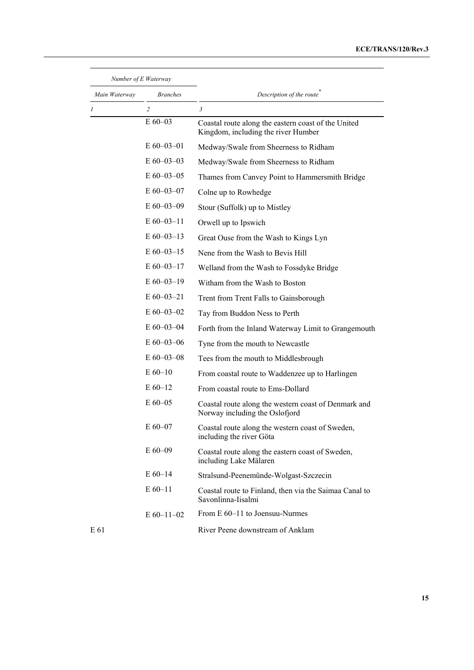### **ECE/TRANS/120/Rev.3**

| Number of E Waterway |                 |                                                                                            |
|----------------------|-----------------|--------------------------------------------------------------------------------------------|
| Main Waterway        | <b>Branches</b> | Description of the route                                                                   |
| 1                    | $\overline{2}$  | 3                                                                                          |
|                      | $E 60 - 03$     | Coastal route along the eastern coast of the United<br>Kingdom, including the river Humber |
|                      | $E$ 60–03–01    | Medway/Swale from Sheerness to Ridham                                                      |
|                      | $E$ 60–03–03    | Medway/Swale from Sheerness to Ridham                                                      |
|                      | $E$ 60-03-05    | Thames from Canvey Point to Hammersmith Bridge                                             |
|                      | $E$ 60–03–07    | Colne up to Rowhedge                                                                       |
|                      | $E$ 60–03–09    | Stour (Suffolk) up to Mistley                                                              |
|                      | $E$ 60–03–11    | Orwell up to Ipswich                                                                       |
|                      | $E$ 60–03–13    | Great Ouse from the Wash to Kings Lyn                                                      |
|                      | $E$ 60-03-15    | Nene from the Wash to Bevis Hill                                                           |
|                      | $E$ 60-03-17    | Welland from the Wash to Fossdyke Bridge                                                   |
|                      | $E$ 60–03–19    | Witham from the Wash to Boston                                                             |
|                      | $E$ 60–03–21    | Trent from Trent Falls to Gainsborough                                                     |
|                      | $E$ 60-03-02    | Tay from Buddon Ness to Perth                                                              |
|                      | $E$ 60-03-04    | Forth from the Inland Waterway Limit to Grangemouth                                        |
|                      | $E$ 60–03–06    | Tyne from the mouth to Newcastle                                                           |
|                      | $E$ 60-03-08    | Tees from the mouth to Middlesbrough                                                       |
|                      | $E 60 - 10$     | From coastal route to Waddenzee up to Harlingen                                            |
|                      | $E 60-12$       | From coastal route to Ems-Dollard                                                          |
|                      | $E$ 60–05       | Coastal route along the western coast of Denmark and<br>Norway including the Oslofjord     |
|                      | $E 60 - 07$     | Coastal route along the western coast of Sweden,<br>including the river Göta               |
|                      | $E 60 - 09$     | Coastal route along the eastern coast of Sweden,<br>including Lake Mälaren                 |
|                      | $E 60 - 14$     | Stralsund-Peenemünde-Wolgast-Szczecin                                                      |
|                      | $E 60 - 11$     | Coastal route to Finland, then via the Saimaa Canal to<br>Savonlinna-Iisalmi               |
|                      | $E$ 60-11-02    | From E 60–11 to Joensuu-Nurmes                                                             |
| E 61                 |                 | River Peene downstream of Anklam                                                           |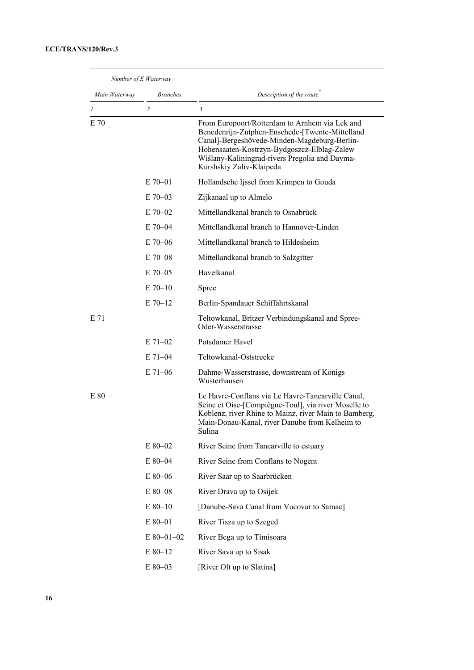| Number of E Waterway |                 |                                                                                                                                                                                                                                                                                |
|----------------------|-----------------|--------------------------------------------------------------------------------------------------------------------------------------------------------------------------------------------------------------------------------------------------------------------------------|
| Main Waterway        | <b>Branches</b> | Description of the route                                                                                                                                                                                                                                                       |
| 1                    | $\overline{c}$  | 3                                                                                                                                                                                                                                                                              |
| E 70                 |                 | From Europoort/Rotterdam to Arnhem via Lek and<br>Benedenrijn-Zutphen-Enschede-[Twente-Mittelland<br>Canal]-Bergeshövede-Minden-Magdeburg-Berlin-<br>Hohensaaten-Kostrzyn-Bydgoszcz-Elblag-Zalew<br>Wiślany-Kaliningrad-rivers Pregolia and Dayma-<br>Kurshskiy Zaliv-Klaipeda |
|                      | $E$ 70–01       | Hollandsche Ijssel from Krimpen to Gouda                                                                                                                                                                                                                                       |
|                      | $E$ 70–03       | Zijkanaal up to Almelo                                                                                                                                                                                                                                                         |
|                      | $E$ 70-02       | Mittellandkanal branch to Osnabrück                                                                                                                                                                                                                                            |
|                      | $E$ 70–04       | Mittellandkanal branch to Hannover-Linden                                                                                                                                                                                                                                      |
|                      | $E$ 70-06       | Mittellandkanal branch to Hildesheim                                                                                                                                                                                                                                           |
|                      | $E$ 70–08       | Mittellandkanal branch to Salzgitter                                                                                                                                                                                                                                           |
|                      | $E$ 70–05       | Havelkanal                                                                                                                                                                                                                                                                     |
|                      | $E$ 70-10       | Spree                                                                                                                                                                                                                                                                          |
|                      | $E$ 70-12       | Berlin-Spandauer Schiffahrtskanal                                                                                                                                                                                                                                              |
| E 71                 |                 | Teltowkanal, Britzer Verbindungskanal and Spree-<br>Oder-Wasserstrasse                                                                                                                                                                                                         |
|                      | $E$ 71-02       | Potsdamer Havel                                                                                                                                                                                                                                                                |
|                      | $E$ 71–04       | Teltowkanal-Oststrecke                                                                                                                                                                                                                                                         |
|                      | $E$ 71–06       | Dahme-Wasserstrasse, downstream of Königs<br>Wusterhausen                                                                                                                                                                                                                      |
| E 80                 |                 | Le Havre-Conflans via Le Havre-Tancarville Canal,<br>Seine et Oise-[Compiègne-Toul], via river Moselle to<br>Koblenz, river Rhine to Mainz, river Main to Bamberg,<br>Main-Donau-Kanal, river Danube from Kelheim to<br>Sulina                                                 |
|                      | E 80-02         | River Seine from Tancarville to estuary                                                                                                                                                                                                                                        |
|                      | E 80-04         | River Seine from Conflans to Nogent                                                                                                                                                                                                                                            |
|                      | $E$ 80-06       | River Saar up to Saarbrücken                                                                                                                                                                                                                                                   |
|                      | E 80-08         | River Drava up to Osijek                                                                                                                                                                                                                                                       |
|                      | $E 80 - 10$     | [Danube-Sava Canal from Vucovar to Samac]                                                                                                                                                                                                                                      |
|                      | E 80-01         | River Tisza up to Szeged                                                                                                                                                                                                                                                       |
|                      | $E$ 80-01-02    | River Bega up to Timisoara                                                                                                                                                                                                                                                     |
|                      | E 80-12         | River Sava up to Sisak                                                                                                                                                                                                                                                         |
|                      | $\to$ 80–03     | [River Olt up to Slatina]                                                                                                                                                                                                                                                      |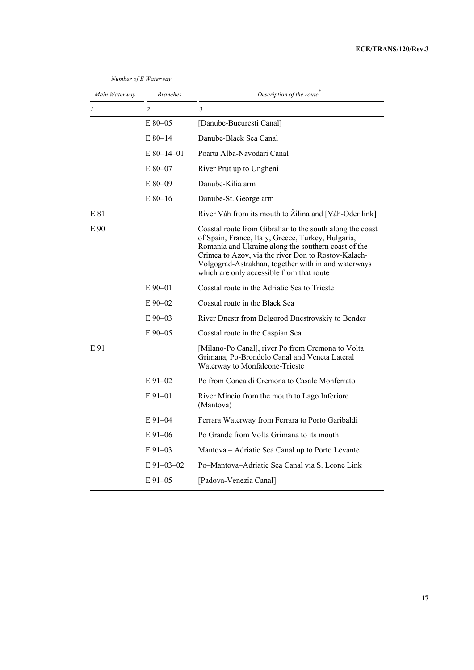### **ECE/TRANS/120/Rev.3**

| Number of E Waterway |                 |                                                                                                                                                                                                                                                                                                                                   |
|----------------------|-----------------|-----------------------------------------------------------------------------------------------------------------------------------------------------------------------------------------------------------------------------------------------------------------------------------------------------------------------------------|
| Main Waterway        | <b>Branches</b> | Description of the route                                                                                                                                                                                                                                                                                                          |
| 1                    | $\overline{c}$  | 3                                                                                                                                                                                                                                                                                                                                 |
|                      | $E80-05$        | [Danube-Bucuresti Canal]                                                                                                                                                                                                                                                                                                          |
|                      | $E80-14$        | Danube-Black Sea Canal                                                                                                                                                                                                                                                                                                            |
|                      | $E$ 80-14-01    | Poarta Alba-Navodari Canal                                                                                                                                                                                                                                                                                                        |
|                      | E 80-07         | River Prut up to Ungheni                                                                                                                                                                                                                                                                                                          |
|                      | $E80-09$        | Danube-Kilia arm                                                                                                                                                                                                                                                                                                                  |
|                      | $E80-16$        | Danube-St. George arm                                                                                                                                                                                                                                                                                                             |
| E 81                 |                 | River Váh from its mouth to Žilina and [Váh-Oder link]                                                                                                                                                                                                                                                                            |
| E 90                 |                 | Coastal route from Gibraltar to the south along the coast<br>of Spain, France, Italy, Greece, Turkey, Bulgaria,<br>Romania and Ukraine along the southern coast of the<br>Crimea to Azov, via the river Don to Rostov-Kalach-<br>Volgograd-Astrakhan, together with inland waterways<br>which are only accessible from that route |
|                      | $E90-01$        | Coastal route in the Adriatic Sea to Trieste                                                                                                                                                                                                                                                                                      |
|                      | $E90-02$        | Coastal route in the Black Sea                                                                                                                                                                                                                                                                                                    |
|                      | $E90-03$        | River Dnestr from Belgorod Dnestrovskiy to Bender                                                                                                                                                                                                                                                                                 |
|                      | $E90-05$        | Coastal route in the Caspian Sea                                                                                                                                                                                                                                                                                                  |
| E 91                 |                 | [Milano-Po Canal], river Po from Cremona to Volta<br>Grimana, Po-Brondolo Canal and Veneta Lateral<br>Waterway to Monfalcone-Trieste                                                                                                                                                                                              |
|                      | $E91-02$        | Po from Conca di Cremona to Casale Monferrato                                                                                                                                                                                                                                                                                     |
|                      | $E91-01$        | River Mincio from the mouth to Lago Inferiore<br>(Mantova)                                                                                                                                                                                                                                                                        |
|                      | $E91-04$        | Ferrara Waterway from Ferrara to Porto Garibaldi                                                                                                                                                                                                                                                                                  |
|                      | $E91 - 06$      | Po Grande from Volta Grimana to its mouth                                                                                                                                                                                                                                                                                         |
|                      | $E91-03$        | Mantova – Adriatic Sea Canal up to Porto Levante                                                                                                                                                                                                                                                                                  |
|                      | E 91-03-02      | Po-Mantova-Adriatic Sea Canal via S. Leone Link                                                                                                                                                                                                                                                                                   |
|                      | $E91-05$        | [Padova-Venezia Canal]                                                                                                                                                                                                                                                                                                            |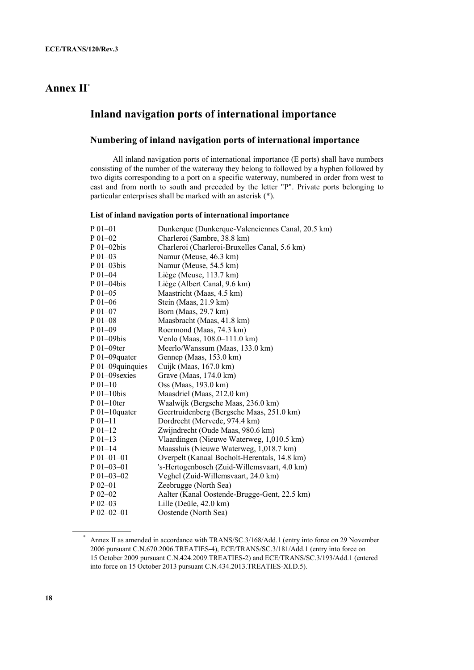## **Annex II\***

## **Inland navigation ports of international importance**

## **Numbering of inland navigation ports of international importance**

 All inland navigation ports of international importance (E ports) shall have numbers consisting of the number of the waterway they belong to followed by a hyphen followed by two digits corresponding to a port on a specific waterway, numbered in order from west to east and from north to south and preceded by the letter "P". Private ports belonging to particular enterprises shall be marked with an asterisk (\*).

#### **List of inland navigation ports of international importance**

| $P_{01-01}$        | Dunkerque (Dunkerque-Valenciennes Canal, 20.5 km) |
|--------------------|---------------------------------------------------|
| $P_{01-02}$        | Charleroi (Sambre, 38.8 km)                       |
| $P_{01-02}$ bis    | Charleroi (Charleroi-Bruxelles Canal, 5.6 km)     |
| $P_{01-03}$        | Namur (Meuse, 46.3 km)                            |
| $P_{01-03}$ bis    | Namur (Meuse, 54.5 km)                            |
| $P_{01-04}$        | Liège (Meuse, 113.7 km)                           |
| $P_{01-04}$ bis    | Liège (Albert Canal, 9.6 km)                      |
| $P_{01-05}$        | Maastricht (Maas, 4.5 km)                         |
| $P_{01-06}$        | Stein (Maas, 21.9 km)                             |
| $P_{01-07}$        | Born (Maas, 29.7 km)                              |
| $P_{01-08}$        | Maasbracht (Maas, 41.8 km)                        |
| $P_{01-09}$        | Roermond (Maas, 74.3 km)                          |
| $P_{01-09}$ bis    | Venlo (Maas, 108.0–111.0 km)                      |
| $P_{01-09}$ ter    | Meerlo/Wanssum (Maas, 133.0 km)                   |
| P 01-09quater      | Gennep (Maas, 153.0 km)                           |
| P 01-09quinquies   | Cuijk (Maas, 167.0 km)                            |
| P 01-09 sexies     | Grave (Maas, 174.0 km)                            |
| $P_{01-10}$        | Oss (Maas, 193.0 km)                              |
| $P 01-10$ bis      | Maasdriel (Maas, 212.0 km)                        |
| $P_{01-10}$ ter    | Waalwijk (Bergsche Maas, 236.0 km)                |
| $P_{01-10}$ quater | Geertruidenberg (Bergsche Maas, 251.0 km)         |
| $P_01-11$          | Dordrecht (Mervede, 974.4 km)                     |
| $P_{01-12}$        | Zwijndrecht (Oude Maas, 980.6 km)                 |
| $P_{01-13}$        | Vlaardingen (Nieuwe Waterweg, 1,010.5 km)         |
| $P_{01-14}$        | Maassluis (Nieuwe Waterweg, 1,018.7 km)           |
| $P_{01-01-01}$     | Overpelt (Kanaal Bocholt-Herentals, 14.8 km)      |
| $P$ 01-03-01       | 's-Hertogenbosch (Zuid-Willemsvaart, 4.0 km)      |
| $P$ 01-03-02       | Veghel (Zuid-Willemsvaart, 24.0 km)               |
| $P$ 02-01          | Zeebrugge (North Sea)                             |
| $P_{02-02}$        | Aalter (Kanal Oostende-Brugge-Gent, 22.5 km)      |
| $P$ 02-03          | Lille (Deûle, 42.0 km)                            |
| $P$ 02-02-01       | Oostende (North Sea)                              |

Annex II as amended in accordance with TRANS/SC.3/168/Add.1 (entry into force on 29 November 2006 pursuant C.N.670.2006.TREATIES-4), ECE/TRANS/SC.3/181/Add.1 (entry into force on 15 October 2009 pursuant C.N.424.2009.TREATIES-2) and ECE/TRANS/SC.3/193/Add.1 (entered into force on 15 October 2013 pursuant C.N.434.2013.TREATIES-XI.D.5).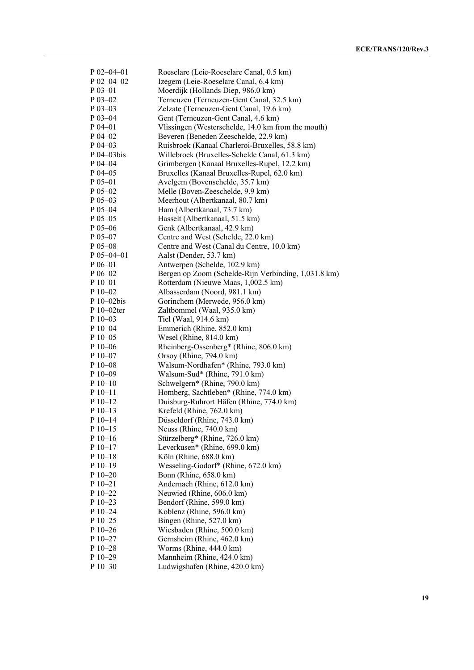| $P$ 02-04-01  | Roeselare (Leie-Roeselare Canal, 0.5 km)             |
|---------------|------------------------------------------------------|
| $P$ 02-04-02  | Izegem (Leie-Roeselare Canal, 6.4 km)                |
| $P_{03-01}$   | Moerdijk (Hollands Diep, 986.0 km)                   |
| $P$ 03-02     | Terneuzen (Terneuzen-Gent Canal, 32.5 km)            |
| $P$ 03-03     | Zelzate (Terneuzen-Gent Canal, 19.6 km)              |
| P 03-04       | Gent (Terneuzen-Gent Canal, 4.6 km)                  |
| $P$ 04-01     | Vlissingen (Westerschelde, 14.0 km from the mouth)   |
| $P$ 04-02     |                                                      |
| $P$ 04-03     | Beveren (Beneden Zeeschelde, 22.9 km)                |
| P 04-03bis    | Ruisbroek (Kanaal Charleroi-Bruxelles, 58.8 km)      |
|               | Willebroek (Bruxelles-Schelde Canal, 61.3 km)        |
| $P$ 04-04     | Grimbergen (Kanaal Bruxelles-Rupel, 12.2 km)         |
| $P$ 04-05     | Bruxelles (Kanaal Bruxelles-Rupel, 62.0 km)          |
| $P_{05-01}$   | Avelgem (Bovenschelde, 35.7 km)                      |
| $P_{05-02}$   | Melle (Boven-Zeeschelde, 9.9 km)                     |
| P 05-03       | Meerhout (Albertkanaal, 80.7 km)                     |
| $P_{05-04}$   | Ham (Albertkanaal, 73.7 km)                          |
| $P$ 05-05     | Hasselt (Albertkanaal, 51.5 km)                      |
| $P_{05-06}$   | Genk (Albertkanaal, 42.9 km)                         |
| P 05-07       | Centre and West (Schelde, 22.0 km)                   |
| $P$ 05-08     | Centre and West (Canal du Centre, 10.0 km)           |
| $P$ 05-04-01  | Aalst (Dender, 53.7 km)                              |
| $P 06 - 01$   | Antwerpen (Schelde, 102.9 km)                        |
| $P$ 06-02     | Bergen op Zoom (Schelde-Rijn Verbinding, 1,031.8 km) |
| P 10-01       | Rotterdam (Nieuwe Maas, 1,002.5 km)                  |
| $P$ 10-02     | Albasserdam (Noord, 981.1 km)                        |
| $P_10-02$ bis | Gorinchem (Merwede, 956.0 km)                        |
| P 10-02ter    | Zaltbommel (Waal, 935.0 km)                          |
| $P10-03$      | Tiel (Waal, 914.6 km)                                |
| P 10-04       | Emmerich (Rhine, 852.0 km)                           |
| $P10-05$      | Wesel (Rhine, 814.0 km)                              |
| $P10-06$      | Rheinberg-Ossenberg* (Rhine, 806.0 km)               |
| $P_10-07$     | Orsoy (Rhine, 794.0 km)                              |
| $P_10-08$     | Walsum-Nordhafen* (Rhine, 793.0 km)                  |
| $P10-09$      | Walsum-Sud* (Rhine, 791.0 km)                        |
| $P_10-10$     | Schwelgern* (Rhine, 790.0 km)                        |
| $P_10-11$     | Homberg, Sachtleben* (Rhine, 774.0 km)               |
| $P_10-12$     | Duisburg-Ruhrort Häfen (Rhine, 774.0 km)             |
| $P_10-13$     | Krefeld (Rhine, 762.0 km)                            |
| $P_10-14$     | Düsseldorf (Rhine, 743.0 km)                         |
| $P10-15$      | Neuss (Rhine, 740.0 km)                              |
| $P10-16$      | Stürzelberg* (Rhine, 726.0 km)                       |
| $P 10-17$     | Leverkusen* (Rhine, 699.0 km)                        |
| $P 10-18$     | Köln (Rhine, 688.0 km)                               |
| $P10-19$      | Wesseling-Godorf* (Rhine, 672.0 km)                  |
| $P10-20$      | Bonn (Rhine, 658.0 km)                               |
|               |                                                      |
| $P 10 - 21$   | Andernach (Rhine, 612.0 km)                          |
| $P_10-22$     | Neuwied (Rhine, 606.0 km)                            |
| $P_10-23$     | Bendorf (Rhine, 599.0 km)                            |
| $P10-24$      | Koblenz (Rhine, 596.0 km)                            |
| $P_10-25$     | Bingen (Rhine, 527.0 km)                             |
| $P_10-26$     | Wiesbaden (Rhine, 500.0 km)                          |
| $P$ 10-27     | Gernsheim (Rhine, 462.0 km)                          |
| $P$ 10-28     | Worms (Rhine, 444.0 km)                              |
| $P$ 10-29     | Mannheim (Rhine, 424.0 km)                           |
| P 10-30       | Ludwigshafen (Rhine, 420.0 km)                       |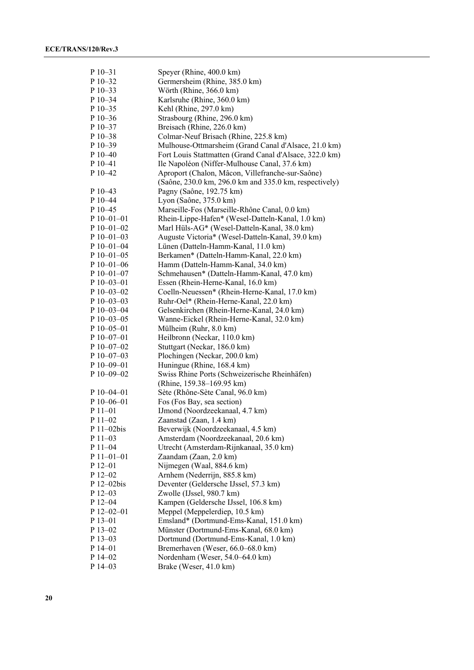| $P$ 10-31             | Speyer (Rhine, 400.0 km)                                                                                 |
|-----------------------|----------------------------------------------------------------------------------------------------------|
| $P$ 10-32             | Germersheim (Rhine, 385.0 km)                                                                            |
| P 10-33               | Wörth (Rhine, 366.0 km)                                                                                  |
| P 10-34               | Karlsruhe (Rhine, 360.0 km)                                                                              |
| $P$ 10-35             | Kehl (Rhine, 297.0 km)                                                                                   |
| P 10-36               | Strasbourg (Rhine, 296.0 km)                                                                             |
| P 10-37               | Breisach (Rhine, 226.0 km)                                                                               |
| P 10-38               |                                                                                                          |
|                       | Colmar-Neuf Brisach (Rhine, 225.8 km)                                                                    |
| $P10-39$<br>$P$ 10–40 | Mulhouse-Ottmarsheim (Grand Canal d'Alsace, 21.0 km)                                                     |
|                       | Fort Louis Stattmatten (Grand Canal d'Alsace, 322.0 km)<br>Ile Napoléon (Niffer-Mulhouse Canal, 37.6 km) |
| $P_10-41$             |                                                                                                          |
| P 10-42               | Aproport (Chalon, Mâcon, Villefranche-sur-Saône)                                                         |
|                       | (Saône, 230.0 km, 296.0 km and 335.0 km, respectively)                                                   |
| P 10-43               | Pagny (Saône, 192.75 km)                                                                                 |
| P 10-44               | Lyon (Saône, 375.0 km)                                                                                   |
| P 10-45               | Marseille-Fos (Marseille-Rhône Canal, 0.0 km)                                                            |
| $P 10 - 01 - 01$      | Rhein-Lippe-Hafen* (Wesel-Datteln-Kanal, 1.0 km)                                                         |
| $P$ 10-01-02          | Marl Hüls-AG* (Wesel-Datteln-Kanal, 38.0 km)                                                             |
| $P$ 10-01-03          | Auguste Victoria* (Wesel-Datteln-Kanal, 39.0 km)                                                         |
| $P$ 10-01-04          | Lünen (Datteln-Hamm-Kanal, 11.0 km)                                                                      |
| $P$ 10-01-05          | Berkamen* (Datteln-Hamm-Kanal, 22.0 km)                                                                  |
| $P$ 10-01-06          | Hamm (Datteln-Hamm-Kanal, 34.0 km)                                                                       |
| $P 10 - 01 - 07$      | Schmehausen* (Datteln-Hamm-Kanal, 47.0 km)                                                               |
| P 10-03-01            | Essen (Rhein-Herne-Kanal, 16.0 km)                                                                       |
| $P$ 10-03-02          | Coelln-Neuessen* (Rhein-Herne-Kanal, 17.0 km)                                                            |
| $P$ 10-03-03          | Ruhr-Oel* (Rhein-Herne-Kanal, 22.0 km)                                                                   |
| P 10-03-04            | Gelsenkirchen (Rhein-Herne-Kanal, 24.0 km)                                                               |
| $P$ 10-03-05          | Wanne-Eickel (Rhein-Herne-Kanal, 32.0 km)                                                                |
| $P$ 10-05-01          | Mülheim (Ruhr, 8.0 km)                                                                                   |
| $P$ 10-07-01          | Heilbronn (Neckar, 110.0 km)                                                                             |
| $P$ 10-07-02          | Stuttgart (Neckar, 186.0 km)                                                                             |
| $P$ 10–07–03          | Plochingen (Neckar, 200.0 km)                                                                            |
| $P$ 10-09-01          | Huningue (Rhine, 168.4 km)                                                                               |
| P 10-09-02            | Swiss Rhine Ports (Schweizerische Rheinhäfen)                                                            |
|                       | (Rhine, 159.38–169.95 km)                                                                                |
| $P$ 10–04–01          | Sète (Rhône-Sète Canal, 96.0 km)                                                                         |
| $P$ 10-06-01          | Fos (Fos Bay, sea section)                                                                               |
| P 11-01               | IJmond (Noordzeekanaal, 4.7 km)                                                                          |
| P 11-02               | Zaanstad (Zaan, 1.4 km)                                                                                  |
| P 11-02bis            | Beverwijk (Noordzeekanaal, 4.5 km)                                                                       |
| $P11-03$              | Amsterdam (Noordzeekanaal, 20.6 km)                                                                      |
| $P11-04$              | Utrecht (Amsterdam-Rijnkanaal, 35.0 km)                                                                  |
| P 11-01-01            | Zaandam (Zaan, 2.0 km)                                                                                   |
| P 12-01               | Nijmegen (Waal, 884.6 km)                                                                                |
| P 12-02               | Arnhem (Nederrijn, 885.8 km)                                                                             |
| P 12-02bis            | Deventer (Geldersche IJssel, 57.3 km)                                                                    |
| $P$ 12–03             | Zwolle (IJssel, 980.7 km)                                                                                |
| P 12-04               | Kampen (Geldersche IJssel, 106.8 km)                                                                     |
| $P$ 12-02-01          | Meppel (Meppelerdiep, 10.5 km)                                                                           |
| $P$ 13-01             | Emsland* (Dortmund-Ems-Kanal, 151.0 km)                                                                  |
| P 13-02               | Münster (Dortmund-Ems-Kanal, 68.0 km)                                                                    |
| $P$ 13-03             | Dortmund (Dortmund-Ems-Kanal, 1.0 km)                                                                    |
| $P$ 14-01             | Bremerhaven (Weser, 66.0–68.0 km)                                                                        |
| P 14-02               | Nordenham (Weser, 54.0-64.0 km)                                                                          |
| P 14-03               | Brake (Weser, 41.0 km)                                                                                   |
|                       |                                                                                                          |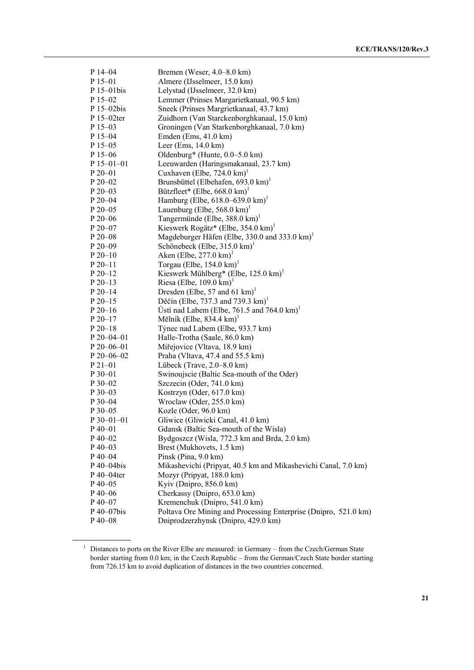| $P$ 14–04        | Bremen (Weser, $4.0-8.0$ km)                                        |
|------------------|---------------------------------------------------------------------|
| $P$ 15–01        | Almere (IJsselmeer, 15.0 km)                                        |
| P 15-01bis       | Lelystad (IJsselmeer, 32.0 km)                                      |
| $P$ 15–02        | Lemmer (Prinses Margarietkanaal, 90.5 km)                           |
| $P 15 - 02$ bis  | Sneek (Prinses Margrietkanaal, 43.7 km)                             |
| P 15-02ter       | Zuidhorn (Van Starckenborghkanaal, 15.0 km)                         |
| $P$ 15-03        | Groningen (Van Starkenborghkanaal, 7.0 km)                          |
| $P$ 15–04        | Emden (Ems, $41.0 \text{ km}$ )                                     |
| $P$ 15-05        | Leer (Ems, $14.0 \text{ km}$ )                                      |
| $P$ 15–06        | Oldenburg* (Hunte, 0.0–5.0 km)                                      |
| $P$ 15–01–01     | Leeuwarden (Haringsmakanaal, 23.7 km)                               |
| $P_{20-01}$      | Cuxhaven (Elbe, $724.0 \text{ km}$ ) <sup>1</sup>                   |
| $P 20 - 02$      | Brunsbüttel (Elbehafen, 693.0 km) <sup>1</sup>                      |
| $P 20 - 03$      | Bützfleet* (Elbe, $668.0 \text{ km}$ ) <sup>1</sup>                 |
| $P 20 - 04$      | Hamburg (Elbe, $618.0 - 639.0 \text{ km}$ ) <sup>1</sup>            |
| $P 20 - 05$      | Lauenburg (Elbe, $568.0 \text{ km}$ ) <sup>1</sup>                  |
| $P 20 - 06$      | Tangermünde (Elbe, $388.0 \text{ km}$ ) <sup>1</sup>                |
| P 20-07          | Kieswerk Rogätz* (Elbe, $354.0 \text{ km}$ ) <sup>1</sup>           |
|                  | Magdeburger Häfen (Elbe, 330.0 and 333.0 km) <sup>1</sup>           |
| $P 20 - 08$      |                                                                     |
| $P 20 - 09$      | Schönebeck (Elbe, $315.0 \text{ km}$ ) <sup>1</sup>                 |
| $P 20 - 10$      | Aken (Elbe, $277.0 \text{ km}$ ) <sup>1</sup>                       |
| $P 20 - 11$      | Torgau (Elbe, $154.0 \text{ km}$ ) <sup>1</sup>                     |
| $P 20 - 12$      | Kieswerk Mühlberg* (Elbe, $125.0 \text{ km}$ ) <sup>1</sup>         |
| $P 20-13$        | Riesa (Elbe, $109.0 \text{ km}$ ) <sup>1</sup>                      |
| $P 20 - 14$      | Dresden (Elbe, 57 and 61 km) <sup>1</sup>                           |
| $P 20 - 15$      | Děčín (Elbe, 737.3 and 739.3 km) <sup>1</sup>                       |
| $P 20-16$        | Usti nad Labem (Elbe, $761.5$ and $764.0 \text{ km}$ ) <sup>1</sup> |
| $P 20 - 17$      | Mělník (Elbe, 834.4 km) $^1$                                        |
| $P 20 - 18$      | Týnec nad Labem (Elbe, 933.7 km)                                    |
| $P 20 - 04 - 01$ | Halle-Trotha (Saale, 86.0 km)                                       |
| $P 20 - 06 - 01$ | Miřejovice (Vltava, 18.9 km)                                        |
| $P 20 - 06 - 02$ | Praha (Vltava, 47.4 and 55.5 km)                                    |
| $P21-01$         | Lübeck (Trave, 2.0–8.0 km)                                          |
| $P_{30-01}$      | Swinoujscie (Baltic Sea-mouth of the Oder)                          |
| $P_{30-02}$      | Szczecin (Oder, 741.0 km)                                           |
| $P$ 30–03        | Kostrzyn (Oder, 617.0 km)                                           |
| $P_{30-04}$      | Wroclaw (Oder, 255.0 km)                                            |
| $P$ 30–05        | Kozle (Oder, 96.0 km)                                               |
| $P$ 30-01-01     | Gliwice (Gliwicki Canal, 41.0 km)                                   |
| $P$ 40–01        | Gdansk (Baltic Sea-mouth of the Wisla)                              |
| $P$ 40–02        | Bydgoszcz (Wisla, 772.3 km and Brda, 2.0 km)                        |
| $P$ 40–03        | Brest (Mukhovets, 1.5 km)                                           |
| $P$ 40-04        | Pinsk (Pina, 9.0 km)                                                |
| P 40-04bis       | Mikashevichi (Pripyat, 40.5 km and Mikashevichi Canal, 7.0 km)      |
| $P$ 40–04ter     | Mozyr (Pripyat, 188.0 km)                                           |
| $P$ 40-05        | Kyiv (Dnipro, 856.0 km)                                             |
| $P$ 40–06        | Cherkassy (Dnipro, 653.0 km)                                        |
| $P$ 40–07        | Kremenchuk (Dnipro, 541.0 km)                                       |
| $P$ 40–07bis     | Poltava Ore Mining and Processing Enterprise (Dnipro, 521.0 km)     |
| $P$ 40-08        | Dniprodzerzhynsk (Dnipro, 429.0 km)                                 |

<sup>&</sup>lt;sup>1</sup> Distances to ports on the River Elbe are measured: in Germany – from the Czech/German State border starting from 0.0 km; in the Czech Republic – from the German/Czech State border starting from 726.15 km to avoid duplication of distances in the two countries concerned.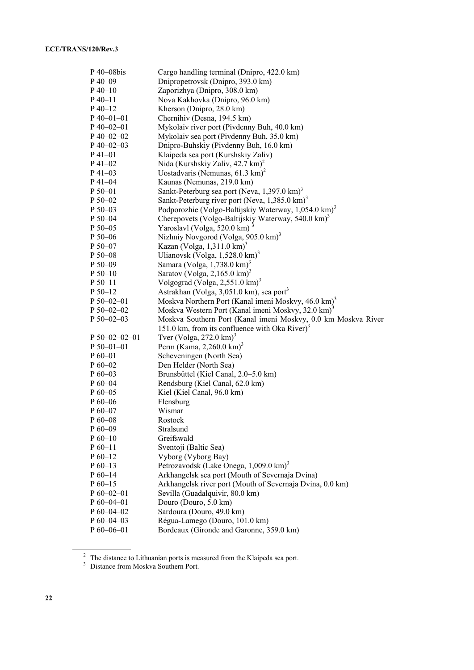| P 40-08bis                 | Cargo handling terminal (Dnipro, 422.0 km)                            |
|----------------------------|-----------------------------------------------------------------------|
| $P$ 40–09                  | Dnipropetrovsk (Dnipro, 393.0 km)                                     |
| $P$ 40–10                  | Zaporizhya (Dnipro, 308.0 km)                                         |
| $P_40-11$                  | Nova Kakhovka (Dnipro, 96.0 km)                                       |
| $P$ 40-12                  | Kherson (Dnipro, 28.0 km)                                             |
| $P$ 40-01-01               | Chernihiv (Desna, 194.5 km)                                           |
| $P$ 40–02–01               | Mykolaiv river port (Pivdenny Buh, 40.0 km)                           |
| $P$ 40-02-02               | Mykolaiv sea port (Pivdenny Buh, 35.0 km)                             |
| $P$ 40-02-03               | Dnipro-Buhskiy (Pivdenny Buh, 16.0 km)                                |
| $P_41 - 01$                | Klaipeda sea port (Kurshskiy Zaliv)                                   |
| $P$ 41–02                  | Nida (Kurshskiy Zaliv, 42.7 km) <sup>2</sup>                          |
| $P$ 41–03                  | Uostadvaris (Nemunas, $61.3 \text{ km}$ ) <sup>2</sup>                |
| $P_41-04$                  | Kaunas (Nemunas, 219.0 km)                                            |
| $P 50 - 01$                | Sankt-Peterburg sea port (Neva, $1,397.0 \text{ km}$ ) <sup>3</sup>   |
| $P 50 - 02$                | Sankt-Peterburg river port (Neva, $1,385.0 \text{ km}$ ) <sup>3</sup> |
| $P 50 - 03$                | Podporozhie (Volgo-Baltijskiy Waterway, 1,054.0 km) <sup>3</sup>      |
| $P 50 - 04$                | Cherepovets (Volgo-Baltijskiy Waterway, 540.0 km) <sup>3</sup>        |
| P 50-05                    | Yaroslavl (Volga, 520.0 km)                                           |
| $P 50 - 06$                | Nizhniy Novgorod (Volga, 905.0 km) <sup>3</sup>                       |
| P 50-07                    | Kazan (Volga, $1,311.0 \text{ km}$ ) <sup>3</sup>                     |
|                            | Ulianovsk (Volga, $1,528.0 \text{ km}$ ) <sup>3</sup>                 |
| $P 50 - 08$<br>$P 50 - 09$ | Samara (Volga, $1,738.0 \text{ km}$ ) <sup>3</sup>                    |
|                            | Saratov (Volga, 2,165.0 km) <sup>3</sup>                              |
| $P 50-10$<br>$P 50 - 11$   | Volgograd (Volga, 2,551.0 km) <sup>3</sup>                            |
|                            |                                                                       |
| $P 50-12$                  | Astrakhan (Volga, 3,051.0 km), sea port <sup>3</sup>                  |
| $P 50 - 02 - 01$           | Moskva Northern Port (Kanal imeni Moskvy, 46.0 km) <sup>3</sup>       |
| $P 50 - 02 - 02$           | Moskva Western Port (Kanal imeni Moskvy, 32.0 km) <sup>3</sup>        |
| $P 50 - 02 - 03$           | Moskva Southern Port (Kanal imeni Moskvy, 0.0 km Moskva River         |
|                            | 151.0 km, from its confluence with Oka River) <sup>3</sup>            |
| $P 50 - 02 - 02 - 01$      | Tver (Volga, 272.0 km) <sup>3</sup>                                   |
| $P 50 - 01 - 01$           | Perm (Kama, 2,260.0 km) <sup>3</sup>                                  |
| $P_60-01$                  | Scheveningen (North Sea)                                              |
| $P_60-02$                  | Den Helder (North Sea)                                                |
| $P_60-03$                  | Brunsbüttel (Kiel Canal, 2.0–5.0 km)                                  |
| $P_60-04$                  | Rendsburg (Kiel Canal, 62.0 km)                                       |
| $P_60-05$                  | Kiel (Kiel Canal, 96.0 km)                                            |
| $P_60-06$                  | Flensburg                                                             |
| $P 60 - 07$                | Wismar                                                                |
| $P 60 - 08$                | Rostock                                                               |
| $P_60-09$                  | Stralsund                                                             |
| $P_60-10$                  | Greifswald                                                            |
| $P_60-11$                  | Sventoji (Baltic Sea)                                                 |
| $P_60-12$                  | Vyborg (Vyborg Bay)                                                   |
| $P_60-13$                  | Petrozavodsk (Lake Onega, 1,009.0 km) <sup>3</sup>                    |
| $P_60-14$                  | Arkhangelsk sea port (Mouth of Severnaja Dvina)                       |
| $P_60-15$                  | Arkhangelsk river port (Mouth of Severnaja Dvina, 0.0 km)             |
| $P_060-02-01$              | Sevilla (Guadalquivir, 80.0 km)                                       |
| $P_60-04-01$               | Douro (Douro, 5.0 km)                                                 |
| $P_60-04-02$               | Sardoura (Douro, 49.0 km)                                             |
| $P_60-04-03$               | Régua-Lamego (Douro, 101.0 km)                                        |
| $P_60-06-01$               | Bordeaux (Gironde and Garonne, 359.0 km)                              |

 $\frac{2}{3}$  The distance to Lithuanian ports is measured from the Klaipeda sea port.<br>
3 Distance from Moskva Southern Port.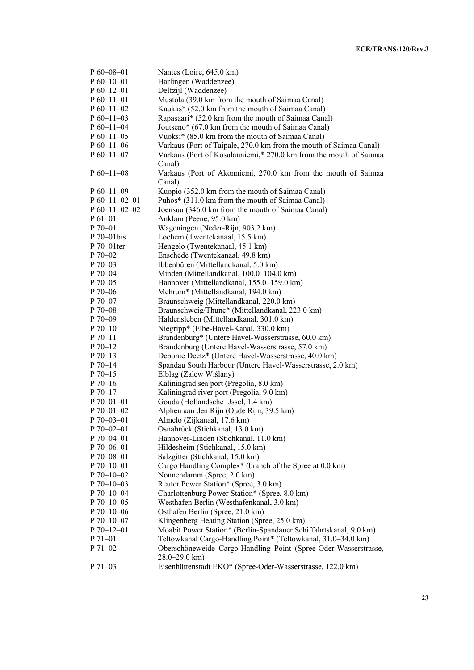| $P 60 - 08 - 01$       | Nantes (Loire, 645.0 km)                                                                                |
|------------------------|---------------------------------------------------------------------------------------------------------|
| $P_060-10-01$          | Harlingen (Waddenzee)                                                                                   |
| $P_060-12-01$          | Delfzijl (Waddenzee)                                                                                    |
| $P_60-11-01$           | Mustola (39.0 km from the mouth of Saimaa Canal)                                                        |
| $P_60-11-02$           | Kaukas* (52.0 km from the mouth of Saimaa Canal)                                                        |
| $P_0$ 60-11-03         | Rapasaari* (52.0 km from the mouth of Saimaa Canal)                                                     |
| $P_60-11-04$           | Joutseno* (67.0 km from the mouth of Saimaa Canal)                                                      |
| $P_60-11-05$           | Vuoksi* (85.0 km from the mouth of Saimaa Canal)                                                        |
| $P_0$ 60-11-06         | Varkaus (Port of Taipale, 270.0 km from the mouth of Saimaa Canal)                                      |
| $P_0$ 60-11-07         | Varkaus (Port of Kosulanniemi,* 270.0 km from the mouth of Saimaa                                       |
|                        | Canal)                                                                                                  |
| $P_60-11-08$           | Varkaus (Port of Akonniemi, 270.0 km from the mouth of Saimaa                                           |
|                        | Canal)                                                                                                  |
| $P_60-11-09$           | Kuopio (352.0 km from the mouth of Saimaa Canal)                                                        |
| $P_0$ 60-11-02-01      | Puhos* (311.0 km from the mouth of Saimaa Canal)                                                        |
| $P_60-11-02-02$        | Joensuu (346.0 km from the mouth of Saimaa Canal)                                                       |
| $P_61-01$              | Anklam (Peene, 95.0 km)                                                                                 |
| P 70-01                | Wageningen (Neder-Rijn, 903.2 km)                                                                       |
| P 70-01bis             | Lochem (Twentekanaal, 15.5 km)                                                                          |
| $P 70-01$ ter          | Hengelo (Twentekanaal, 45.1 km)                                                                         |
| $P 70 - 02$            | Enschede (Twentekanaal, 49.8 km)                                                                        |
| $P70-03$               | Ibbenbüren (Mittellandkanal, 5.0 km)                                                                    |
| $P 70 - 04$            | Minden (Mittellandkanal, 100.0-104.0 km)                                                                |
| $P$ 70–05              | Hannover (Mittellandkanal, 155.0–159.0 km)                                                              |
| $P70-06$               | Mehrum* (Mittellandkanal, 194.0 km)                                                                     |
| P 70-07                | Braunschweig (Mittellandkanal, 220.0 km)                                                                |
| P 70-08                | Braunschweig/Thune* (Mittellandkanal, 223.0 km)                                                         |
| P 70-09                | Haldensleben (Mittellandkanal, 301.0 km)                                                                |
| $P 70-10$              |                                                                                                         |
| $P 70 - 11$            | Niegripp* (Elbe-Havel-Kanal, 330.0 km)                                                                  |
|                        | Brandenburg* (Untere Havel-Wasserstrasse, 60.0 km)<br>Brandenburg (Untere Havel-Wasserstrasse, 57.0 km) |
| $P 70-12$<br>$P 70-13$ |                                                                                                         |
|                        | Deponie Deetz* (Untere Havel-Wasserstrasse, 40.0 km)                                                    |
| $P 70-14$              | Spandau South Harbour (Untere Havel-Wasserstrasse, 2.0 km)                                              |
| $P 70-15$              | Elblag (Zalew Wiślany)                                                                                  |
| $P 70-16$              | Kaliningrad sea port (Pregolia, 8.0 km)                                                                 |
| $P 70-17$              | Kaliningrad river port (Pregolia, 9.0 km)                                                               |
| $P 70 - 01 - 01$       | Gouda (Hollandsche IJssel, 1.4 km)                                                                      |
| P 70-01-02             | Alphen aan den Rijn (Oude Rijn, 39.5 km)                                                                |
| P 70-03-01             | Almelo (Zijkanaal, 17.6 km)                                                                             |
| P 70-02-01             | Osnabrück (Stichkanal, 13.0 km)                                                                         |
| P 70-04-01             | Hannover-Linden (Stichkanal, 11.0 km)                                                                   |
| $P 70 - 06 - 01$       | Hildesheim (Stichkanal, 15.0 km)                                                                        |
| P 70-08-01             | Salzgitter (Stichkanal, 15.0 km)                                                                        |
| $P 70 - 10 - 01$       | Cargo Handling Complex* (branch of the Spree at 0.0 km)                                                 |
| $P 70 - 10 - 02$       | Nonnendamm (Spree, 2.0 km)                                                                              |
| $P 70 - 10 - 03$       | Reuter Power Station* (Spree, 3.0 km)                                                                   |
| $P 70 - 10 - 04$       | Charlottenburg Power Station* (Spree, 8.0 km)                                                           |
| $P 70 - 10 - 05$       | Westhafen Berlin (Westhafenkanal, 3.0 km)                                                               |
| $P 70 - 10 - 06$       | Osthafen Berlin (Spree, 21.0 km)                                                                        |
| $P 70 - 10 - 07$       | Klingenberg Heating Station (Spree, 25.0 km)                                                            |
| $P 70 - 12 - 01$       | Moabit Power Station* (Berlin-Spandauer Schiffahrtskanal, 9.0 km)                                       |
| P 71-01                | Teltowkanal Cargo-Handling Point* (Teltowkanal, 31.0-34.0 km)                                           |
| P 71-02                | Oberschöneweide Cargo-Handling Point (Spree-Oder-Wasserstrasse,                                         |
|                        | $28.0 - 29.0$ km)                                                                                       |
| $P 71-03$              | Eisenhüttenstadt EKO* (Spree-Oder-Wasserstrasse, 122.0 km)                                              |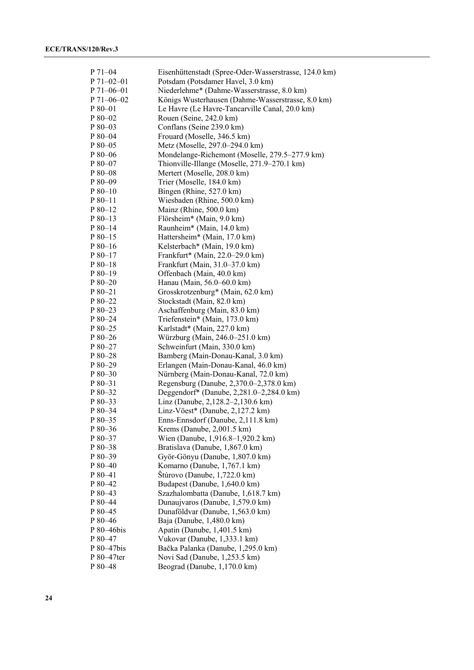| P 71-04                              | Eisenhüttenstadt (Spree-Oder-Wasserstrasse, 124.0 km)                           |
|--------------------------------------|---------------------------------------------------------------------------------|
| $P 71 - 02 - 01$<br>$P 71 - 06 - 01$ | Potsdam (Potsdamer Havel, 3.0 km)<br>Niederlehme* (Dahme-Wasserstrasse, 8.0 km) |
|                                      |                                                                                 |
| $P 71 - 06 - 02$                     | Königs Wusterhausen (Dahme-Wasserstrasse, 8.0 km)                               |
| P 80-01                              | Le Havre (Le Havre-Tancarville Canal, 20.0 km)                                  |
| P 80-02                              | Rouen (Seine, 242.0 km)                                                         |
| P 80-03                              | Conflans (Seine 239.0 km)                                                       |
| P 80-04                              | Frouard (Moselle, 346.5 km)                                                     |
| P 80-05                              | Metz (Moselle, 297.0-294.0 km)                                                  |
| $P80-06$                             | Mondelange-Richemont (Moselle, 279.5-277.9 km)                                  |
| $P80-07$                             | Thionville-Illange (Moselle, 271.9–270.1 km)                                    |
| $P80-08$                             | Mertert (Moselle, 208.0 km)                                                     |
| $P80-09$                             | Trier (Moselle, 184.0 km)                                                       |
| $P80-10$                             | Bingen (Rhine, 527.0 km)                                                        |
| $P80-11$                             | Wiesbaden (Rhine, 500.0 km)                                                     |
| P 80-12                              | Mainz (Rhine, 500.0 km)                                                         |
| $P80-13$                             | Flörsheim* (Main, 9.0 km)                                                       |
| P 80-14                              | Raunheim* (Main, 14.0 km)                                                       |
| P 80-15                              | Hattersheim* (Main, 17.0 km)                                                    |
| $P80-16$                             | Kelsterbach* (Main, 19.0 km)                                                    |
| $P80-17$                             | Frankfurt* (Main, 22.0-29.0 km)                                                 |
| $P80-18$                             | Frankfurt (Main, 31.0–37.0 km)                                                  |
| $P80-19$                             | Offenbach (Main, 40.0 km)                                                       |
| $P80-20$                             | Hanau (Main, 56.0–60.0 km)                                                      |
| $P80-21$                             | Grosskrotzenburg* (Main, 62.0 km)                                               |
| $P80-22$                             | Stockstadt (Main, 82.0 km)                                                      |
| $P80-23$                             | Aschaffenburg (Main, 83.0 km)                                                   |
| P 80-24                              | Triefenstein* (Main, 173.0 km)                                                  |
| P 80-25                              | Karlstadt* (Main, 227.0 km)                                                     |
| P 80-26                              | Würzburg (Main, 246.0–251.0 km)                                                 |
| $P80-27$                             | Schweinfurt (Main, 330.0 km)                                                    |
| P 80-28                              | Bamberg (Main-Donau-Kanal, 3.0 km)                                              |
| $P80-29$                             | Erlangen (Main-Donau-Kanal, 46.0 km)                                            |
| P 80-30                              | Nürnberg (Main-Donau-Kanal, 72.0 km)                                            |
| $P80-31$                             | Regensburg (Danube, 2,370.0–2,378.0 km)                                         |
| $P80-32$                             | Deggendorf* (Danube, 2,281.0–2,284.0 km)                                        |
| $P80-33$                             | Linz (Danube, 2,128.2–2,130.6 km)                                               |
| $P80-34$                             | Linz-Vöest* (Danube, $2,127.2$ km)                                              |
| P 80-35                              | Enns-Ennsdorf (Danube, 2,111.8 km)                                              |
| P 80-36                              | Krems (Danube, 2,001.5 km)                                                      |
| P 80-37                              | Wien (Danube, 1,916.8-1,920.2 km)                                               |
| P 80-38                              | Bratislava (Danube, 1,867.0 km)                                                 |
| $P80-39$                             | Györ-Gönyu (Danube, 1,807.0 km)                                                 |
| P 80-40                              | Komarno (Danube, 1,767.1 km)                                                    |
| P 80-41                              | Štúrovo (Danube, 1,722.0 km)                                                    |
| P 80-42                              | Budapest (Danube, 1,640.0 km)                                                   |
| P 80-43                              | Szazhalombatta (Danube, 1,618.7 km)                                             |
| P 80-44                              | Dunaujvaros (Danube, 1,579.0 km)                                                |
| P 80-45                              | Dunaföldvar (Danube, 1,563.0 km)                                                |
| P 80-46                              | Baja (Danube, 1,480.0 km)                                                       |
| P 80-46bis                           | Apatin (Danube, 1,401.5 km)                                                     |
| P 80-47                              | Vukovar (Danube, 1,333.1 km)                                                    |
| P 80-47bis                           | Bačka Palanka (Danube, 1,295.0 km)                                              |
| P 80–47ter                           |                                                                                 |
|                                      | Novi Sad (Danube, 1,253.5 km)                                                   |
| P 80-48                              | Beograd (Danube, 1,170.0 km)                                                    |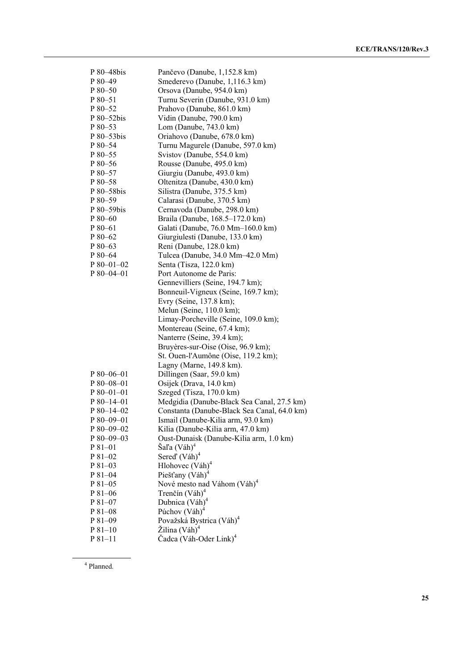| P 80–48bis  | Pančevo (Danube, 1,152.8 km)                |
|-------------|---------------------------------------------|
| P 80-49     | Smederevo (Danube, 1,116.3 km)              |
| $P80-50$    | Orsova (Danube, 954.0 km)                   |
| P 80-51     | Turnu Severin (Danube, 931.0 km)            |
| $P80-52$    | Prahovo (Danube, 861.0 km)                  |
| P 80-52bis  | Vidin (Danube, 790.0 km)                    |
| P 80-53     | Lom (Danube, 743.0 km)                      |
| P 80-53bis  | Oriahovo (Danube, 678.0 km)                 |
| P 80-54     | Turnu Magurele (Danube, 597.0 km)           |
| P 80-55     | Svistov (Danube, 554.0 km)                  |
| P 80-56     | Rousse (Danube, 495.0 km)                   |
| P 80-57     | Giurgiu (Danube, 493.0 km)                  |
| P 80-58     | Oltenitza (Danube, 430.0 km)                |
| P 80-58bis  | Silistra (Danube, 375.5 km)                 |
| $P80-59$    | Calarasi (Danube, 370.5 km)                 |
| P 80–59bis  | Cernavoda (Danube, 298.0 km)                |
| $P80-60$    | Braila (Danube, 168.5-172.0 km)             |
| $P80-61$    | Galati (Danube, 76.0 Mm-160.0 km)           |
|             |                                             |
| P 80-62     | Giurgiulesti (Danube, 133.0 km)             |
| $P80-63$    | Reni (Danube, 128.0 km)                     |
| P 80-64     | Tulcea (Danube, 34.0 Mm-42.0 Mm)            |
| P 80-01-02  | Senta (Tisza, 122.0 km)                     |
| P 80-04-01  | Port Autonome de Paris:                     |
|             | Gennevilliers (Seine, 194.7 km);            |
|             | Bonneuil-Vigneux (Seine, 169.7 km);         |
|             | Evry (Seine, 137.8 km);                     |
|             | Melun (Seine, 110.0 km);                    |
|             | Limay-Porcheville (Seine, 109.0 km);        |
|             | Montereau (Seine, 67.4 km);                 |
|             | Nanterre (Seine, 39.4 km);                  |
|             | Bruyères-sur-Oise (Oise, 96.9 km);          |
|             | St. Ouen-l'Aumône (Oise, 119.2 km);         |
|             | Lagny (Marne, 149.8 km).                    |
| $P80-06-01$ | Dillingen (Saar, 59.0 km)                   |
| P 80-08-01  | Osijek (Drava, 14.0 km)                     |
| $P80-01-01$ | Szeged (Tisza, 170.0 km)                    |
| P 80-14-01  | Medgidia (Danube-Black Sea Canal, 27.5 km)  |
| P 80-14-02  | Constanta (Danube-Black Sea Canal, 64.0 km) |
| P 80-09-01  | Ismail (Danube-Kilia arm, 93.0 km)          |
| $P80-09-02$ | Kilia (Danube-Kilia arm, 47.0 km)           |
| P 80-09-03  | Oust-Dunaisk (Danube-Kilia arm, 1.0 km)     |
| P 81-01     | Šaľa (Váh) <sup>4</sup>                     |
| P 81-02     | Sered' $(Váh)4$                             |
| $P81-03$    | Hlohovec $(V\hat{a}h)^4$                    |
|             |                                             |
| $P81-04$    | Piešťany (Váh) <sup>4</sup>                 |
| P 81-05     | Nové mesto nad Váhom (Váh) <sup>4</sup>     |
| $P81-06$    | Trenčín $(Váh)^4$                           |
| $P81-07$    | Dubnica (Váh) <sup>4</sup>                  |
| P 81-08     | Púchov $(V\hat{a}h)^4$                      |
| $P81-09$    | Považská Bystrica (Váh) <sup>4</sup>        |
| $P81-10$    | Žilina (Váh) <sup>4</sup>                   |
| $P81-11$    | Čadca (Váh-Oder Link) <sup>4</sup>          |

4 Planned.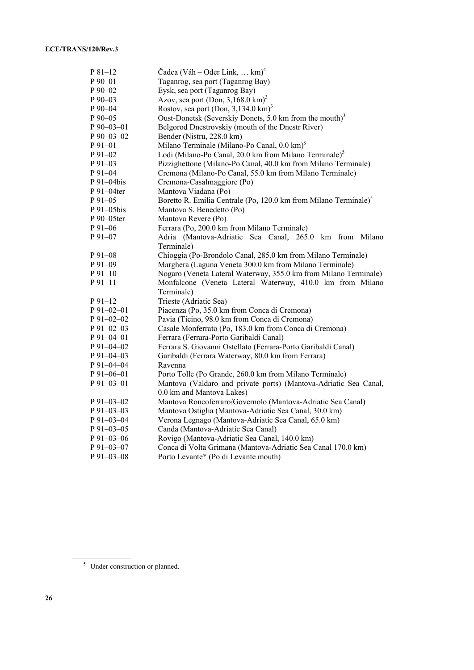| $P81-12$        | Čadca (Váh – Oder Link, $km$ ) <sup>4</sup>                                  |
|-----------------|------------------------------------------------------------------------------|
| $P_{90-01}$     | Taganrog, sea port (Taganrog Bay)                                            |
| P 90-02         | Eysk, sea port (Taganrog Bay)                                                |
| $P90-03$        | Azov, sea port (Don, $3,168.0 \text{ km}$ ) <sup>3</sup>                     |
| P 90-04         | Rostov, sea port (Don, $3,134.0 \text{ km}$ ) <sup>3</sup>                   |
| P 90-05         | Oust-Donetsk (Severskiy Donets, 5.0 km from the mouth) <sup>3</sup>          |
| P 90-03-01      | Belgorod Dnestrovskiy (mouth of the Dnestr River)                            |
| P 90-03-02      | Bender (Nistru, 228.0 km)                                                    |
| P 91-01         | Milano Terminale (Milano-Po Canal, 0.0 km) <sup>5</sup>                      |
| P 91-02         | Lodi (Milano-Po Canal, 20.0 km from Milano Terminale) <sup>5</sup>           |
| P 91-03         | Pizzighettone (Milano-Po Canal, 40.0 km from Milano Terminale)               |
| $P91 - 04$      | Cremona (Milano-Po Canal, 55.0 km from Milano Terminale)                     |
| P 91-04bis      | Cremona-Casalmaggiore (Po)                                                   |
| P 91–04ter      | Mantova Viadana (Po)                                                         |
| P 91-05         | Boretto R. Emilia Centrale (Po, 120.0 km from Milano Terminale) <sup>5</sup> |
| P 91-05bis      | Mantova S. Benedetto (Po)                                                    |
| P 90-05ter      | Mantova Revere (Po)                                                          |
| P 91-06         | Ferrara (Po, 200.0 km from Milano Terminale)                                 |
| P 91–07         | Adria (Mantova-Adriatic Sea Canal, 265.0 km from Milano                      |
|                 | Terminale)                                                                   |
| $P91-08$        | Chioggia (Po-Brondolo Canal, 285.0 km from Milano Terminale)                 |
| $P91-09$        | Marghera (Laguna Veneta 300.0 km from Milano Terminale)                      |
| $P91-10$        | Nogaro (Veneta Lateral Waterway, 355.0 km from Milano Terminale)             |
| $P91-11$        | Monfalcone (Veneta Lateral Waterway, 410.0 km from Milano                    |
|                 | Terminale)                                                                   |
| $P91-12$        | Trieste (Adriatic Sea)                                                       |
| $P$ 91-02-01    | Piacenza (Po, 35.0 km from Conca di Cremona)                                 |
| $P91-02-02$     | Pavia (Ticino, 98.0 km from Conca di Cremona)                                |
| $P91 - 02 - 03$ | Casale Monferrato (Po, 183.0 km from Conca di Cremona)                       |
| P 91–04–01      | Ferrara (Ferrara-Porto Garibaldi Canal)                                      |
| P 91-04-02      | Ferrara S. Giovanni Ostellato (Ferrara-Porto Garibaldi Canal)                |
| P 91-04-03      | Garibaldi (Ferrara Waterway, 80.0 km from Ferrara)                           |
| P 91-04-04      | Ravenna                                                                      |
| P 91-06-01      | Porto Tolle (Po Grande, 260.0 km from Milano Terminale)                      |
| P 91-03-01      | Mantova (Valdaro and private ports) (Mantova-Adriatic Sea Canal,             |
|                 | 0.0 km and Mantova Lakes)                                                    |
| $P91-03-02$     | Mantova Roncoferraro/Governolo (Mantova-Adriatic Sea Canal)                  |
| $P$ 91-03-03    | Mantova Ostiglia (Mantova-Adriatic Sea Canal, 30.0 km)                       |
| $P_{91-03-04}$  | Verona Legnago (Mantova-Adriatic Sea Canal, 65.0 km)                         |
| P 91-03-05      | Canda (Mantova-Adriatic Sea Canal)                                           |
| $P$ 91-03-06    | Rovigo (Mantova-Adriatic Sea Canal, 140.0 km)                                |
| P 91-03-07      | Conca di Volta Grimana (Mantova-Adriatic Sea Canal 170.0 km)                 |
| P 91–03–08      | Porto Levante* (Po di Levante mouth)                                         |

<sup>&</sup>lt;sup>5</sup> Under construction or planned.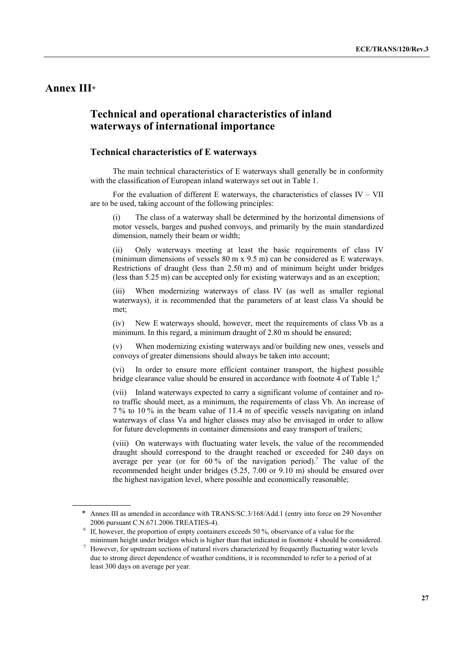## **Annex III\***

 $\overline{a}$ 

## **Technical and operational characteristics of inland waterways of international importance**

## **Technical characteristics of E waterways**

 The main technical characteristics of E waterways shall generally be in conformity with the classification of European inland waterways set out in Table 1.

For the evaluation of different E waterways, the characteristics of classes  $IV - VII$ are to be used, taking account of the following principles:

(i) The class of a waterway shall be determined by the horizontal dimensions of motor vessels, barges and pushed convoys, and primarily by the main standardized dimension, namely their beam or width;

Only waterways meeting at least the basic requirements of class IV (minimum dimensions of vessels 80 m x 9.5 m) can be considered as E waterways. Restrictions of draught (less than 2.50 m) and of minimum height under bridges (less than 5.25 m) can be accepted only for existing waterways and as an exception;

(iii) When modernizing waterways of class IV (as well as smaller regional waterways), it is recommended that the parameters of at least class Va should be met;

(iv) New E waterways should, however, meet the requirements of class Vb as a minimum. In this regard, a minimum draught of 2.80 m should be ensured;

(v) When modernizing existing waterways and/or building new ones, vessels and convoys of greater dimensions should always be taken into account;

(vi) In order to ensure more efficient container transport, the highest possible bridge clearance value should be ensured in accordance with footnote 4 of Table 1;6

(vii) Inland waterways expected to carry a significant volume of container and roro traffic should meet, as a minimum, the requirements of class Vb. An increase of 7 % to 10 % in the beam value of 11.4 m of specific vessels navigating on inland waterways of class Va and higher classes may also be envisaged in order to allow for future developments in container dimensions and easy transport of trailers;

(viii) On waterways with fluctuating water levels, the value of the recommended draught should correspond to the draught reached or exceeded for 240 days on average per year (or for  $60\%$  of the navigation period).<sup>7</sup> The value of the recommended height under bridges (5.25, 7.00 or 9.10 m) should be ensured over the highest navigation level, where possible and economically reasonable;

<sup>\*</sup> Annex III as amended in accordance with TRANS/SC.3/168/Add.1 (entry into force on 29 November 2006 pursuant C.N.671.2006.TREATIES-4). 6

If, however, the proportion of empty containers exceeds 50 %, observance of a value for the minimum height under bridges which is higher than that indicated in footnote 4 should be considered. 7

However, for upstream sections of natural rivers characterized by frequently fluctuating water levels due to strong direct dependence of weather conditions, it is recommended to refer to a period of at least 300 days on average per year.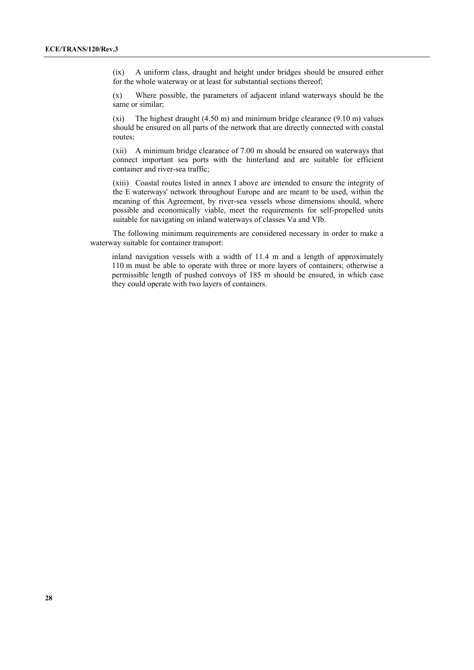(ix) A uniform class, draught and height under bridges should be ensured either for the whole waterway or at least for substantial sections thereof;

(x) Where possible, the parameters of adjacent inland waterways should be the same or similar;

(xi) The highest draught (4.50 m) and minimum bridge clearance (9.10 m) values should be ensured on all parts of the network that are directly connected with coastal routes;

(xii) A minimum bridge clearance of 7.00 m should be ensured on waterways that connect important sea ports with the hinterland and are suitable for efficient container and river-sea traffic;

(xiii) Coastal routes listed in annex I above are intended to ensure the integrity of the E waterways' network throughout Europe and are meant to be used, within the meaning of this Agreement, by river-sea vessels whose dimensions should, where possible and economically viable, meet the requirements for self-propelled units suitable for navigating on inland waterways of classes Va and VIb.

 The following minimum requirements are considered necessary in order to make a waterway suitable for container transport:

inland navigation vessels with a width of 11.4 m and a length of approximately 110 m must be able to operate with three or more layers of containers; otherwise a permissible length of pushed convoys of 185 m should be ensured, in which case they could operate with two layers of containers.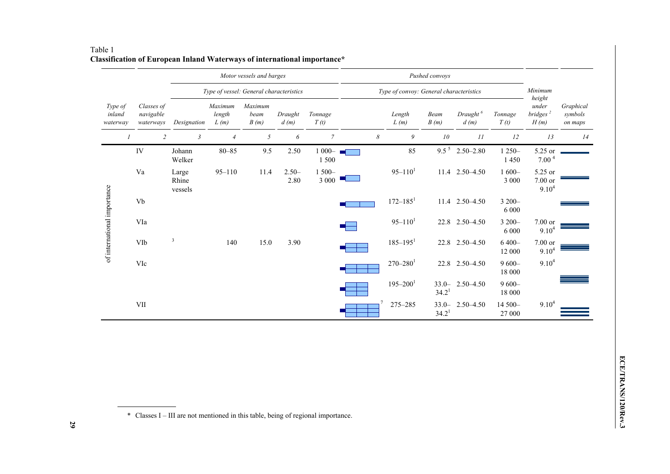|                               |                          |                                      |                                         | Motor vessels and barges  |                         |                 |                   | Pushed convoys                          |                          |                               |                              |                     |                                                 |                                 |
|-------------------------------|--------------------------|--------------------------------------|-----------------------------------------|---------------------------|-------------------------|-----------------|-------------------|-----------------------------------------|--------------------------|-------------------------------|------------------------------|---------------------|-------------------------------------------------|---------------------------------|
|                               |                          |                                      | Type of vessel: General characteristics |                           |                         |                 |                   | Type of convoy: General characteristics |                          |                               |                              |                     | Minimum                                         |                                 |
| Type of<br>inland<br>waterway |                          | Classes of<br>navigable<br>waterways | Designation                             | Maximum<br>length<br>L(m) | Maximum<br>beam<br>B(m) | Draught<br>d(m) | Tonnage<br>T(t)   |                                         | Length<br>L(m)           | Beam<br>B(m)                  | Draught <sup>6</sup><br>d(m) | Tonnage<br>T(t)     | height<br>under<br>bridges <sup>2</sup><br>H(m) | Graphical<br>symbols<br>on maps |
|                               | $\overline{\phantom{a}}$ |                                      | $\overline{c}$<br>$\mathfrak{Z}$        | $\overline{4}$            | 5                       | 6               | $\overline{7}$    | 8                                       | 9                        | 10                            | 11                           | 12                  | 13                                              | 14                              |
| of international importance   |                          | IV                                   | Johann<br>Welker                        | $80 - 85$                 | 9.5                     | 2.50            | $1000 -$<br>1500  |                                         | 85                       | $9.5^{\,5}$                   | $2.50 - 2.80$                | $1250 -$<br>1450    | 5.25 or<br>7.00 <sup>4</sup>                    |                                 |
|                               |                          | Va                                   | Large<br>Rhine<br>vessels               | $95 - 110$                | 11.4                    | $2.50-$<br>2.80 | $1500 -$<br>3 000 |                                         | $95 - 110$ <sup>1</sup>  |                               | 11.4 2.50 - 4.50             | $1600 -$<br>3 000   | 5.25 or<br>$7.00$ or<br>$9.10^{4}$              |                                 |
|                               |                          | Vb                                   |                                         |                           |                         |                 |                   |                                         | $172 - 185$ <sup>1</sup> |                               | 11.4 2.50 - 4.50             | 3 200-<br>6 0 0 0   |                                                 |                                 |
|                               |                          | VIa                                  |                                         |                           |                         |                 |                   |                                         | $95 - 1101$              |                               | 22.8 2.50 - 4.50             | $3200 -$<br>6 0 0 0 | 7.00 or<br>9.10 <sup>4</sup>                    |                                 |
|                               |                          | VIb                                  | $\overline{3}$                          | 140                       | 15.0                    | 3.90            |                   |                                         | $185 - 195$ <sup>1</sup> |                               | 22.8 2.50 - 4.50             | $6400 -$<br>12 000  | 7.00 or<br>$9.10^{4}$                           |                                 |
|                               |                          | VIc                                  |                                         |                           |                         |                 |                   |                                         | $270 - 280$ <sup>1</sup> |                               | 22.8 2.50 - 4.50             | $9600 -$<br>18 000  | 9.10 <sup>4</sup>                               |                                 |
|                               |                          |                                      |                                         |                           |                         |                 |                   |                                         | $195 - 200$ <sup>1</sup> | $33.0 -$<br>34.2 <sup>1</sup> | $2.50 - 4.50$                | $9600 -$<br>18 000  |                                                 |                                 |
|                               |                          | VII                                  |                                         |                           |                         |                 |                   |                                         | 275-285                  | $33.0 -$<br>34.2 <sup>1</sup> | $2.50 - 4.50$                | 14 500-<br>27 000   | $9.10^{4}$                                      |                                 |

### Table 1 **Classification of European Inland Waterways of international importance\***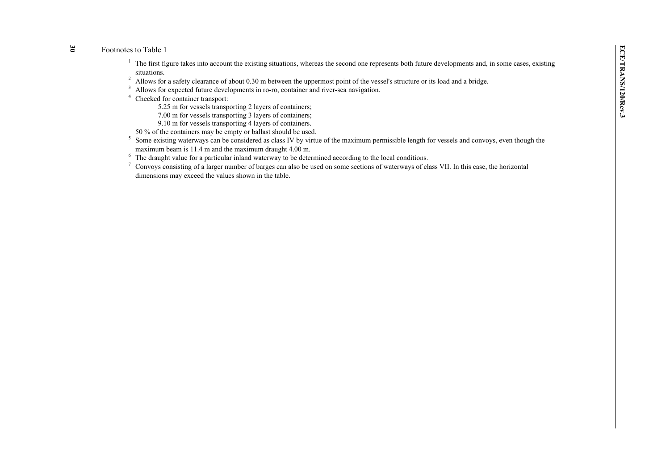## **30**

Footnotes to Table 1<br>
<sup>1</sup> The first figure takes into account the existing situations, whereas the second one represents both future developments and, in some cases, existing<br>
<sup>1</sup> The first figure takes into account the ex

- 
- 
- -
	-
	- 9.10 m for vessels transporting 4 layers of containers.
- 50 % of the containers may be empty or ballast should be used.
- <sup>5</sup> Some existing waterways can be considered as class IV by virtue of the maximum permissible length for vessels and convoys, even though the maximum beam is 11.4 m and the maximum draught 4.00 m.
- <sup>6</sup> The draught value for a particular inland waterway to be determined according to the local conditions.
- 7 Convoys consisting of a larger number of barges can also be used on some sections of waterways of class VII. In this case, the horizontal dimensions may exceed the values shown in the table.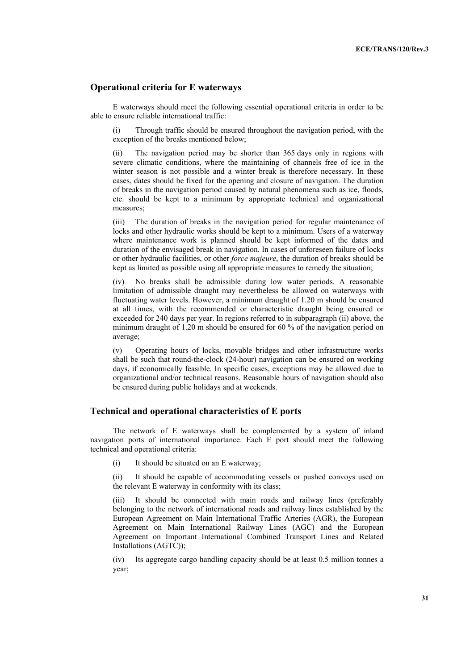#### **Operational criteria for E waterways**

 E waterways should meet the following essential operational criteria in order to be able to ensure reliable international traffic:

(i) Through traffic should be ensured throughout the navigation period, with the exception of the breaks mentioned below;

(ii) The navigation period may be shorter than 365 days only in regions with severe climatic conditions, where the maintaining of channels free of ice in the winter season is not possible and a winter break is therefore necessary. In these cases, dates should be fixed for the opening and closure of navigation. The duration of breaks in the navigation period caused by natural phenomena such as ice, floods, etc. should be kept to a minimum by appropriate technical and organizational measures;

(iii) The duration of breaks in the navigation period for regular maintenance of locks and other hydraulic works should be kept to a minimum. Users of a waterway where maintenance work is planned should be kept informed of the dates and duration of the envisaged break in navigation. In cases of unforeseen failure of locks or other hydraulic facilities, or other *force majeure*, the duration of breaks should be kept as limited as possible using all appropriate measures to remedy the situation;

(iv) No breaks shall be admissible during low water periods. A reasonable limitation of admissible draught may nevertheless be allowed on waterways with fluctuating water levels. However, a minimum draught of 1.20 m should be ensured at all times, with the recommended or characteristic draught being ensured or exceeded for 240 days per year. In regions referred to in subparagraph (ii) above, the minimum draught of 1.20 m should be ensured for 60 % of the navigation period on average;

(v) Operating hours of locks, movable bridges and other infrastructure works shall be such that round-the-clock (24-hour) navigation can be ensured on working days, if economically feasible. In specific cases, exceptions may be allowed due to organizational and/or technical reasons. Reasonable hours of navigation should also be ensured during public holidays and at weekends.

#### **Technical and operational characteristics of E ports**

 The network of E waterways shall be complemented by a system of inland navigation ports of international importance. Each E port should meet the following technical and operational criteria:

(i) It should be situated on an E waterway;

(ii) It should be capable of accommodating vessels or pushed convoys used on the relevant E waterway in conformity with its class;

(iii) It should be connected with main roads and railway lines (preferably belonging to the network of international roads and railway lines established by the European Agreement on Main International Traffic Arteries (AGR), the European Agreement on Main International Railway Lines (AGC) and the European Agreement on Important International Combined Transport Lines and Related Installations (AGTC));

(iv) Its aggregate cargo handling capacity should be at least 0.5 million tonnes a year;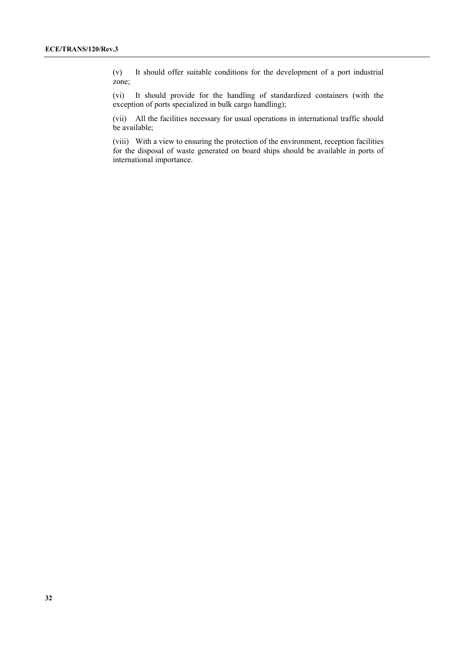(v) It should offer suitable conditions for the development of a port industrial zone;

(vi) It should provide for the handling of standardized containers (with the exception of ports specialized in bulk cargo handling);

(vii) All the facilities necessary for usual operations in international traffic should be available;

(viii) With a view to ensuring the protection of the environment, reception facilities for the disposal of waste generated on board ships should be available in ports of international importance.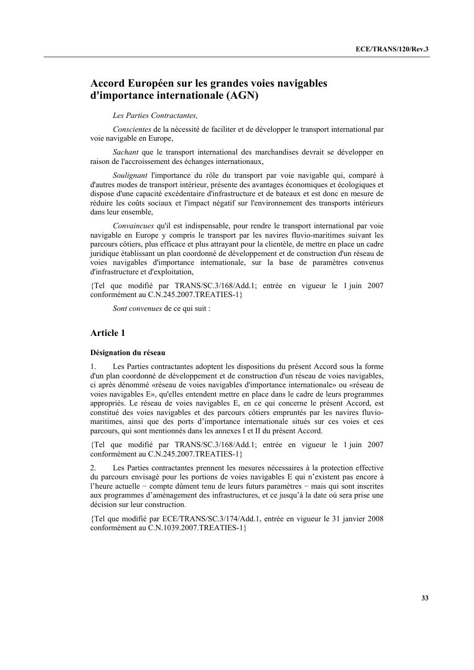## **Accord Européen sur les grandes voies navigables d'importance internationale (AGN)**

#### *Les Parties Contractantes,*

 *Conscientes* de la nécessité de faciliter et de développer le transport international par voie navigable en Europe,

 *Sachant* que le transport international des marchandises devrait se développer en raison de l'accroissement des échanges internationaux,

 *Soulignant* l'importance du rôle du transport par voie navigable qui, comparé à d'autres modes de transport intérieur, présente des avantages économiques et écologiques et dispose d'une capacité excédentaire d'infrastructure et de bateaux et est donc en mesure de réduire les coûts sociaux et l'impact négatif sur l'environnement des transports intérieurs dans leur ensemble,

 *Convaincues* qu'il est indispensable, pour rendre le transport international par voie navigable en Europe y compris le transport par les navires fluvio-maritimes suivant les parcours côtiers, plus efficace et plus attrayant pour la clientèle, de mettre en place un cadre juridique établissant un plan coordonné de développement et de construction d'un réseau de voies navigables d'importance internationale, sur la base de paramètres convenus d'infrastructure et d'exploitation,

{Tel que modifié par TRANS/SC.3/168/Add.1; entrée en vigueur le 1 juin 2007 conformément au C.N.245.2007.TREATIES-1}

 *Sont convenues* de ce qui suit :

#### **Article 1**

#### **Désignation du réseau**

1. Les Parties contractantes adoptent les dispositions du présent Accord sous la forme d'un plan coordonné de développement et de construction d'un réseau de voies navigables, ci après dénommé «réseau de voies navigables d'importance internationale» ou «réseau de voies navigables E», qu'elles entendent mettre en place dans le cadre de leurs programmes appropriés. Le réseau de voies navigables E, en ce qui concerne le présent Accord, est constitué des voies navigables et des parcours côtiers empruntés par les navires fluviomaritimes, ainsi que des ports d'importance internationale situés sur ces voies et ces parcours, qui sont mentionnés dans les annexes I et II du présent Accord.

{Tel que modifié par TRANS/SC.3/168/Add.1; entrée en vigueur le 1 juin 2007 conformément au C.N.245.2007.TREATIES-1}

2. Les Parties contractantes prennent les mesures nécessaires à la protection effective du parcours envisagé pour les portions de voies navigables E qui n'existent pas encore à l'heure actuelle − compte dûment tenu de leurs futurs paramètres − mais qui sont inscrites aux programmes d'aménagement des infrastructures, et ce jusqu'à la date où sera prise une décision sur leur construction.

{Tel que modifié par ECE/TRANS/SC.3/174/Add.1, entrée en vigueur le 31 janvier 2008 conformément au C.N.1039.2007.TREATIES-1}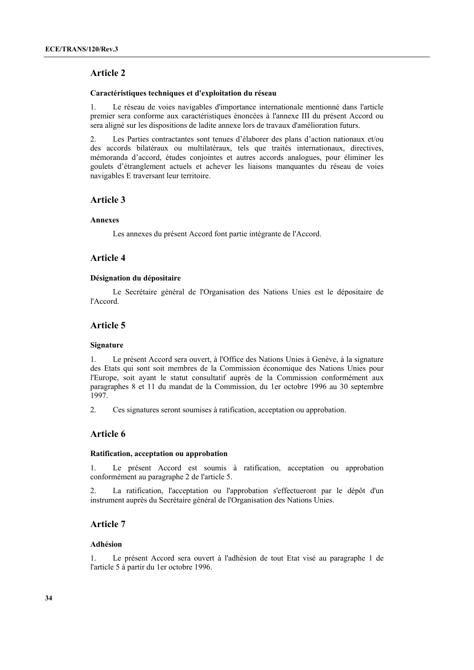#### **Caractéristiques techniques et d'exploitation du réseau**

1. Le réseau de voies navigables d'importance internationale mentionné dans l'article premier sera conforme aux caractéristiques énoncées à l'annexe III du présent Accord ou sera aligné sur les dispositions de ladite annexe lors de travaux d'amélioration futurs.

2. Les Parties contractantes sont tenues d'élaborer des plans d'action nationaux et/ou des accords bilatéraux ou multilatéraux, tels que traités internationaux, directives, mémoranda d'accord, études conjointes et autres accords analogues, pour éliminer les goulets d'étranglement actuels et achever les liaisons manquantes du réseau de voies navigables E traversant leur territoire.

#### **Article 3**

#### **Annexes**

Les annexes du présent Accord font partie intégrante de l'Accord.

## **Article 4**

#### **Désignation du dépositaire**

 Le Secrétaire général de l'Organisation des Nations Unies est le dépositaire de l'Accord.

## **Article 5**

#### **Signature**

1. Le présent Accord sera ouvert, à l'Office des Nations Unies à Genève, à la signature des Etats qui sont soit membres de la Commission économique des Nations Unies pour l'Europe, soit ayant le statut consultatif auprès de la Commission conformément aux paragraphes 8 et 11 du mandat de la Commission, du 1er octobre 1996 au 30 septembre 1997.

2. Ces signatures seront soumises à ratification, acceptation ou approbation.

## **Article 6**

#### **Ratification, acceptation ou approbation**

1. Le présent Accord est soumis à ratification, acceptation ou approbation conformément au paragraphe 2 de l'article 5.

2. La ratification, l'acceptation ou l'approbation s'effectueront par le dépôt d'un instrument auprès du Secrétaire général de l'Organisation des Nations Unies.

## **Article 7**

#### **Adhésion**

1. Le présent Accord sera ouvert à l'adhésion de tout Etat visé au paragraphe 1 de l'article 5 à partir du 1er octobre 1996.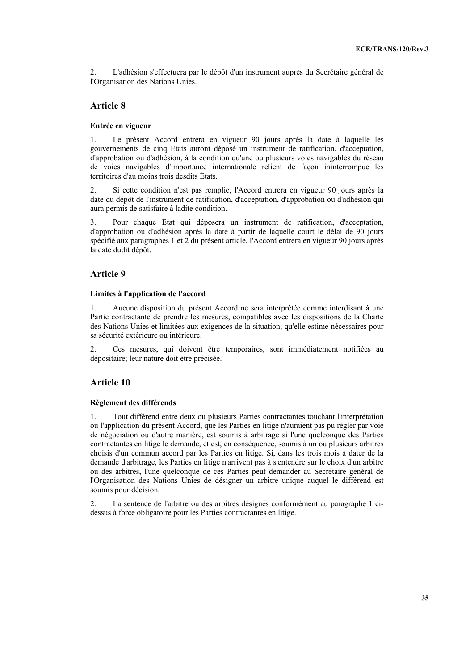2. L'adhésion s'effectuera par le dépôt d'un instrument auprès du Secrétaire général de l'Organisation des Nations Unies.

#### **Article 8**

#### **Entrée en vigueur**

1. Le présent Accord entrera en vigueur 90 jours après la date à laquelle les gouvernements de cinq Etats auront déposé un instrument de ratification, d'acceptation, d'approbation ou d'adhésion, à la condition qu'une ou plusieurs voies navigables du réseau de voies navigables d'importance internationale relient de façon ininterrompue les territoires d'au moins trois desdits États.

2. Si cette condition n'est pas remplie, l'Accord entrera en vigueur 90 jours après la date du dépôt de l'instrument de ratification, d'acceptation, d'approbation ou d'adhésion qui aura permis de satisfaire à ladite condition.

3. Pour chaque État qui déposera un instrument de ratification, d'acceptation, d'approbation ou d'adhésion après la date à partir de laquelle court le délai de 90 jours spécifié aux paragraphes 1 et 2 du présent article, l'Accord entrera en vigueur 90 jours après la date dudit dépôt.

## **Article 9**

#### **Limites à l'application de l'accord**

1. Aucune disposition du présent Accord ne sera interprétée comme interdisant à une Partie contractante de prendre les mesures, compatibles avec les dispositions de la Charte des Nations Unies et limitées aux exigences de la situation, qu'elle estime nécessaires pour sa sécurité extérieure ou intérieure.

2. Ces mesures, qui doivent être temporaires, sont immédiatement notifiées au dépositaire; leur nature doit être précisée.

#### **Article 10**

#### **Règlement des différends**

1. Tout différend entre deux ou plusieurs Parties contractantes touchant l'interprétation ou l'application du présent Accord, que les Parties en litige n'auraient pas pu régler par voie de négociation ou d'autre manière, est soumis à arbitrage si l'une quelconque des Parties contractantes en litige le demande, et est, en conséquence, soumis à un ou plusieurs arbitres choisis d'un commun accord par les Parties en litige. Si, dans les trois mois à dater de la demande d'arbitrage, les Parties en litige n'arrivent pas à s'entendre sur le choix d'un arbitre ou des arbitres, l'une quelconque de ces Parties peut demander au Secrétaire général de l'Organisation des Nations Unies de désigner un arbitre unique auquel le différend est soumis pour décision.

2. La sentence de l'arbitre ou des arbitres désignés conformément au paragraphe 1 cidessus à force obligatoire pour les Parties contractantes en litige.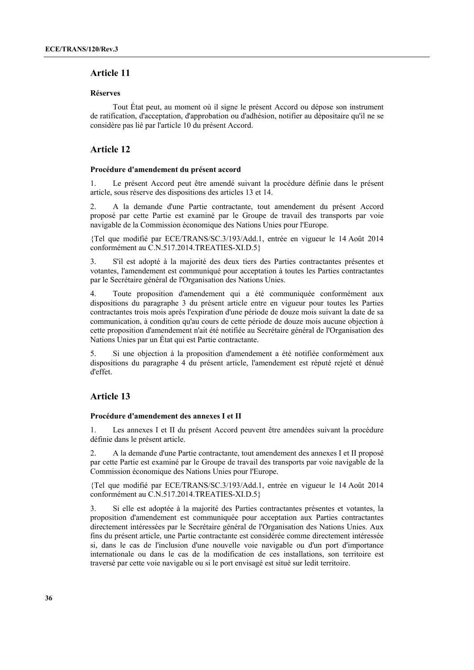#### **Réserves**

 Tout État peut, au moment où il signe le présent Accord ou dépose son instrument de ratification, d'acceptation, d'approbation ou d'adhésion, notifier au dépositaire qu'il ne se considère pas lié par l'article 10 du présent Accord.

#### **Article 12**

#### **Procédure d'amendement du présent accord**

1. Le présent Accord peut être amendé suivant la procédure définie dans le présent article, sous réserve des dispositions des articles 13 et 14.

2. A la demande d'une Partie contractante, tout amendement du présent Accord proposé par cette Partie est examiné par le Groupe de travail des transports par voie navigable de la Commission économique des Nations Unies pour l'Europe.

{Tel que modifié par ECE/TRANS/SC.3/193/Add.1, entrée en vigueur le 14 Août 2014 conformément au C.N.517.2014.TREATIES-XI.D.5}

3. S'il est adopté à la majorité des deux tiers des Parties contractantes présentes et votantes, l'amendement est communiqué pour acceptation à toutes les Parties contractantes par le Secrétaire général de l'Organisation des Nations Unies.

4. Toute proposition d'amendement qui a été communiquée conformément aux dispositions du paragraphe 3 du présent article entre en vigueur pour toutes les Parties contractantes trois mois après l'expiration d'une période de douze mois suivant la date de sa communication, à condition qu'au cours de cette période de douze mois aucune objection à cette proposition d'amendement n'ait été notifiée au Secrétaire général de l'Organisation des Nations Unies par un État qui est Partie contractante.

5. Si une objection à la proposition d'amendement a été notifiée conformément aux dispositions du paragraphe 4 du présent article, l'amendement est réputé rejeté et dénué d'effet.

## **Article 13**

#### **Procédure d'amendement des annexes I et II**

1. Les annexes I et II du présent Accord peuvent être amendées suivant la procédure définie dans le présent article.

2. A la demande d'une Partie contractante, tout amendement des annexes I et II proposé par cette Partie est examiné par le Groupe de travail des transports par voie navigable de la Commission économique des Nations Unies pour l'Europe.

{Tel que modifié par ECE/TRANS/SC.3/193/Add.1, entrée en vigueur le 14 Août 2014 conformément au C.N.517.2014.TREATIES-XI.D.5}

3. Si elle est adoptée à la majorité des Parties contractantes présentes et votantes, la proposition d'amendement est communiquée pour acceptation aux Parties contractantes directement intéressées par le Secrétaire général de l'Organisation des Nations Unies. Aux fins du présent article, une Partie contractante est considérée comme directement intéressée si, dans le cas de l'inclusion d'une nouvelle voie navigable ou d'un port d'importance internationale ou dans le cas de la modification de ces installations, son territoire est traversé par cette voie navigable ou si le port envisagé est situé sur ledit territoire.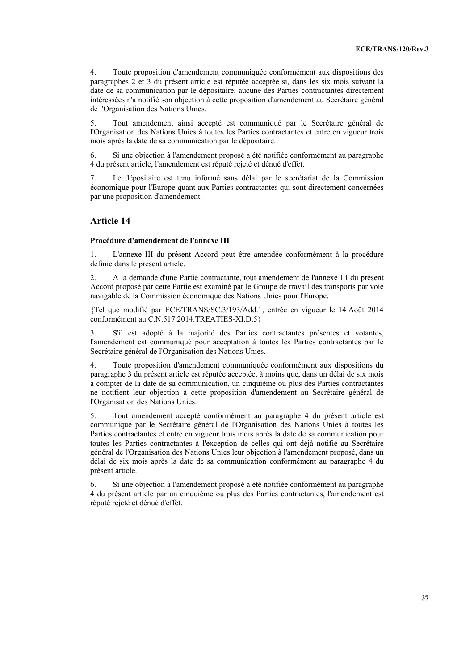4. Toute proposition d'amendement communiquée conformément aux dispositions des paragraphes 2 et 3 du présent article est réputée acceptée si, dans les six mois suivant la date de sa communication par le dépositaire, aucune des Parties contractantes directement intéressées n'a notifié son objection à cette proposition d'amendement au Secrétaire général de l'Organisation des Nations Unies.

5. Tout amendement ainsi accepté est communiqué par le Secrétaire général de l'Organisation des Nations Unies à toutes les Parties contractantes et entre en vigueur trois mois après la date de sa communication par le dépositaire.

6. Si une objection à l'amendement proposé a été notifiée conformément au paragraphe 4 du présent article, l'amendement est réputé rejeté et dénué d'effet.

7. Le dépositaire est tenu informé sans délai par le secrétariat de la Commission économique pour l'Europe quant aux Parties contractantes qui sont directement concernées par une proposition d'amendement.

### **Article 14**

#### **Procédure d'amendement de l'annexe III**

1. L'annexe III du présent Accord peut être amendée conformément à la procédure définie dans le présent article.

2. A la demande d'une Partie contractante, tout amendement de l'annexe III du présent Accord proposé par cette Partie est examiné par le Groupe de travail des transports par voie navigable de la Commission économique des Nations Unies pour l'Europe.

{Tel que modifié par ECE/TRANS/SC.3/193/Add.1, entrée en vigueur le 14 Août 2014 conformément au C.N.517.2014.TREATIES-XI.D.5}

3. S'il est adopté à la majorité des Parties contractantes présentes et votantes, l'amendement est communiqué pour acceptation à toutes les Parties contractantes par le Secrétaire général de l'Organisation des Nations Unies.

4. Toute proposition d'amendement communiquée conformément aux dispositions du paragraphe 3 du présent article est réputée acceptée, à moins que, dans un délai de six mois à compter de la date de sa communication, un cinquième ou plus des Parties contractantes ne notifient leur objection à cette proposition d'amendement au Secrétaire général de l'Organisation des Nations Unies.

5. Tout amendement accepté conformément au paragraphe 4 du présent article est communiqué par le Secrétaire général de l'Organisation des Nations Unies à toutes les Parties contractantes et entre en vigueur trois mois après la date de sa communication pour toutes les Parties contractantes à l'exception de celles qui ont déjà notifié au Secrétaire général de l'Organisation des Nations Unies leur objection à l'amendement proposé, dans un délai de six mois après la date de sa communication conformément au paragraphe 4 du présent article.

6. Si une objection à l'amendement proposé a été notifiée conformément au paragraphe 4 du présent article par un cinquième ou plus des Parties contractantes, l'amendement est réputé rejeté et dénué d'effet.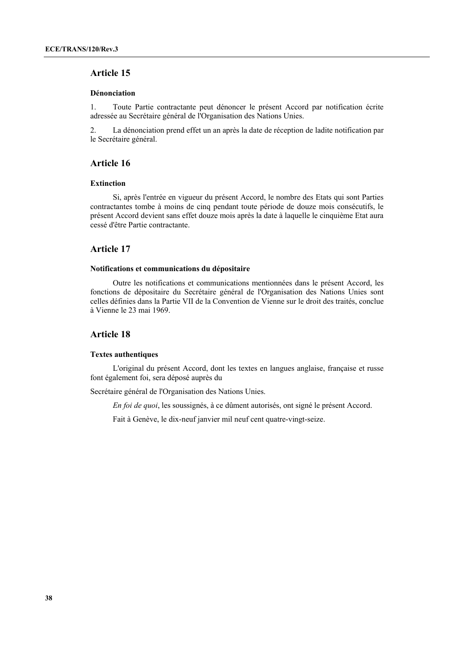### **Article 15**

#### **Dénonciation**

1. Toute Partie contractante peut dénoncer le présent Accord par notification écrite adressée au Secrétaire général de l'Organisation des Nations Unies.

2. La dénonciation prend effet un an après la date de réception de ladite notification par le Secrétaire général.

### **Article 16**

#### **Extinction**

 Si, après l'entrée en vigueur du présent Accord, le nombre des Etats qui sont Parties contractantes tombe à moins de cinq pendant toute période de douze mois consécutifs, le présent Accord devient sans effet douze mois après la date à laquelle le cinquième Etat aura cessé d'être Partie contractante.

### **Article 17**

#### **Notifications et communications du dépositaire**

 Outre les notifications et communications mentionnées dans le présent Accord, les fonctions de dépositaire du Secrétaire général de l'Organisation des Nations Unies sont celles définies dans la Partie VII de la Convention de Vienne sur le droit des traités, conclue à Vienne le 23 mai 1969.

### **Article 18**

#### **Textes authentiques**

 L'original du présent Accord, dont les textes en langues anglaise, française et russe font également foi, sera déposé auprès du

Secrétaire général de l'Organisation des Nations Unies.

 *En foi de quoi*, les soussignés, à ce dûment autorisés, ont signé le présent Accord.

Fait à Genève, le dix-neuf janvier mil neuf cent quatre-vingt-seize.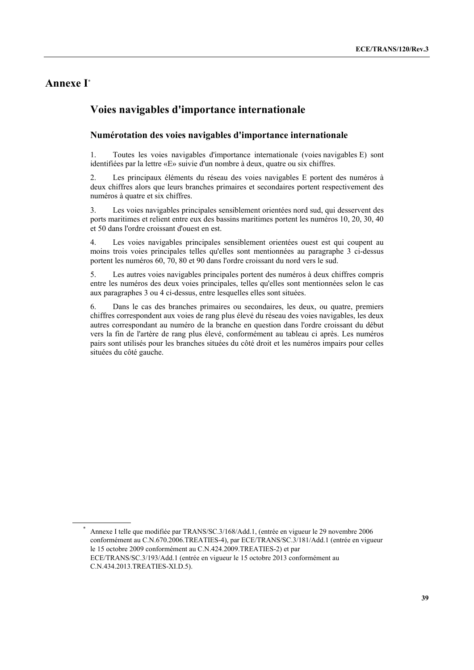# **Annexe I\***

 $\overline{a}$ 

# **Voies navigables d'importance internationale**

### **Numérotation des voies navigables d'importance internationale**

1. Toutes les voies navigables d'importance internationale (voies navigables E) sont identifiées par la lettre «E» suivie d'un nombre à deux, quatre ou six chiffres.

2. Les principaux éléments du réseau des voies navigables E portent des numéros à deux chiffres alors que leurs branches primaires et secondaires portent respectivement des numéros à quatre et six chiffres.

3. Les voies navigables principales sensiblement orientées nord sud, qui desservent des ports maritimes et relient entre eux des bassins maritimes portent les numéros 10, 20, 30, 40 et 50 dans l'ordre croissant d'ouest en est.

4. Les voies navigables principales sensiblement orientées ouest est qui coupent au moins trois voies principales telles qu'elles sont mentionnées au paragraphe 3 ci-dessus portent les numéros 60, 70, 80 et 90 dans l'ordre croissant du nord vers le sud.

5. Les autres voies navigables principales portent des numéros à deux chiffres compris entre les numéros des deux voies principales, telles qu'elles sont mentionnées selon le cas aux paragraphes 3 ou 4 ci-dessus, entre lesquelles elles sont situées.

6. Dans le cas des branches primaires ou secondaires, les deux, ou quatre, premiers chiffres correspondent aux voies de rang plus élevé du réseau des voies navigables, les deux autres correspondant au numéro de la branche en question dans l'ordre croissant du début vers la fin de l'artère de rang plus élevé, conformément au tableau ci après. Les numéros pairs sont utilisés pour les branches situées du côté droit et les numéros impairs pour celles situées du côté gauche.

<sup>\*</sup> Annexe I telle que modifiée par TRANS/SC.3/168/Add.1, (entrée en vigueur le 29 novembre 2006 conformément au C.N.670.2006.TREATIES-4), par ECE/TRANS/SC.3/181/Add.1 (entrée en vigueur le 15 octobre 2009 conformément au C.N.424.2009.TREATIES-2) et par ECE/TRANS/SC.3/193/Add.1 (entrée en vigueur le 15 octobre 2013 conformément au C.N.434.2013.TREATIES-XI.D.5).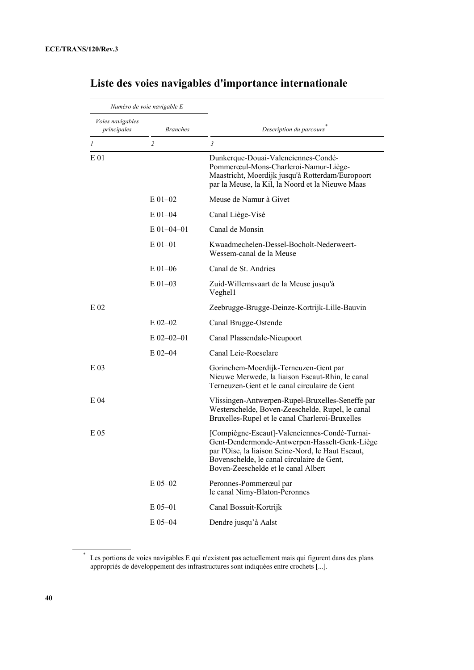| Numéro de voie navigable E      |                 |                                                                                                                                                                                                                                           |
|---------------------------------|-----------------|-------------------------------------------------------------------------------------------------------------------------------------------------------------------------------------------------------------------------------------------|
| Voies navigables<br>principales | <b>Branches</b> | Description du parcours                                                                                                                                                                                                                   |
| 1                               | $\overline{c}$  | 3                                                                                                                                                                                                                                         |
| E <sub>01</sub>                 |                 | Dunkerque-Douai-Valenciennes-Condé-<br>Pommerœul-Mons-Charleroi-Namur-Liège-<br>Maastricht, Moerdijk jusqu'à Rotterdam/Europoort<br>par la Meuse, la Kil, la Noord et la Nieuwe Maas                                                      |
|                                 | $E$ 01-02       | Meuse de Namur à Givet                                                                                                                                                                                                                    |
|                                 | $E$ 01-04       | Canal Liège-Visé                                                                                                                                                                                                                          |
|                                 | $E$ 01-04-01    | Canal de Monsin                                                                                                                                                                                                                           |
|                                 | $E$ 01-01       | Kwaadmechelen-Dessel-Bocholt-Nederweert-<br>Wessem-canal de la Meuse                                                                                                                                                                      |
|                                 | $E$ 01–06       | Canal de St. Andries                                                                                                                                                                                                                      |
|                                 | $E$ 01-03       | Zuid-Willemsvaart de la Meuse jusqu'à<br>Veghel1                                                                                                                                                                                          |
| $E_{02}$                        |                 | Zeebrugge-Brugge-Deinze-Kortrijk-Lille-Bauvin                                                                                                                                                                                             |
|                                 | $E$ 02-02       | Canal Brugge-Ostende                                                                                                                                                                                                                      |
|                                 | $E$ 02-02-01    | Canal Plassendale-Nieupoort                                                                                                                                                                                                               |
|                                 | $E$ 02-04       | Canal Leie-Roeselare                                                                                                                                                                                                                      |
| E 03                            |                 | Gorinchem-Moerdijk-Terneuzen-Gent par<br>Nieuwe Merwede, la liaison Escaut-Rhin, le canal<br>Terneuzen-Gent et le canal circulaire de Gent                                                                                                |
| E 04                            |                 | Vlissingen-Antwerpen-Rupel-Bruxelles-Seneffe par<br>Westerschelde, Boven-Zeeschelde, Rupel, le canal<br>Bruxelles-Rupel et le canal Charleroi-Bruxelles                                                                                   |
| E 05                            |                 | [Compiègne-Escaut]-Valenciennes-Condé-Turnai-<br>Gent-Dendermonde-Antwerpen-Hasselt-Genk-Liège<br>par l'Oise, la liaison Seine-Nord, le Haut Escaut,<br>Bovenschelde. le canal circulaire de Gent.<br>Boven-Zeeschelde et le canal Albert |
|                                 | E 05-02         | Peronnes-Pommerœul par<br>le canal Nimy-Blaton-Peronnes                                                                                                                                                                                   |
|                                 | $E_{05-01}$     | Canal Bossuit-Kortrijk                                                                                                                                                                                                                    |
|                                 | E 05-04         | Dendre jusqu'à Aalst                                                                                                                                                                                                                      |

# **Liste des voies navigables d'importance internationale**

<sup>\*</sup> Les portions de voies navigables E qui n'existent pas actuellement mais qui figurent dans des plans appropriés de développement des infrastructures sont indiquées entre crochets [...].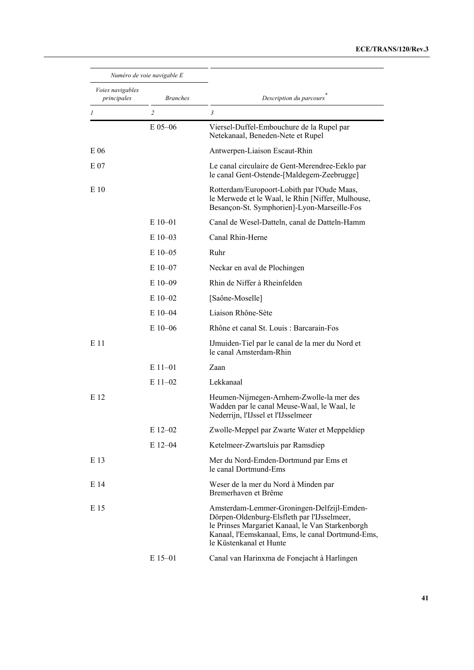### **ECE/TRANS/120/Rev.3**

| Numéro de voie navigable E      |                 |                                                                                                                                                                                                                               |
|---------------------------------|-----------------|-------------------------------------------------------------------------------------------------------------------------------------------------------------------------------------------------------------------------------|
| Voies navigables<br>principales | <b>Branches</b> | Description du parcours                                                                                                                                                                                                       |
| 1                               | $\overline{2}$  | 3                                                                                                                                                                                                                             |
|                                 | $E$ 05–06       | Viersel-Duffel-Embouchure de la Rupel par<br>Netekanaal, Beneden-Nete et Rupel                                                                                                                                                |
| E 06                            |                 | Antwerpen-Liaison Escaut-Rhin                                                                                                                                                                                                 |
| E 07                            |                 | Le canal circulaire de Gent-Merendree-Eeklo par<br>le canal Gent-Ostende-[Maldegem-Zeebrugge]                                                                                                                                 |
| E 10                            |                 | Rotterdam/Europoort-Lobith par l'Oude Maas,<br>le Merwede et le Waal, le Rhin [Niffer, Mulhouse,<br>Besançon-St. Symphorien]-Lyon-Marseille-Fos                                                                               |
|                                 | $E10-01$        | Canal de Wesel-Datteln, canal de Datteln-Hamm                                                                                                                                                                                 |
|                                 | $E$ 10-03       | Canal Rhin-Herne                                                                                                                                                                                                              |
|                                 | $E$ 10–05       | Ruhr                                                                                                                                                                                                                          |
|                                 | $E$ 10-07       | Neckar en aval de Plochingen                                                                                                                                                                                                  |
|                                 | $E10-09$        | Rhin de Niffer à Rheinfelden                                                                                                                                                                                                  |
|                                 | $E10-02$        | [Saône-Moselle]                                                                                                                                                                                                               |
|                                 | $E$ 10-04       | Liaison Rhône-Sète                                                                                                                                                                                                            |
|                                 | $E10-06$        | Rhône et canal St. Louis : Barcarain-Fos                                                                                                                                                                                      |
| E 11                            |                 | IJmuiden-Tiel par le canal de la mer du Nord et<br>le canal Amsterdam-Rhin                                                                                                                                                    |
|                                 | $E11-01$        | Zaan                                                                                                                                                                                                                          |
|                                 | $E$ 11-02       | Lekkanaal                                                                                                                                                                                                                     |
| E 12                            |                 | Heumen-Nijmegen-Arnhem-Zwolle-la mer des<br>Wadden par le canal Meuse-Waal, le Waal, le<br>Nederrijn, l'IJssel et l'IJsselmeer                                                                                                |
|                                 | E 12-02         | Zwolle-Meppel par Zwarte Water et Meppeldiep                                                                                                                                                                                  |
|                                 | $E$ 12-04       | Ketelmeer-Zwartsluis par Ramsdiep                                                                                                                                                                                             |
| E 13                            |                 | Mer du Nord-Emden-Dortmund par Ems et<br>le canal Dortmund-Ems                                                                                                                                                                |
| E 14                            |                 | Weser de la mer du Nord à Minden par<br>Bremerhaven et Brême                                                                                                                                                                  |
| E 15                            |                 | Amsterdam-Lemmer-Groningen-Delfzijl-Emden-<br>Dörpen-Oldenburg-Elsfleth par l'IJsselmeer,<br>le Prinses Margariet Kanaal, le Van Starkenborgh<br>Kanaal, l'Eemskanaal, Ems, le canal Dortmund-Ems,<br>le Küstenkanal et Hunte |
|                                 | $E$ 15-01       | Canal van Harinxma de Fonejacht à Harlingen                                                                                                                                                                                   |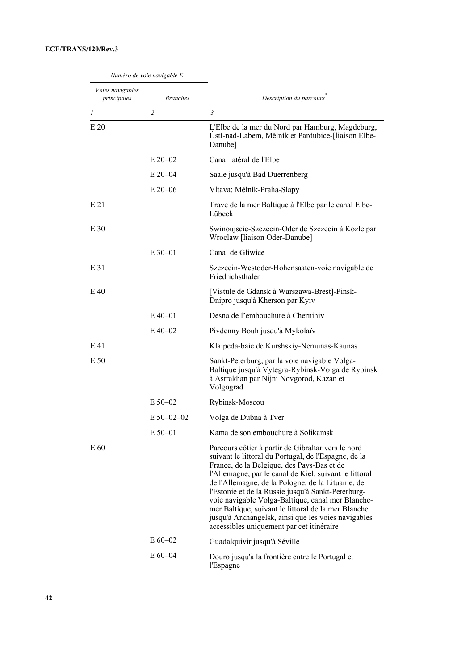| Numéro de voie navigable E             |                 |                                                                                                                                                                                                                                                                                                                                                                                                                                                                                                                                               |
|----------------------------------------|-----------------|-----------------------------------------------------------------------------------------------------------------------------------------------------------------------------------------------------------------------------------------------------------------------------------------------------------------------------------------------------------------------------------------------------------------------------------------------------------------------------------------------------------------------------------------------|
| <i>Voies navigables</i><br>principales | <b>Branches</b> | Description du parcours                                                                                                                                                                                                                                                                                                                                                                                                                                                                                                                       |
| $\boldsymbol{l}$                       | $\overline{c}$  | $\mathfrak{Z}$                                                                                                                                                                                                                                                                                                                                                                                                                                                                                                                                |
| E 20                                   |                 | L'Elbe de la mer du Nord par Hamburg, Magdeburg,<br>Ústí-nad-Labem, Mělník et Pardubice-[liaison Elbe-<br>Danube]                                                                                                                                                                                                                                                                                                                                                                                                                             |
|                                        | $E$ 20-02       | Canal latéral de l'Elbe                                                                                                                                                                                                                                                                                                                                                                                                                                                                                                                       |
|                                        | $E 20 - 04$     | Saale jusqu'à Bad Duerrenberg                                                                                                                                                                                                                                                                                                                                                                                                                                                                                                                 |
|                                        | $E$ 20–06       | Vltava: Mělník-Praha-Slapy                                                                                                                                                                                                                                                                                                                                                                                                                                                                                                                    |
| E 21                                   |                 | Trave de la mer Baltique à l'Elbe par le canal Elbe-<br>Lübeck                                                                                                                                                                                                                                                                                                                                                                                                                                                                                |
| E 30                                   |                 | Swinoujscie-Szczecin-Oder de Szczecin à Kozle par<br>Wroclaw [liaison Oder-Danube]                                                                                                                                                                                                                                                                                                                                                                                                                                                            |
|                                        | $E$ 30–01       | Canal de Gliwice                                                                                                                                                                                                                                                                                                                                                                                                                                                                                                                              |
| E 31                                   |                 | Szczecin-Westoder-Hohensaaten-voie navigable de<br>Friedrichsthaler                                                                                                                                                                                                                                                                                                                                                                                                                                                                           |
| E 40                                   |                 | [Vistule de Gdansk à Warszawa-Brest]-Pinsk-<br>Dnipro jusqu'à Kherson par Kyiv                                                                                                                                                                                                                                                                                                                                                                                                                                                                |
|                                        | $E$ 40-01       | Desna de l'embouchure à Chernihiv                                                                                                                                                                                                                                                                                                                                                                                                                                                                                                             |
|                                        | $E$ 40–02       | Pivdenny Bouh jusqu'à Mykolaïv                                                                                                                                                                                                                                                                                                                                                                                                                                                                                                                |
| E 41                                   |                 | Klaipeda-baie de Kurshskiy-Nemunas-Kaunas                                                                                                                                                                                                                                                                                                                                                                                                                                                                                                     |
| E 50                                   |                 | Sankt-Peterburg, par la voie navigable Volga-<br>Baltique jusqu'à Vytegra-Rybinsk-Volga de Rybinsk<br>à Astrakhan par Nijni Novgorod, Kazan et<br>Volgograd                                                                                                                                                                                                                                                                                                                                                                                   |
|                                        | $E$ 50–02       | Rybinsk-Moscou                                                                                                                                                                                                                                                                                                                                                                                                                                                                                                                                |
|                                        | $E$ 50-02-02    | Volga de Dubna à Tver                                                                                                                                                                                                                                                                                                                                                                                                                                                                                                                         |
|                                        | $E$ 50-01       | Kama de son embouchure à Solikamsk                                                                                                                                                                                                                                                                                                                                                                                                                                                                                                            |
| E 60                                   |                 | Parcours côtier à partir de Gibraltar vers le nord<br>suivant le littoral du Portugal, de l'Espagne, de la<br>France, de la Belgique, des Pays-Bas et de<br>l'Allemagne, par le canal de Kiel, suivant le littoral<br>de l'Allemagne, de la Pologne, de la Lituanie, de<br>l'Estonie et de la Russie jusqu'à Sankt-Peterburg-<br>voie navigable Volga-Baltique, canal mer Blanche-<br>mer Baltique, suivant le littoral de la mer Blanche<br>jusqu'à Arkhangelsk, ainsi que les voies navigables<br>accessibles uniquement par cet itinéraire |
|                                        | $E 60 - 02$     | Guadalquivir jusqu'à Séville                                                                                                                                                                                                                                                                                                                                                                                                                                                                                                                  |
|                                        | $E 60 - 04$     | Douro jusqu'à la frontière entre le Portugal et<br>l'Espagne                                                                                                                                                                                                                                                                                                                                                                                                                                                                                  |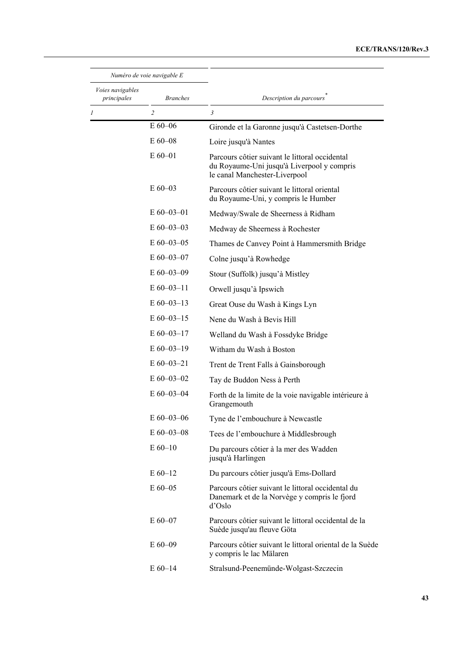### **ECE/TRANS/120/Rev.3**

|                                        | Numéro de voie navigable E |                                                                                                                               |
|----------------------------------------|----------------------------|-------------------------------------------------------------------------------------------------------------------------------|
| <i>Voies navigables</i><br>principales | <b>Branches</b>            | Description du parcours                                                                                                       |
| 1                                      | $\overline{c}$             | 3                                                                                                                             |
|                                        | $E 60 - 06$                | Gironde et la Garonne jusqu'à Castetsen-Dorthe                                                                                |
|                                        | $E$ 60–08                  | Loire jusqu'à Nantes                                                                                                          |
|                                        | $E 60 - 01$                | Parcours côtier suivant le littoral occidental<br>du Royaume-Uni jusqu'à Liverpool y compris<br>le canal Manchester-Liverpool |
|                                        | $E$ 60–03                  | Parcours côtier suivant le littoral oriental<br>du Royaume-Uni, y compris le Humber                                           |
|                                        | $E$ 60–03–01               | Medway/Swale de Sheerness à Ridham                                                                                            |
|                                        | $E$ 60-03-03               | Medway de Sheerness à Rochester                                                                                               |
|                                        | $E$ 60-03-05               | Thames de Canvey Point à Hammersmith Bridge                                                                                   |
|                                        | $E$ 60-03-07               | Colne jusqu'à Rowhedge                                                                                                        |
|                                        | $E$ 60-03-09               | Stour (Suffolk) jusqu'à Mistley                                                                                               |
|                                        | $E$ 60-03-11               | Orwell jusqu'à Ipswich                                                                                                        |
|                                        | $E$ 60-03-13               | Great Ouse du Wash à Kings Lyn                                                                                                |
|                                        | $E$ 60-03-15               | Nene du Wash à Bevis Hill                                                                                                     |
|                                        | $E 60 - 03 - 17$           | Welland du Wash à Fossdyke Bridge                                                                                             |
|                                        | $E$ 60-03-19               | Witham du Wash à Boston                                                                                                       |
|                                        | $E 60 - 03 - 21$           | Trent de Trent Falls à Gainsborough                                                                                           |
|                                        | $E$ 60-03-02               | Tay de Buddon Ness à Perth                                                                                                    |
|                                        | $E$ 60-03-04               | Forth de la limite de la voie navigable intérieure à<br>Grangemouth                                                           |
|                                        | $E$ 60–03–06               | Tyne de l'embouchure à Newcastle                                                                                              |
|                                        | $E$ 60–03–08               | Tees de l'embouchure à Middlesbrough                                                                                          |
|                                        | $E 60 - 10$                | Du parcours côtier à la mer des Wadden<br>jusqu'à Harlingen                                                                   |
|                                        | $E 60-12$                  | Du parcours côtier jusqu'à Ems-Dollard                                                                                        |
|                                        | $E 60 - 05$                | Parcours côtier suivant le littoral occidental du<br>Danemark et de la Norvège y compris le fjord<br>d'Oslo                   |
|                                        | E 60-07                    | Parcours côtier suivant le littoral occidental de la<br>Suède jusqu'au fleuve Göta                                            |
|                                        | $E 60 - 09$                | Parcours côtier suivant le littoral oriental de la Suède<br>y compris le lac Mälaren                                          |
|                                        | $E 60 - 14$                | Stralsund-Peenemünde-Wolgast-Szczecin                                                                                         |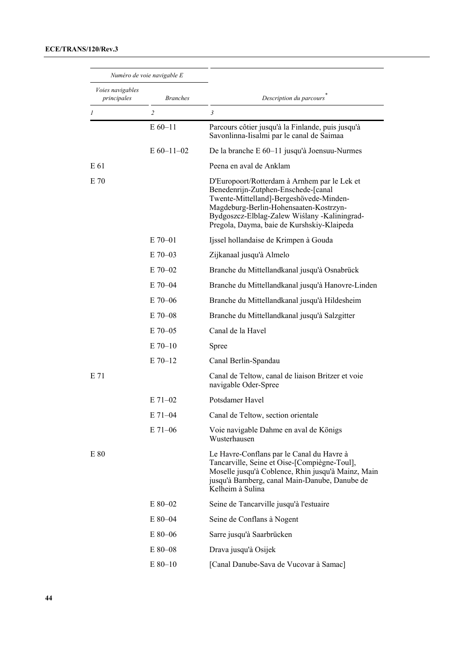| Numéro de voie navigable E      |                 |                                                                                                                                                                                                                                                                        |
|---------------------------------|-----------------|------------------------------------------------------------------------------------------------------------------------------------------------------------------------------------------------------------------------------------------------------------------------|
| Voies navigables<br>principales | <b>Branches</b> | Description du parcours                                                                                                                                                                                                                                                |
| 1                               | $\overline{c}$  | $\mathfrak{Z}$                                                                                                                                                                                                                                                         |
|                                 | $E 60 - 11$     | Parcours côtier jusqu'à la Finlande, puis jusqu'à<br>Savonlinna-Iisalmi par le canal de Saimaa                                                                                                                                                                         |
|                                 | $E$ 60-11-02    | De la branche E 60–11 jusqu'à Joensuu-Nurmes                                                                                                                                                                                                                           |
| E 61                            |                 | Peena en aval de Anklam                                                                                                                                                                                                                                                |
| E 70                            |                 | D'Europoort/Rotterdam à Arnhem par le Lek et<br>Benedenrijn-Zutphen-Enschede-[canal<br>Twente-Mittelland]-Bergeshövede-Minden-<br>Magdeburg-Berlin-Hohensaaten-Kostrzyn-<br>Bydgoszcz-Elblag-Zalew Wiślany -Kaliningrad-<br>Pregola, Dayma, baie de Kurshskiy-Klaipeda |
|                                 | $E$ 70–01       | Ijssel hollandaise de Krimpen à Gouda                                                                                                                                                                                                                                  |
|                                 | $E$ 70–03       | Zijkanaal jusqu'à Almelo                                                                                                                                                                                                                                               |
|                                 | $E$ 70–02       | Branche du Mittellandkanal jusqu'à Osnabrück                                                                                                                                                                                                                           |
|                                 | $E$ 70–04       | Branche du Mittellandkanal jusqu'à Hanovre-Linden                                                                                                                                                                                                                      |
|                                 | $E$ 70–06       | Branche du Mittellandkanal jusqu'à Hildesheim                                                                                                                                                                                                                          |
|                                 | $E$ 70–08       | Branche du Mittellandkanal jusqu'à Salzgitter                                                                                                                                                                                                                          |
|                                 | $E$ 70–05       | Canal de la Havel                                                                                                                                                                                                                                                      |
|                                 | $E$ 70–10       | Spree                                                                                                                                                                                                                                                                  |
|                                 | $E$ 70-12       | Canal Berlin-Spandau                                                                                                                                                                                                                                                   |
| E 71                            |                 | Canal de Teltow, canal de liaison Britzer et voie<br>navigable Oder-Spree                                                                                                                                                                                              |
|                                 | $E$ 71–02       | Potsdamer Havel                                                                                                                                                                                                                                                        |
|                                 | $E 71 - 04$     | Canal de Teltow, section orientale                                                                                                                                                                                                                                     |
|                                 | E 71-06         | Voie navigable Dahme en aval de Königs<br>Wusterhausen                                                                                                                                                                                                                 |
| E 80                            |                 | Le Havre-Conflans par le Canal du Havre à<br>Tancarville, Seine et Oise-[Compiègne-Toul],<br>Moselle jusqu'à Coblence, Rhin jusqu'à Mainz, Main<br>jusqu'à Bamberg, canal Main-Danube, Danube de<br>Kelheim à Sulina                                                   |
|                                 | $E80-02$        | Seine de Tancarville jusqu'à l'estuaire                                                                                                                                                                                                                                |
|                                 | $E80 - 04$      | Seine de Conflans à Nogent                                                                                                                                                                                                                                             |
|                                 | $E80-06$        | Sarre jusqu'à Saarbrücken                                                                                                                                                                                                                                              |
|                                 | E 80-08         | Drava jusqu'à Osijek                                                                                                                                                                                                                                                   |
|                                 | $E80-10$        | [Canal Danube-Sava de Vucovar à Samac]                                                                                                                                                                                                                                 |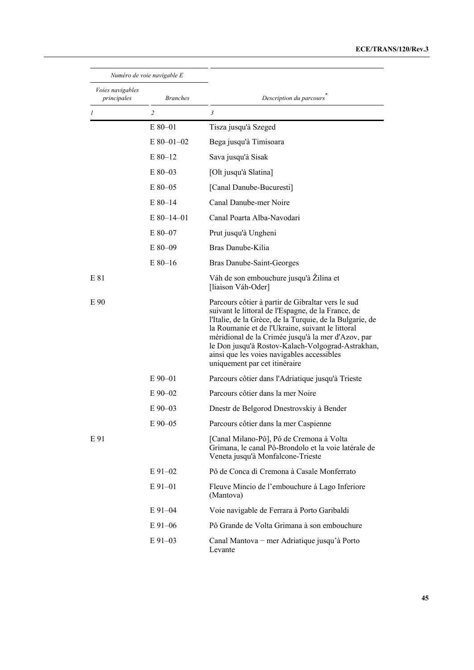### **ECE/TRANS/120/Rev.3**

|                                 | Numéro de voie navigable E |                                                                                                                                                                                                                                                                                                                                                                                                                   |
|---------------------------------|----------------------------|-------------------------------------------------------------------------------------------------------------------------------------------------------------------------------------------------------------------------------------------------------------------------------------------------------------------------------------------------------------------------------------------------------------------|
| Voies navigables<br>principales | <b>Branches</b>            | Description du parcours                                                                                                                                                                                                                                                                                                                                                                                           |
| 1                               | $\overline{c}$             | $\mathfrak{z}$                                                                                                                                                                                                                                                                                                                                                                                                    |
|                                 | $E80-01$                   | Tisza jusqu'à Szeged                                                                                                                                                                                                                                                                                                                                                                                              |
|                                 | $E$ 80-01-02               | Bega jusqu'à Timisoara                                                                                                                                                                                                                                                                                                                                                                                            |
|                                 | $E80-12$                   | Sava jusqu'à Sisak                                                                                                                                                                                                                                                                                                                                                                                                |
|                                 | $E80-03$                   | [Olt jusqu'à Slatina]                                                                                                                                                                                                                                                                                                                                                                                             |
|                                 | $E80-05$                   | [Canal Danube-Bucuresti]                                                                                                                                                                                                                                                                                                                                                                                          |
|                                 | $E80-14$                   | Canal Danube-mer Noire                                                                                                                                                                                                                                                                                                                                                                                            |
|                                 | $E$ 80-14-01               | Canal Poarta Alba-Navodari                                                                                                                                                                                                                                                                                                                                                                                        |
|                                 | $E80-07$                   | Prut jusqu'à Ungheni                                                                                                                                                                                                                                                                                                                                                                                              |
|                                 | $E80-09$                   | Bras Danube-Kilia                                                                                                                                                                                                                                                                                                                                                                                                 |
|                                 | $E80-16$                   | Bras Danube-Saint-Georges                                                                                                                                                                                                                                                                                                                                                                                         |
| E 81                            |                            | Váh de son embouchure jusqu'à Žilina et<br>[liaison Váh-Oder]                                                                                                                                                                                                                                                                                                                                                     |
| E 90                            |                            | Parcours côtier à partir de Gibraltar vers le sud<br>suivant le littoral de l'Espagne, de la France, de<br>l'Italie, de la Grèce, de la Turquie, de la Bulgarie, de<br>la Roumanie et de l'Ukraine, suivant le littoral<br>méridional de la Crimée jusqu'à la mer d'Azov, par<br>le Don jusqu'à Rostov-Kalach-Volgograd-Astrakhan,<br>ainsi que les voies navigables accessibles<br>uniquement par cet itinéraire |
|                                 | $E$ 90-01                  | Parcours côtier dans l'Adriatique jusqu'à Trieste                                                                                                                                                                                                                                                                                                                                                                 |
|                                 | $E90-02$                   | Parcours côtier dans la mer Noire                                                                                                                                                                                                                                                                                                                                                                                 |
|                                 | $E90-03$                   | Dnestr de Belgorod Dnestrovskiy à Bender                                                                                                                                                                                                                                                                                                                                                                          |
|                                 | $E90 - 05$                 | Parcours côtier dans la mer Caspienne                                                                                                                                                                                                                                                                                                                                                                             |
| E 91                            |                            | [Canal Milano-Pô], Pô de Cremona à Volta<br>Grimana, le canal Pô-Brondolo et la voie latérale de<br>Veneta jusqu'à Monfalcone-Trieste                                                                                                                                                                                                                                                                             |
|                                 | $E91-02$                   | Pô de Conca di Cremona à Casale Monferrato                                                                                                                                                                                                                                                                                                                                                                        |
|                                 | $E91-01$                   | Fleuve Mincio de l'embouchure à Lago Inferiore<br>(Mantova)                                                                                                                                                                                                                                                                                                                                                       |
|                                 | $E91-04$                   | Voie navigable de Ferrara à Porto Garibaldi                                                                                                                                                                                                                                                                                                                                                                       |
|                                 | $E91-06$                   | Pô Grande de Volta Grimana à son embouchure                                                                                                                                                                                                                                                                                                                                                                       |
|                                 | $E91-03$                   | Canal Mantova – mer Adriatique jusqu'à Porto<br>Levante                                                                                                                                                                                                                                                                                                                                                           |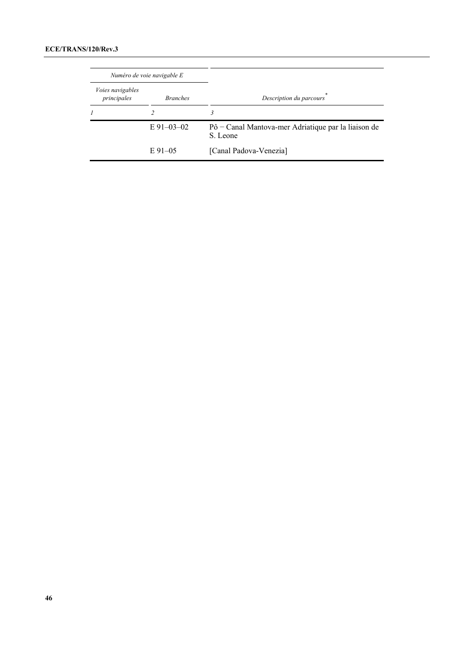| Numéro de voie navigable E             |                 |                                                                 |
|----------------------------------------|-----------------|-----------------------------------------------------------------|
| <i>Voies navigables</i><br>principales | <i>Branches</i> | Description du parcours                                         |
| $\boldsymbol{l}$                       |                 | 3                                                               |
|                                        | $E91-03-02$     | Pô – Canal Mantova-mer Adriatique par la liaison de<br>S. Leone |
|                                        | $E91-05$        | [Canal Padova-Venezia]                                          |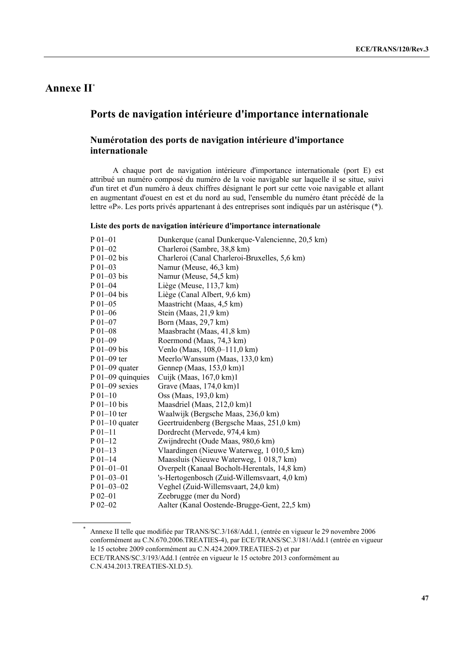# **Annexe II\***

# **Ports de navigation intérieure d'importance internationale**

### **Numérotation des ports de navigation intérieure d'importance internationale**

 A chaque port de navigation intérieure d'importance internationale (port E) est attribué un numéro composé du numéro de la voie navigable sur laquelle il se situe, suivi d'un tiret et d'un numéro à deux chiffres désignant le port sur cette voie navigable et allant en augmentant d'ouest en est et du nord au sud, l'ensemble du numéro étant précédé de la lettre «P». Les ports privés appartenant à des entreprises sont indiqués par un astérisque (\*).

#### **Liste des ports de navigation intérieure d'importance internationale**

| $P_{01-01}$           | Dunkerque (canal Dunkerque-Valencienne, 20,5 km) |
|-----------------------|--------------------------------------------------|
| $P_{01-02}$           | Charleroi (Sambre, 38,8 km)                      |
| $P_{01-02}$ bis       | Charleroi (Canal Charleroi-Bruxelles, 5,6 km)    |
| $P_{01-03}$           | Namur (Meuse, 46,3 km)                           |
| $P_{01-03}$ bis       | Namur (Meuse, 54,5 km)                           |
| $P_{01-04}$           | Liège (Meuse, 113,7 km)                          |
| P 01-04 bis           | Liège (Canal Albert, 9,6 km)                     |
| $P_{01-05}$           | Maastricht (Maas, 4,5 km)                        |
| $P_{01-06}$           | Stein (Maas, 21,9 km)                            |
| $P_{01-07}$           | Born (Maas, 29,7 km)                             |
| $P_{01-08}$           | Maasbracht (Maas, 41,8 km)                       |
| $P_{01-09}$           | Roermond (Maas, 74,3 km)                         |
| $P_{01-09}$ bis       | Venlo (Maas, 108,0-111,0 km)                     |
| $P_{01-09}$ ter       | Meerlo/Wanssum (Maas, 133,0 km)                  |
| $P_{01-09}$ quater    | Gennep (Maas, 153,0 km)1                         |
| $P_{01-09}$ quinquies | Cuijk (Maas, 167,0 km)1                          |
| $P_{01-09}$ sexies    | Grave (Maas, 174,0 km)1                          |
| $P_{01-10}$           | Oss (Maas, 193,0 km)                             |
| $P_{01-10}$ bis       | Maasdriel (Maas, 212,0 km)1                      |
| $P_{01-10}$ ter       | Waalwijk (Bergsche Maas, 236,0 km)               |
| $P_{01-10}$ quater    | Geertruidenberg (Bergsche Maas, 251,0 km)        |
| $P_01-11$             | Dordrecht (Mervede, 974,4 km)                    |
| $P_{01-12}$           | Zwijndrecht (Oude Maas, 980,6 km)                |
| $P_{01-13}$           | Vlaardingen (Nieuwe Waterweg, 1 010,5 km)        |
| $P_{01-14}$           | Maassluis (Nieuwe Waterweg, 1 018,7 km)          |
| $P_01-01-01$          | Overpelt (Kanaal Bocholt-Herentals, 14,8 km)     |
| $P_{01-03-01}$        | 's-Hertogenbosch (Zuid-Willemsvaart, 4,0 km)     |
| $P$ 01-03-02          | Veghel (Zuid-Willemsvaart, 24,0 km)              |
| $P_{02-01}$           | Zeebrugge (mer du Nord)                          |
| $P_{02-02}$           | Aalter (Kanal Oostende-Brugge-Gent, 22,5 km)     |

<sup>\*</sup> Annexe II telle que modifiée par TRANS/SC.3/168/Add.1, (entrée en vigueur le 29 novembre 2006 conformément au C.N.670.2006.TREATIES-4), par ECE/TRANS/SC.3/181/Add.1 (entrée en vigueur le 15 octobre 2009 conformément au C.N.424.2009.TREATIES-2) et par ECE/TRANS/SC.3/193/Add.1 (entrée en vigueur le 15 octobre 2013 conformément au

C.N.434.2013.TREATIES-XI.D.5).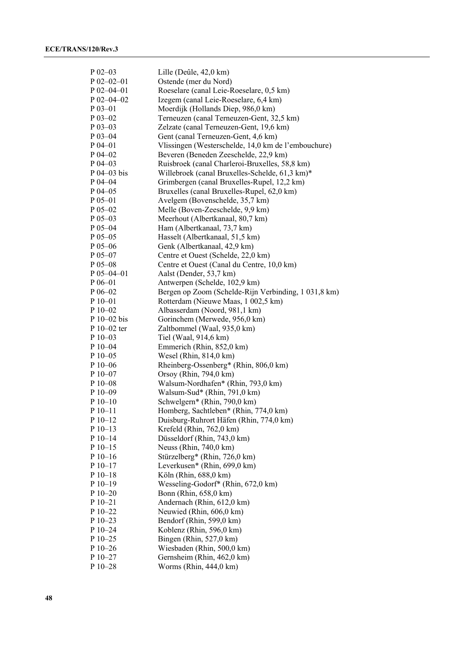| $P$ 02-03     | Lille (Deûle, 42,0 km)                               |
|---------------|------------------------------------------------------|
| $P$ 02-02-01  | Ostende (mer du Nord)                                |
|               |                                                      |
| $P$ 02-04-01  | Roeselare (canal Leie-Roeselare, 0,5 km)             |
| $P$ 02-04-02  | Izegem (canal Leie-Roeselare, 6,4 km)                |
| $P_03 - 01$   | Moerdijk (Hollands Diep, 986,0 km)                   |
| $P$ 03-02     | Terneuzen (canal Terneuzen-Gent, 32,5 km)            |
| $P$ 03-03     | Zelzate (canal Terneuzen-Gent, 19,6 km)              |
| $P$ 03-04     | Gent (canal Terneuzen-Gent, 4,6 km)                  |
| $P$ 04-01     | Vlissingen (Westerschelde, 14,0 km de l'embouchure)  |
| $P$ 04–02     | Beveren (Beneden Zeeschelde, 22,9 km)                |
| $P$ 04-03     | Ruisbroek (canal Charleroi-Bruxelles, 58,8 km)       |
| $P$ 04–03 bis | Willebroek (canal Bruxelles-Schelde, 61,3 km)*       |
| P 04-04       | Grimbergen (canal Bruxelles-Rupel, 12,2 km)          |
| $P_{04-05}$   | Bruxelles (canal Bruxelles-Rupel, 62,0 km)           |
| $P_{05-01}$   | Avelgem (Bovenschelde, 35,7 km)                      |
| $P_{05-02}$   | Melle (Boven-Zeeschelde, 9,9 km)                     |
| $P$ 05-03     | Meerhout (Albertkanaal, 80,7 km)                     |
| $P$ 05-04     | Ham (Albertkanaal, 73,7 km)                          |
| P 05-05       | Hasselt (Albertkanaal, 51,5 km)                      |
| $P$ 05-06     | Genk (Albertkanaal, 42,9 km)                         |
| $P_{05-07}$   | Centre et Ouest (Schelde, 22,0 km)                   |
| $P$ 05-08     | Centre et Ouest (Canal du Centre, 10,0 km)           |
|               |                                                      |
| $P$ 05-04-01  | Aalst (Dender, 53,7 km)                              |
| $P 06 - 01$   | Antwerpen (Schelde, 102,9 km)                        |
| $P_{06-02}$   | Bergen op Zoom (Schelde-Rijn Verbinding, 1 031,8 km) |
| $P_10-01$     | Rotterdam (Nieuwe Maas, 1 002,5 km)                  |
| $P_10-02$     | Albasserdam (Noord, 981,1 km)                        |
| $P_10-02$ bis | Gorinchem (Merwede, 956,0 km)                        |
| P 10-02 ter   | Zaltbommel (Waal, 935,0 km)                          |
| $P10-03$      | Tiel (Waal, 914,6 km)                                |
| P 10-04       | Emmerich (Rhin, 852,0 km)                            |
| $P10-05$      | Wesel (Rhin, $814,0 \text{ km}$ )                    |
| $P10-06$      | Rheinberg-Ossenberg* (Rhin, 806,0 km)                |
| P 10-07       | Orsoy (Rhin, 794,0 km)                               |
| $P_10-08$     | Walsum-Nordhafen* (Rhin, 793,0 km)                   |
| $P10-09$      | Walsum-Sud* (Rhin, 791,0 km)                         |
| $P_10-10$     | Schwelgern* (Rhin, 790,0 km)                         |
| $P_10-11$     | Homberg, Sachtleben* (Rhin, 774,0 km)                |
| $P_10-12$     | Duisburg-Ruhrort Häfen (Rhin, 774,0 km)              |
| $P$ 10-13     | Krefeld (Rhin, 762,0 km)                             |
| $P10-14$      | Düsseldorf (Rhin, 743,0 km)                          |
| $P10-15$      | Neuss (Rhin, 740,0 km)                               |
| $P10-16$      | Stürzelberg* (Rhin, 726,0 km)                        |
| $P 10-17$     | Leverkusen* (Rhin, 699,0 km)                         |
| $P 10-18$     | Köln (Rhin, 688,0 km)                                |
| $P10-19$      | Wesseling-Godorf* (Rhin, 672,0 km)                   |
| $P10-20$      | Bonn (Rhin, 658,0 km)                                |
| $P 10 - 21$   | Andernach (Rhin, 612,0 km)                           |
| P 10-22       | Neuwied (Rhin, 606,0 km)                             |
|               |                                                      |
| $P_10-23$     | Bendorf (Rhin, 599,0 km)                             |
| $P10-24$      | Koblenz (Rhin, 596,0 km)                             |
| $P$ 10-25     | Bingen (Rhin, 527,0 km)                              |
| $P10-26$      | Wiesbaden (Rhin, 500,0 km)                           |
| $P$ 10-27     | Gernsheim (Rhin, 462,0 km)                           |
| P 10-28       | Worms (Rhin, 444,0 km)                               |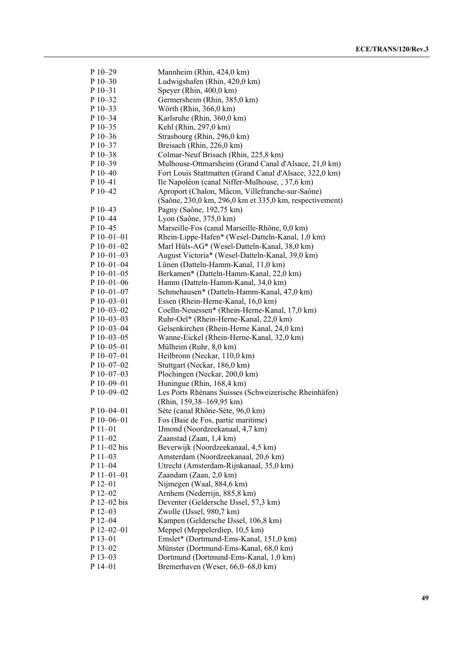| P 10-29                          | Mannheim (Rhin, 424,0 km)                               |
|----------------------------------|---------------------------------------------------------|
| P 10-30                          | Ludwigshafen (Rhin, 420,0 km)                           |
| $P$ 10-31                        | Speyer (Rhin, 400,0 km)                                 |
| P 10-32                          | Germersheim (Rhin, 385,0 km)                            |
| $P$ 10-33                        | Wörth (Rhin, 366,0 km)                                  |
| P 10-34                          | Karlsruhe (Rhin, 360,0 km)                              |
| $P10-35$                         | Kehl (Rhin, 297,0 km)                                   |
| P 10-36                          | Strasbourg (Rhin, 296,0 km)                             |
| $P$ 10-37                        | Breisach (Rhin, 226,0 km)                               |
| $P$ 10–38                        | Colmar-Neuf Brisach (Rhin, 225,8 km)                    |
| $P$ 10–39                        | Mulhouse-Ottmarsheim (Grand Canal d'Alsace, 21,0 km)    |
| $P_10-40$                        | Fort Louis Stattmatten (Grand Canal d'Alsace, 322,0 km) |
| P 10-41                          | Ile Napoléon (canal Niffer-Mulhouse, , 37,6 km)         |
| P 10-42                          | Aproport (Chalon, Mâcon, Villefranche-sur-Saône)        |
|                                  | (Saône, 230,0 km, 296,0 km et 335,0 km, respectivement) |
| P 10-43                          | Pagny (Saône, 192,75 km)                                |
| P 10-44                          | Lyon (Saône, 375,0 km)                                  |
| P 10-45                          | Marseille-Fos (canal Marseille-Rhône, 0,0 km)           |
| $P10-01-01$                      | Rhein-Lippe-Hafen* (Wesel-Datteln-Kanal, 1,0 km)        |
| $P$ 10-01-02                     | Marl Hüls-AG* (Wesel-Datteln-Kanal, 38,0 km)            |
| $P$ 10-01-03                     | August Victoria* (Wesel-Datteln-Kanal, 39,0 km)         |
| $P 10 - 01 - 04$                 | Lünen (Datteln-Hamm-Kanal, 11,0 km)                     |
| $P$ 10-01-05                     |                                                         |
|                                  | Berkamen* (Datteln-Hamm-Kanal, 22,0 km)                 |
| $P$ 10-01-06<br>$P 10 - 01 - 07$ | Hamm (Datteln-Hamm-Kanal, 34,0 km)                      |
|                                  | Schmehausen* (Datteln-Hamm-Kanal, 47,0 km)              |
| $P$ 10-03-01                     | Essen (Rhein-Herne-Kanal, 16,0 km)                      |
| $P$ 10-03-02                     | Coelln-Neuessen* (Rhein-Herne-Kanal, 17,0 km)           |
| P 10-03-03                       | Ruhr-Oel* (Rhein-Herne-Kanal, 22,0 km)                  |
| P 10-03-04                       | Gelsenkirchen (Rhein-Herne Kanal, 24,0 km)              |
| $P$ 10-03-05                     | Wanne-Eickel (Rhein-Herne-Kanal, 32,0 km)               |
| P 10-05-01                       | Mülheim (Ruhr, 8,0 km)                                  |
| $P$ 10-07-01                     | Heilbronn (Neckar, 110,0 km)                            |
| $P$ 10-07-02                     | Stuttgart (Neckar, 186,0 km)                            |
| $P$ 10-07-03                     | Plochingen (Neckar, 200,0 km)                           |
| $P$ 10-09-01                     | Huningue (Rhin, 168,4 km)                               |
| P 10-09-02                       | Les Ports Rhénans Suisses (Schweizerische Rheinhäfen)   |
|                                  | (Rhin, 159,38-169,95 km)                                |
| $P$ 10-04-01                     | Sète (canal Rhône-Sète, 96,0 km)                        |
| $P10-06-01$                      | Fos (Baie de Fos, partie maritime)                      |
| P 11-01                          | IJmond (Noordzeekanaal, 4,7 km)                         |
| $P11-02$                         | Zaanstad (Zaan, 1,4 km)                                 |
| P 11-02 bis                      | Beverwijk (Noordzeekanaal, 4,5 km)                      |
| P 11-03                          | Amsterdam (Noordzeekanaal, 20,6 km)                     |
| P 11-04                          | Utrecht (Amsterdam-Rijnkanaal, 35,0 km)                 |
| $P11-01-01$                      | Zaandam (Zaan, 2,0 km)                                  |
| $P_12-01$                        | Nijmegen (Waal, 884,6 km)                               |
| $P_12-02$                        | Arnhem (Nederrijn, 885,8 km)                            |
| P 12-02 bis                      | Deventer (Geldersche IJssel, 57,3 km)                   |
| $P$ 12-03                        | Zwolle (IJssel, 980,7 km)                               |
| P 12-04                          | Kampen (Geldersche IJssel, 106,8 km)                    |
| $P$ 12-02-01                     | Meppel (Meppelerdiep, 10,5 km)                          |
| P 13-01                          | Emslet* (Dortmund-Ems-Kanal, 151,0 km)                  |
| P 13-02                          | Münster (Dortmund-Ems-Kanal, 68,0 km)                   |
| P 13-03                          | Dortmund (Dortmund-Ems-Kanal, 1,0 km)                   |
| P 14-01                          | Bremerhaven (Weser, 66,0-68,0 km)                       |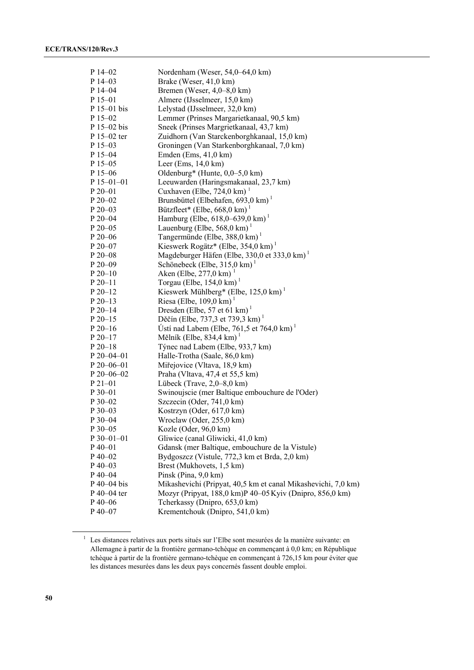| $P$ 14–02        | Nordenham (Weser, 54,0-64,0 km)                               |
|------------------|---------------------------------------------------------------|
| $P$ 14–03        | Brake (Weser, 41,0 km)                                        |
| $P$ 14–04        | Bremen (Weser, $4,0-8,0$ km)                                  |
| $P$ 15-01        | Almere (IJsselmeer, 15,0 km)                                  |
| $P$ 15–01 bis    | Lelystad (IJsselmeer, 32,0 km)                                |
| $P$ 15-02        | Lemmer (Prinses Margarietkanaal, 90,5 km)                     |
| $P_15-02$ bis    | Sneek (Prinses Margrietkanaal, 43,7 km)                       |
| P 15–02 ter      | Zuidhorn (Van Starckenborghkanaal, 15,0 km)                   |
| $P$ 15–03        | Groningen (Van Starkenborghkanaal, 7,0 km)                    |
| $P$ 15-04        | Emden (Ems, $41,0 \text{ km}$ )                               |
| $P$ 15-05        | Leer (Ems, $14,0 \text{ km}$ )                                |
| $P$ 15–06        | Oldenburg* (Hunte, $0,0-5,0$ km)                              |
| $P$ 15–01–01     | Leeuwarden (Haringsmakanaal, 23,7 km)                         |
| $P 20 - 01$      | Cuxhaven (Elbe, $724.0 \text{ km}$ ) <sup>1</sup>             |
| $P 20 - 02$      | Brunsbüttel (Elbehafen, 693,0 km) $^1$                        |
| $P 20 - 03$      | Bützfleet* (Elbe, $668,0 \text{ km}$ )                        |
| $P 20 - 04$      | Hamburg (Elbe, $618,0-639,0 \text{ km}$ ) <sup>1</sup>        |
| P 20-05          | Lauenburg (Elbe, 568,0 km) $^1$                               |
| $P 20 - 06$      | Tangermünde (Elbe, 388,0 km) <sup>1</sup>                     |
| $P 20 - 07$      | Kieswerk Rogätz* (Elbe, 354,0 km) $^1$                        |
| $P 20 - 08$      | Magdeburger Häfen (Elbe, 330,0 et 333,0 km)                   |
| $P 20 - 09$      | Schönebeck (Elbe, $315.0 \text{ km}$ ) <sup>1</sup>           |
| $P 20-10$        | Aken (Elbe, 277,0 km) $^{-1}$                                 |
| $P 20 - 11$      | Torgau (Elbe, $154.0 \text{ km}$ ) <sup>1</sup>               |
| $P 20-12$        | Kieswerk Mühlberg* (Elbe, $125.0 \text{ km}$ ) <sup>1</sup>   |
| $P 20-13$        | Riesa (Elbe, $109.0 \text{ km}$ ) <sup>1</sup>                |
| $P 20 - 14$      | Dresden (Elbe, 57 et 61 km) <sup>1</sup>                      |
| $P 20-15$        | Děčín (Elbe, 737,3 et 739,3 km) <sup>1</sup>                  |
| $P 20-16$        | Usti nad Labem (Elbe, 761,5 et 764,0 km) $^1$                 |
| $P 20-17$        | Mělník (Elbe, 834,4 km) $^1$                                  |
| $P 20 - 18$      | Týnec nad Labem (Elbe, 933,7 km)                              |
| $P 20 - 04 - 01$ | Halle-Trotha (Saale, 86,0 km)                                 |
| $P 20 - 06 - 01$ | Miřejovice (Vltava, 18,9 km)                                  |
| $P 20 - 06 - 02$ | Praha (Vltava, 47,4 et 55,5 km)                               |
| $P21-01$         | Lübeck (Trave, $2,0-8,0$ km)                                  |
| $P_{30-01}$      | Swinoujscie (mer Baltique embouchure de l'Oder)               |
| $P_{30-02}$      | Szczecin (Oder, 741,0 km)                                     |
| $P_{30-03}$      | Kostrzyn (Oder, 617,0 km)                                     |
| P 30-04          | Wroclaw (Oder, 255,0 km)                                      |
| $P$ 30-05        | Kozle (Oder, 96,0 km)                                         |
| $P$ 30-01-01     | Gliwice (canal Gliwicki, 41,0 km)                             |
| P 40-01          | Gdansk (mer Baltique, embouchure de la Vistule)               |
| P 40-02          | Bydgoszcz (Vistule, 772,3 km et Brda, 2,0 km)                 |
| $P$ 40-03        | Brest (Mukhovets, 1,5 km)                                     |
| $P$ 40–04        | Pinsk (Pina, 9,0 km)                                          |
| $P$ 40–04 bis    | Mikashevichi (Pripyat, 40,5 km et canal Mikashevichi, 7,0 km) |
| P 40-04 ter      | Mozyr (Pripyat, 188,0 km)P 40-05 Kyiv (Dnipro, 856,0 km)      |
| $P$ 40-06        | Tcherkassy (Dnipro, 653,0 km)                                 |
| $P$ 40-07        | Krementchouk (Dnipro, 541,0 km)                               |

<sup>&</sup>lt;sup>1</sup> Les distances relatives aux ports situés sur l'Elbe sont mesurées de la manière suivante: en Allemagne à partir de la frontière germano-tchèque en commençant à 0,0 km; en République tchèque à partir de la frontière germano-tchèque en commençant à 726,15 km pour éviter que les distances mesurées dans les deux pays concernés fassent double emploi.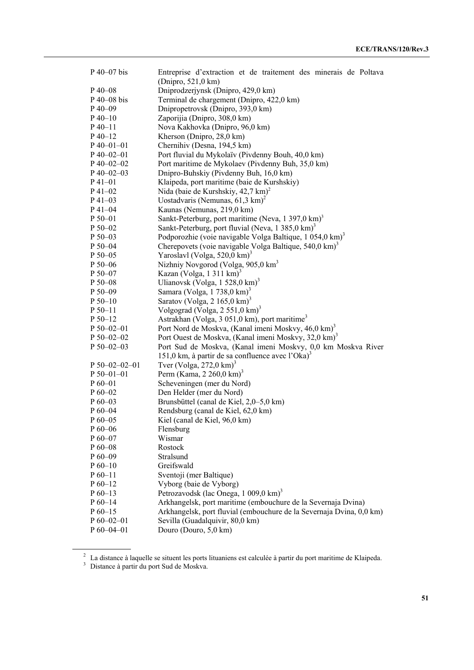| P 40-07 bis           | Entreprise d'extraction et de traitement des minerais de Poltava<br>(Dnipro, 521,0 km) |
|-----------------------|----------------------------------------------------------------------------------------|
| $P$ 40–08             | Dniprodzerjynsk (Dnipro, 429,0 km)                                                     |
| $P$ 40–08 bis         | Terminal de chargement (Dnipro, 422,0 km)                                              |
| $P$ 40-09             | Dnipropetrovsk (Dnipro, 393,0 km)                                                      |
| $P$ 40-10             | Zaporijia (Dnipro, 308,0 km)                                                           |
| $P_40-11$             | Nova Kakhovka (Dnipro, 96,0 km)                                                        |
| $P$ 40-12             | Kherson (Dnipro, 28,0 km)                                                              |
| $P$ 40–01–01          | Chernihiv (Desna, 194,5 km)                                                            |
| $P$ 40-02-01          | Port fluvial du Mykolaïv (Pivdenny Bouh, 40,0 km)                                      |
| $P$ 40-02-02          | Port maritime de Mykolaev (Pivdenny Buh, 35,0 km)                                      |
| $P$ 40-02-03          | Dnipro-Buhskiy (Pivdenny Buh, 16,0 km)                                                 |
| $P$ 41-01             | Klaipeda, port maritime (baie de Kurshskiy)                                            |
| $P$ 41-02             | Nida (baie de Kurshskiy, 42,7 km) <sup>2</sup>                                         |
| $P$ 41–03             | Uostadvaris (Nemunas, $61,3 \text{ km}$ ) <sup>2</sup>                                 |
| $P$ 41-04             | Kaunas (Nemunas, 219,0 km)                                                             |
| $P 50 - 01$           | Sankt-Peterburg, port maritime (Neva, $1\,397.0\,\mathrm{km}$ ) <sup>3</sup>           |
| P 50-02               | Sankt-Peterburg, port fluvial (Neva, 1 385,0 km) <sup>3</sup>                          |
| P 50-03               | Podporozhie (voie navigable Volga Baltique, 1 054,0 km) <sup>3</sup>                   |
| $P 50 - 04$           | Cherepovets (voie navigable Volga Baltique, 540,0 km) <sup>3</sup>                     |
| P 50-05               | Yaroslavl (Volga, 520,0 km) <sup>3</sup>                                               |
| $P 50 - 06$           | Nizhniy Novgorod (Volga, 905,0 km <sup>3</sup>                                         |
| $P 50 - 07$           | Kazan (Volga, 1311 km) <sup>3</sup>                                                    |
| P 50-08               | Ulianovsk (Volga, 1 $528,0 \text{ km}$ ) <sup>3</sup>                                  |
| P 50-09               | Samara (Volga, 1 738,0 km) <sup>3</sup>                                                |
| $P 50-10$             | Saratov (Volga, 2 165,0 km) <sup>3</sup>                                               |
| $P 50 - 11$           | Volgograd (Volga, 2 551,0 km) <sup>3</sup>                                             |
| $P 50-12$             | Astrakhan (Volga, 3 051,0 km), port maritime <sup>3</sup>                              |
| $P 50 - 02 - 01$      | Port Nord de Moskva, (Kanal imeni Moskvy, 46,0 km) <sup>3</sup>                        |
| $P 50 - 02 - 02$      | Port Ouest de Moskva, (Kanal imeni Moskvy, 32,0 km) <sup>3</sup>                       |
| P 50-02-03            | Port Sud de Moskva, (Kanal imeni Moskvy, 0,0 km Moskva River                           |
|                       | 151,0 km, à partir de sa confluence avec l'Oka) <sup>3</sup>                           |
| $P 50 - 02 - 02 - 01$ | Tver (Volga, $272.0 \text{ km}$ ) <sup>3</sup>                                         |
| $P 50 - 01 - 01$      | Perm (Kama, 2 260,0 km) <sup>3</sup>                                                   |
| $P_60-01$             | Scheveningen (mer du Nord)                                                             |
| $P_60-02$             | Den Helder (mer du Nord)                                                               |
| $P_60-03$             | Brunsbüttel (canal de Kiel, 2,0–5,0 km)                                                |
| $P_60-04$             | Rendsburg (canal de Kiel, 62,0 km)                                                     |
| $P60-05$              | Kiel (canal de Kiel, 96,0 km)                                                          |
| $P_60-06$             | Flensburg                                                                              |
| $P60-07$              | Wismar                                                                                 |
| $P_60-08$             | Rostock                                                                                |
| $P60-09$              | Stralsund                                                                              |
| $P_60-10$             | Greifswald                                                                             |
| $P_60-11$             | Sventoji (mer Baltique)                                                                |
| $P_60-12$             | Vyborg (baie de Vyborg)                                                                |
| $P_60-13$             | Petrozavodsk (lac Onega, 1 009,0 km) <sup>3</sup>                                      |
| $P_60-14$             | Arkhangelsk, port maritime (embouchure de la Severnaja Dvina)                          |
| $P60-15$              | Arkhangelsk, port fluvial (embouchure de la Severnaja Dvina, 0,0 km)                   |
| $P 60 - 02 - 01$      | Sevilla (Guadalquivir, 80,0 km)                                                        |
| P 60-04-01            | Douro (Douro, 5,0 km)                                                                  |
|                       |                                                                                        |

<sup>&</sup>lt;sup>2</sup> La distance à laquelle se situent les ports lituaniens est calculée à partir du port maritime de Klaipeda.<br><sup>3</sup> Distance à partir du port Sud de Moskva.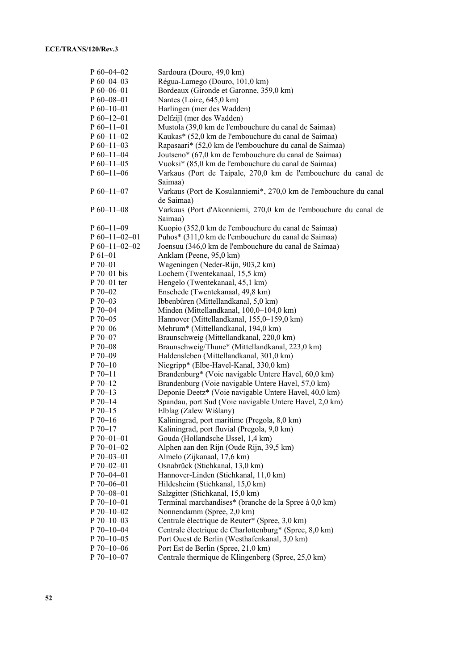| $P_060-04-02$     | Sardoura (Douro, 49,0 km)                                         |
|-------------------|-------------------------------------------------------------------|
| $P_060-04-03$     | Régua-Lamego (Douro, 101,0 km)                                    |
| $P_060-06-01$     | Bordeaux (Gironde et Garonne, 359,0 km)                           |
| $P 60 - 08 - 01$  | Nantes (Loire, 645,0 km)                                          |
| $P_060-10-01$     | Harlingen (mer des Wadden)                                        |
| $P_060-12-01$     | Delfzijl (mer des Wadden)                                         |
| $P_60-11-01$      | Mustola (39,0 km de l'embouchure du canal de Saimaa)              |
| $P_60-11-02$      | Kaukas* (52,0 km de l'embouchure du canal de Saimaa)              |
| $P_060-11-03$     | Rapasaari* (52,0 km de l'embouchure du canal de Saimaa)           |
| $P_60-11-04$      | Joutseno* (67,0 km de l'embouchure du canal de Saimaa)            |
| $P_0$ 60-11-05    | Vuoksi* (85,0 km de l'embouchure du canal de Saimaa)              |
| $P_0$ 60-11-06    | Varkaus (Port de Taipale, 270,0 km de l'embouchure du canal de    |
|                   | Saimaa)                                                           |
| $P_60-11-07$      | Varkaus (Port de Kosulanniemi*, 270,0 km de l'embouchure du canal |
|                   |                                                                   |
|                   | de Saimaa)                                                        |
| $P_60-11-08$      | Varkaus (Port d'Akonniemi, 270,0 km de l'embouchure du canal de   |
|                   | Saimaa)                                                           |
| $P_60-11-09$      | Kuopio (352,0 km de l'embouchure du canal de Saimaa)              |
| $P_0$ 60-11-02-01 | Puhos* (311,0 km de l'embouchure du canal de Saimaa)              |
| $P_0$ 60-11-02-02 | Joensuu (346,0 km de l'embouchure du canal de Saimaa)             |
| $P_61 - 01$       | Anklam (Peene, 95,0 km)                                           |
| $P70-01$          | Wageningen (Neder-Rijn, 903,2 km)                                 |
| P 70-01 bis       | Lochem (Twentekanaal, 15,5 km)                                    |
| P 70-01 ter       | Hengelo (Twentekanaal, 45,1 km)                                   |
| $P70-02$          | Enschede (Twentekanaal, 49,8 km)                                  |
| $P 70 - 03$       | Ibbenbüren (Mittellandkanal, 5,0 km)                              |
| P 70-04           | Minden (Mittellandkanal, 100,0-104,0 km)                          |
| P 70-05           | Hannover (Mittellandkanal, 155,0-159,0 km)                        |
| $P 70 - 06$       | Mehrum* (Mittellandkanal, 194,0 km)                               |
| $P 70 - 07$       | Braunschweig (Mittellandkanal, 220,0 km)                          |
| P 70-08           | Braunschweig/Thune* (Mittellandkanal, 223,0 km)                   |
| $P 70 - 09$       | Haldensleben (Mittellandkanal, 301,0 km)                          |
| $P 70-10$         | Niegripp* (Elbe-Havel-Kanal, 330,0 km)                            |
| $P 70 - 11$       | Brandenburg* (Voie navigable Untere Havel, 60,0 km)               |
| $P 70-12$         | Brandenburg (Voie navigable Untere Havel, 57,0 km)                |
| $P 70-13$         | Deponie Deetz* (Voie navigable Untere Havel, 40,0 km)             |
| $P 70-14$         | Spandau, port Sud (Voie navigable Untere Havel, 2,0 km)           |
| $P 70-15$         | Elblag (Zalew Wiślany)                                            |
| $P 70-16$         | Kaliningrad, port maritime (Pregola, 8,0 km)                      |
| $P 70-17$         | Kaliningrad, port fluvial (Pregola, 9,0 km)                       |
| $P 70 - 01 - 01$  | Gouda (Hollandsche IJssel, 1,4 km)                                |
| $P 70 - 01 - 02$  | Alphen aan den Rijn (Oude Rijn, 39,5 km)                          |
| $P 70 - 03 - 01$  | Almelo (Zijkanaal, 17,6 km)                                       |
| $P 70 - 02 - 01$  | Osnabrück (Stichkanal, 13,0 km)                                   |
| $P 70 - 04 - 01$  | Hannover-Linden (Stichkanal, 11,0 km)                             |
| $P 70 - 06 - 01$  | Hildesheim (Stichkanal, 15,0 km)                                  |
| $P 70 - 08 - 01$  | Salzgitter (Stichkanal, 15,0 km)                                  |
| $P 70 - 10 - 01$  | Terminal marchandises* (branche de la Spree à 0,0 km)             |
| P 70-10-02        |                                                                   |
|                   | Nonnendamm (Spree, 2,0 km)                                        |
| $P 70 - 10 - 03$  | Centrale électrique de Reuter* (Spree, 3,0 km)                    |
| P 70-10-04        | Centrale électrique de Charlottenburg* (Spree, 8,0 km)            |
| $P 70 - 10 - 05$  | Port Ouest de Berlin (Westhafenkanal, 3,0 km)                     |
| $P 70 - 10 - 06$  | Port Est de Berlin (Spree, 21,0 km)                               |
| $P 70 - 10 - 07$  | Centrale thermique de Klingenberg (Spree, 25,0 km)                |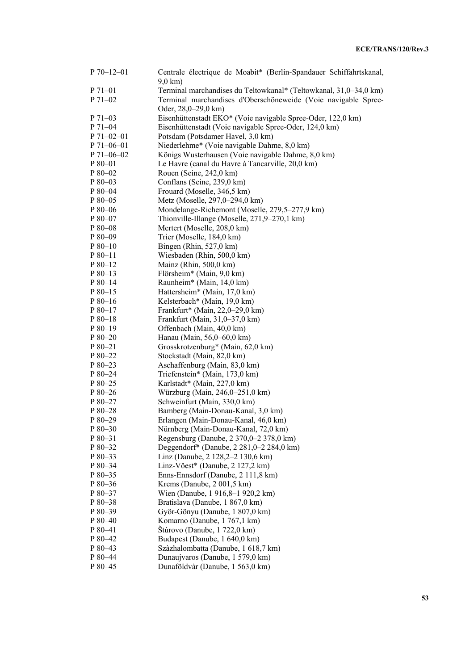| $P 70 - 12 - 01$   | Centrale électrique de Moabit* (Berlin-Spandauer Schiffahrtskanal,<br>$9,0 \text{ km}$ ) |
|--------------------|------------------------------------------------------------------------------------------|
| $P 71 - 01$        | Terminal marchandises du Teltowkanal* (Teltowkanal, 31,0–34,0 km)                        |
| P 71-02            | Terminal marchandises d'Oberschöneweide (Voie navigable Spree-<br>Oder, 28,0–29,0 km)    |
| $P 71-03$          | Eisenhüttenstadt EKO* (Voie navigable Spree-Oder, 122,0 km)                              |
| P 71-04            | Eisenhüttenstadt (Voie navigable Spree-Oder, 124,0 km)                                   |
| $P 71 - 02 - 01$   | Potsdam (Potsdamer Havel, 3,0 km)                                                        |
| $P 71 - 06 - 01$   | Niederlehme* (Voie navigable Dahme, 8,0 km)                                              |
| $P 71 - 06 - 02$   | Königs Wusterhausen (Voie navigable Dahme, 8,0 km)                                       |
| P 80-01            | Le Havre (canal du Havre à Tancarville, 20,0 km)                                         |
| P 80-02            | Rouen (Seine, 242,0 km)                                                                  |
| $P80-03$           | Conflans (Seine, 239,0 km)                                                               |
| P 80-04            | Frouard (Moselle, 346,5 km)                                                              |
| $P80-05$           | Metz (Moselle, 297,0–294,0 km)                                                           |
| P 80-06            | Mondelange-Richemont (Moselle, 279,5–277,9 km)                                           |
| P 80-07            | Thionville-Illange (Moselle, 271,9–270,1 km)                                             |
| P 80-08            | Mertert (Moselle, 208,0 km)                                                              |
| P 80-09            | Trier (Moselle, 184,0 km)                                                                |
| $P80-10$           | Bingen (Rhin, 527,0 km)                                                                  |
| $P80-11$           | Wiesbaden (Rhin, 500,0 km)                                                               |
| $P80-12$           | Mainz (Rhin, 500,0 km)                                                                   |
| $P80-13$           | Flörsheim* (Main, 9,0 km)                                                                |
| $P80-14$           | Raunheim* (Main, 14,0 km)                                                                |
| $P80-15$           | Hattersheim* (Main, 17,0 km)                                                             |
| $P80-16$           | Kelsterbach* (Main, 19,0 km)                                                             |
| P 80-17            | Frankfurt* (Main, 22,0–29,0 km)                                                          |
| $P80-18$           | Frankfurt (Main, 31,0-37,0 km)                                                           |
| $P80-19$           | Offenbach (Main, 40,0 km)                                                                |
| $P80-20$           | Hanau (Main, 56,0–60,0 km)                                                               |
| $P80-21$           | Grosskrotzenburg* (Main, 62,0 km)                                                        |
| P 80-22            | Stockstadt (Main, 82,0 km)                                                               |
| $P80-23$           | Aschaffenburg (Main, 83,0 km)                                                            |
| P 80-24            | Triefenstein* (Main, 173,0 km)                                                           |
| $P80-25$           | Karlstadt* (Main, 227,0 km)                                                              |
| $P80-26$           | Würzburg (Main, 246,0–251,0 km)                                                          |
| P 80-27            | Schweinfurt (Main, 330,0 km)                                                             |
| $P80-28$           | Bamberg (Main-Donau-Kanal, 3,0 km)                                                       |
| P 80-29            | Erlangen (Main-Donau-Kanal, 46,0 km)                                                     |
| P 80-30            | Nürnberg (Main-Donau-Kanal, 72,0 km)                                                     |
| P 80-31            | Regensburg (Danube, 2 370,0-2 378,0 km)                                                  |
| P 80-32            | Deggendorf* (Danube, 2 281,0–2 284,0 km)                                                 |
| P 80-33            | Linz (Danube, 2 128,2–2 130,6 km)                                                        |
| P 80-34            | Linz-Vöest* (Danube, 2 127,2 km)                                                         |
| P 80-35            | Enns-Ennsdorf (Danube, 2 111,8 km)                                                       |
| P 80-36            | Krems (Danube, 2 001,5 km)                                                               |
| P 80-37            | Wien (Danube, 1916,8-1920,2 km)                                                          |
| P 80-38            | Bratislava (Danube, 1 867,0 km)                                                          |
| P 80-39            | Györ-Gönyu (Danube, 1 807,0 km)                                                          |
| $P80-40$           | Komarno (Danube, 1767,1 km)                                                              |
| P 80-41            | Štúrovo (Danube, 1 722,0 km)<br>Budapest (Danube, 1 640,0 km)                            |
| P 80-42<br>P 80-43 |                                                                                          |
|                    | Szàzhalombatta (Danube, 1 618,7 km)                                                      |
| P 80-44<br>P 80-45 | Dunaujvaros (Danube, 1 579,0 km)<br>Dunaföldvàr (Danube, 1 563,0 km)                     |
|                    |                                                                                          |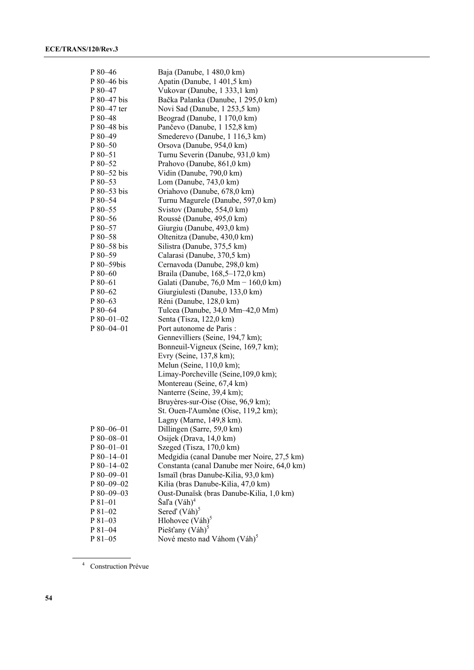| P 80-46     | Baja (Danube, 1 480,0 km)                   |
|-------------|---------------------------------------------|
| P 80-46 bis | Apatin (Danube, 1 401,5 km)                 |
| P 80-47     | Vukovar (Danube, 1 333,1 km)                |
| P 80-47 bis | Bačka Palanka (Danube, 1 295,0 km)          |
| P 80-47 ter | Novi Sad (Danube, 1 253,5 km)               |
| P 80-48     | Beograd (Danube, 1 170,0 km)                |
| P 80-48 bis | Pančevo (Danube, 1 152,8 km)                |
| P 80-49     | Smederevo (Danube, 1 116,3 km)              |
| P 80-50     | Orsova (Danube, 954,0 km)                   |
| P 80-51     | Turnu Severin (Danube, 931,0 km)            |
| P 80-52     | Prahovo (Danube, 861,0 km)                  |
| P 80–52 bis | Vidin (Danube, 790,0 km)                    |
| P 80-53     | Lom (Danube, $743,0 \text{ km}$ )           |
| P 80-53 bis | Oriahovo (Danube, 678,0 km)                 |
| P 80-54     | Turnu Magurele (Danube, 597,0 km)           |
| P 80-55     | Svistov (Danube, 554,0 km)                  |
| P 80-56     | Roussé (Danube, 495,0 km)                   |
| P 80-57     | Giurgiu (Danube, 493,0 km)                  |
| P 80-58     |                                             |
|             | Oltenitza (Danube, 430,0 km)                |
| P 80-58 bis | Silistra (Danube, 375,5 km)                 |
| P 80-59     | Calarasi (Danube, 370,5 km)                 |
| P 80-59bis  | Cernavoda (Danube, 298,0 km)                |
| P 80-60     | Braila (Danube, 168,5-172,0 km)             |
| $P80-61$    | Galati (Danube, 76,0 Mm - 160,0 km)         |
| P 80-62     | Giurgiulesti (Danube, 133,0 km)             |
| P 80-63     | Réni (Danube, 128,0 km)                     |
| P 80-64     | Tulcea (Danube, 34,0 Mm-42,0 Mm)            |
| P 80-01-02  | Senta (Tisza, 122,0 km)                     |
| P 80-04-01  | Port autonome de Paris :                    |
|             | Gennevilliers (Seine, 194,7 km);            |
|             | Bonneuil-Vigneux (Seine, 169,7 km);         |
|             | Evry (Seine, 137,8 km);                     |
|             | Melun (Seine, 110,0 km);                    |
|             | Limay-Porcheville (Seine, 109,0 km);        |
|             | Montereau (Seine, 67,4 km)                  |
|             | Nanterre (Seine, 39,4 km);                  |
|             | Bruyères-sur-Oise (Oise, 96,9 km);          |
|             | St. Ouen-l'Aumône (Oise, 119,2 km);         |
|             | Lagny (Marne, 149,8 km).                    |
| $P80-06-01$ | Dillingen (Sarre, 59,0 km)                  |
| $P80-08-01$ | Osijek (Drava, 14,0 km)                     |
| $P80-01-01$ | Szeged (Tisza, 170,0 km)                    |
| $P80-14-01$ | Medgidia (canal Danube mer Noire, 27,5 km)  |
| P 80-14-02  | Constanta (canal Danube mer Noire, 64,0 km) |
| P 80-09-01  | Ismaïl (bras Danube-Kilia, 93,0 km)         |
| P 80-09-02  | Kilia (bras Danube-Kilia, 47,0 km)          |
| $P80-09-03$ | Oust-Dunaïsk (bras Danube-Kilia, 1,0 km)    |
| $P81-01$    | Šaľa (Váh) <sup>4</sup>                     |
| P 81-02     | Sered' (Váh) <sup>5</sup>                   |
| $P81-03$    | Hlohovec (Váh) <sup>5</sup>                 |
| P 81-04     | Piešťany $(Váh)5$                           |
| P 81-05     | Nové mesto nad Váhom (Váh) <sup>5</sup>     |

4 Construction Prévue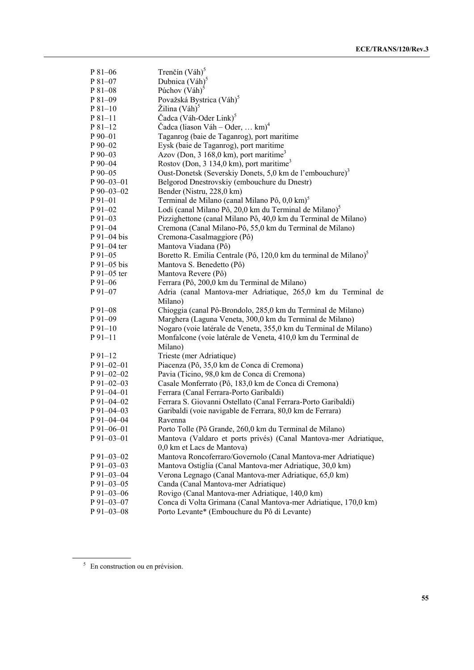| P 81-06         | Trenčín (Váh) <sup>5</sup>                                                   |
|-----------------|------------------------------------------------------------------------------|
| $P81-07$        | Dubnica (Váh) <sup>5</sup>                                                   |
| P 81-08         | Púchov $(Váh)5$                                                              |
| P 81-09         | Považská Bystrica (Váh) <sup>5</sup>                                         |
| $P81-10$        | Žilina (Váh) <sup>5</sup>                                                    |
| $P81-11$        | Čadca (Váh-Oder Link) <sup>5</sup>                                           |
| $P81-12$        | Čadca (liason Váh – Oder,  km) <sup>4</sup>                                  |
| $P_{90-01}$     | Taganrog (baie de Taganrog), port maritime                                   |
| $P_{90-02}$     | Eysk (baie de Taganrog), port maritime                                       |
| $P90-03$        | Azov (Don, 3 168,0 km), port maritime <sup>3</sup>                           |
| $P_{90-04}$     | Rostov (Don, 3 134,0 km), port maritime <sup>3</sup>                         |
| $P_{90-05}$     | Oust-Donetsk (Severskiy Donets, 5,0 km de l'embouchure) <sup>3</sup>         |
| $P$ 90-03-01    | Belgorod Dnestrovskiy (embouchure du Dnestr)                                 |
| $P$ 90-03-02    | Bender (Nistru, 228,0 km)                                                    |
| P 91-01         | Terminal de Milano (canal Milano Pô, 0,0 km) <sup>5</sup>                    |
| $P91-02$        | Lodi (canal Milano Pô, 20,0 km du Terminal de Milano) <sup>5</sup>           |
| $P_{91-03}$     | Pizzighettone (canal Milano Pô, 40,0 km du Terminal de Milano)               |
| $P_{91-04}$     | Cremona (Canal Milano-Pô, 55,0 km du Terminal de Milano)                     |
| $P_{91-04}$ bis | Cremona-Casalmaggiore (Pô)                                                   |
| P 91-04 ter     | Mantova Viadana (Pô)                                                         |
| $P91-05$        | Boretto R. Emilia Centrale (Pô, 120,0 km du terminal de Milano) <sup>5</sup> |
| $P_{91-05}$ bis | Mantova S. Benedetto (Pô)                                                    |
| P 91-05 ter     | Mantova Revere (Pô)                                                          |
| P 91-06         | Ferrara (Pô, 200,0 km du Terminal de Milano)                                 |
| P 91-07         | Adria (canal Mantova-mer Adriatique, 265,0 km du Terminal de                 |
|                 | Milano)                                                                      |
| P 91-08         | Chioggia (canal Pô-Brondolo, 285,0 km du Terminal de Milano)                 |
| $P_{91-09}$     | Marghera (Laguna Veneta, 300,0 km du Terminal de Milano)                     |
| $P_{91-10}$     | Nogaro (voie latérale de Veneta, 355,0 km du Terminal de Milano)             |
| $P91-11$        | Monfalcone (voie latérale de Veneta, 410,0 km du Terminal de                 |
|                 | Milano)                                                                      |
| $P_{91-12}$     | Trieste (mer Adriatique)                                                     |
| $P$ 91-02-01    | Piacenza (Pô, 35,0 km de Conca di Cremona)                                   |
| P 91-02-02      | Pavia (Ticino, 98,0 km de Conca di Cremona)                                  |
| $P$ 91–02–03    | Casale Monferrato (Pô, 183,0 km de Conca di Cremona)                         |
| $P$ 91-04-01    | Ferrara (Canal Ferrara-Porto Garibaldi)                                      |
| $P$ 91-04-02    | Ferrara S. Giovanni Ostellato (Canal Ferrara-Porto Garibaldi)                |
| $P$ 91-04-03    | Garibaldi (voie navigable de Ferrara, 80,0 km de Ferrara)                    |
| P 91-04-04      | Ravenna                                                                      |
| P 91-06-01      | Porto Tolle (Pô Grande, 260,0 km du Terminal de Milano)                      |
| P 91-03-01      | Mantova (Valdaro et ports privés) (Canal Mantova-mer Adriatique,             |
|                 | 0,0 km et Lacs de Mantova)                                                   |
| $P$ 91-03-02    | Mantova Roncoferraro/Governolo (Canal Mantova-mer Adriatique)                |
| $P$ 91-03-03    | Mantova Ostiglia (Canal Mantova-mer Adriatique, 30,0 km)                     |
| P 91-03-04      | Verona Legnago (Canal Mantova-mer Adriatique, 65,0 km)                       |
| $P91-03-05$     | Canda (Canal Mantova-mer Adriatique)                                         |
| $P$ 91-03-06    | Rovigo (Canal Mantova-mer Adriatique, 140,0 km)                              |
| P 91-03-07      | Conca di Volta Grimana (Canal Mantova-mer Adriatique, 170,0 km)              |
| P 91-03-08      | Porto Levante* (Embouchure du Pô di Levante)                                 |

 $5$  En construction ou en prévision.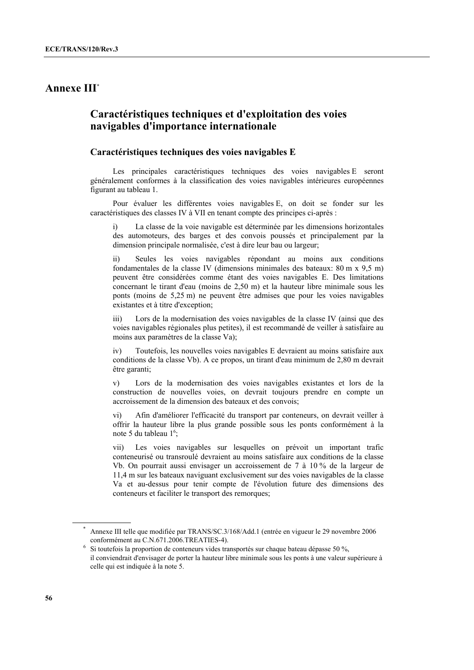# **Annexe III\***

# **Caractéristiques techniques et d'exploitation des voies navigables d'importance internationale**

### **Caractéristiques techniques des voies navigables E**

 Les principales caractéristiques techniques des voies navigables E seront généralement conformes à la classification des voies navigables intérieures européennes figurant au tableau 1.

 Pour évaluer les différentes voies navigables E, on doit se fonder sur les caractéristiques des classes IV à VII en tenant compte des principes ci-après :

La classe de la voie navigable est déterminée par les dimensions horizontales des automoteurs, des barges et des convois poussés et principalement par la dimension principale normalisée, c'est à dire leur bau ou largeur;

ii) Seules les voies navigables répondant au moins aux conditions fondamentales de la classe IV (dimensions minimales des bateaux: 80 m x 9,5 m) peuvent être considérées comme étant des voies navigables E. Des limitations concernant le tirant d'eau (moins de 2,50 m) et la hauteur libre minimale sous les ponts (moins de 5,25 m) ne peuvent être admises que pour les voies navigables existantes et à titre d'exception;

iii) Lors de la modernisation des voies navigables de la classe IV (ainsi que des voies navigables régionales plus petites), il est recommandé de veiller à satisfaire au moins aux paramètres de la classe Va);

iv) Toutefois, les nouvelles voies navigables E devraient au moins satisfaire aux conditions de la classe Vb). A ce propos, un tirant d'eau minimum de 2,80 m devrait être garanti;

v) Lors de la modernisation des voies navigables existantes et lors de la construction de nouvelles voies, on devrait toujours prendre en compte un accroissement de la dimension des bateaux et des convois;

vi) Afin d'améliorer l'efficacité du transport par conteneurs, on devrait veiller à offrir la hauteur libre la plus grande possible sous les ponts conformément à la note 5 du tableau 1<sup>6</sup>;

vii) Les voies navigables sur lesquelles on prévoit un important trafic conteneurisé ou transroulé devraient au moins satisfaire aux conditions de la classe Vb. On pourrait aussi envisager un accroissement de 7 à 10 % de la largeur de 11,4 m sur les bateaux naviguant exclusivement sur des voies navigables de la classe Va et au-dessus pour tenir compte de l'évolution future des dimensions des conteneurs et faciliter le transport des remorques;

<sup>\*</sup> Annexe III telle que modifiée par TRANS/SC.3/168/Add.1 (entrée en vigueur le 29 novembre 2006 conformément au C.N.671.2006.TREATIES-4). 6 Si toutefois la proportion de conteneurs vides transportés sur chaque bateau dépasse 50 %,

il conviendrait d'envisager de porter la hauteur libre minimale sous les ponts à une valeur supérieure à celle qui est indiquée à la note 5.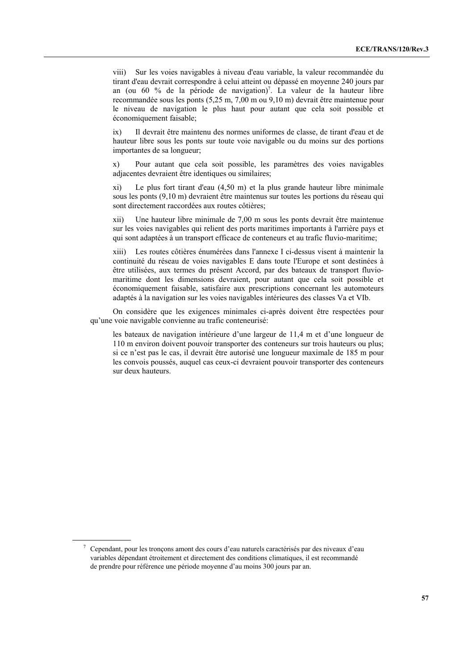viii) Sur les voies navigables à niveau d'eau variable, la valeur recommandée du tirant d'eau devrait correspondre à celui atteint ou dépassé en moyenne 240 jours par an (ou 60 % de la période de navigation)<sup>7</sup>. La valeur de la hauteur libre recommandée sous les ponts (5,25 m, 7,00 m ou 9,10 m) devrait être maintenue pour le niveau de navigation le plus haut pour autant que cela soit possible et économiquement faisable;

ix) Il devrait être maintenu des normes uniformes de classe, de tirant d'eau et de hauteur libre sous les ponts sur toute voie navigable ou du moins sur des portions importantes de sa longueur;

x) Pour autant que cela soit possible, les paramètres des voies navigables adjacentes devraient être identiques ou similaires;

xi) Le plus fort tirant d'eau (4,50 m) et la plus grande hauteur libre minimale sous les ponts (9,10 m) devraient être maintenus sur toutes les portions du réseau qui sont directement raccordées aux routes côtières;

xii) Une hauteur libre minimale de 7,00 m sous les ponts devrait être maintenue sur les voies navigables qui relient des ports maritimes importants à l'arrière pays et qui sont adaptées à un transport efficace de conteneurs et au trafic fluvio-maritime;

xiii) Les routes côtières énumérées dans l'annexe I ci-dessus visent à maintenir la continuité du réseau de voies navigables E dans toute l'Europe et sont destinées à être utilisées, aux termes du présent Accord, par des bateaux de transport fluviomaritime dont les dimensions devraient, pour autant que cela soit possible et économiquement faisable, satisfaire aux prescriptions concernant les automoteurs adaptés à la navigation sur les voies navigables intérieures des classes Va et VIb.

 On considère que les exigences minimales ci-après doivent être respectées pour qu'une voie navigable convienne au trafic conteneurisé:

les bateaux de navigation intérieure d'une largeur de 11,4 m et d'une longueur de 110 m environ doivent pouvoir transporter des conteneurs sur trois hauteurs ou plus; si ce n'est pas le cas, il devrait être autorisé une longueur maximale de 185 m pour les convois poussés, auquel cas ceux-ci devraient pouvoir transporter des conteneurs sur deux hauteurs.

 <sup>7</sup> Cependant, pour les tronçons amont des cours d'eau naturels caractérisés par des niveaux d'eau variables dépendant étroitement et directement des conditions climatiques, il est recommandé de prendre pour référence une période moyenne d'au moins 300 jours par an.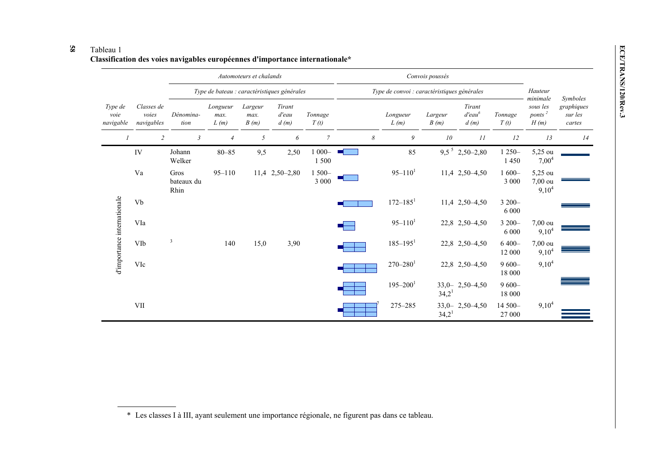### **58**

|                                           |                                   | Automoteurs et chalands                     |                          |                         | Convois poussés<br>Type de convoi : caractéristiques générales |                     |                 |                          |                   |                                |                    |                                                                 |                                 |
|-------------------------------------------|-----------------------------------|---------------------------------------------|--------------------------|-------------------------|----------------------------------------------------------------|---------------------|-----------------|--------------------------|-------------------|--------------------------------|--------------------|-----------------------------------------------------------------|---------------------------------|
|                                           |                                   | Type de bateau : caractéristiques générales |                          |                         |                                                                |                     |                 |                          | Hauteur           | Symboles                       |                    |                                                                 |                                 |
| Type de<br>voie<br>navigable              | Classes de<br>voies<br>navigables | Dénomina-<br>tion                           | Longueur<br>max.<br>L(m) | Largeur<br>max.<br>B(m) | Tirant<br>d'eau<br>d(m)                                        | Tonnage<br>T(t)     |                 | Longueur<br>L(m)         | Largeur<br>B(m)   | Tirant<br>$d' e a u^6$<br>d(m) | Tonnage<br>T(t)    | minimale<br>sous les<br>ponts <sup><math>2</math></sup><br>H(m) | graphiques<br>sur les<br>cartes |
|                                           | $\overline{c}$                    | $\mathfrak{Z}$                              | $\overline{4}$           | 5                       | 6                                                              | $\overline{7}$      | 8               | 9                        | 10                | 11                             | 12                 | 13                                                              | 14                              |
|                                           | IV                                | Johann<br>Welker                            | $80 - 85$                | 9,5                     | 2,50                                                           | $1000 -$<br>1500    | <b>Contract</b> | 85                       |                   | $9,5^5$ 2,50-2,80              | $1250 -$<br>1450   | 5,25 ou<br>$7,00^4$                                             |                                 |
| Va                                        |                                   | Gros<br>bateaux du<br>Rhin                  | $95 - 110$               |                         | 11,4 2,50-2,80                                                 | $1500 -$<br>3 0 0 0 |                 | $95 - 110$ <sup>1</sup>  |                   | 11,4 2,50 - 4,50               | $1600 -$<br>3 000  | 5,25 ou<br>7,00 ou<br>$9,10^4$                                  |                                 |
|                                           | Vb                                |                                             |                          |                         |                                                                |                     |                 | $172 - 185$ <sup>1</sup> |                   | 11,4 2,50 - 4,50               | 3 200-<br>6 0 0 0  |                                                                 |                                 |
|                                           | VIa                               |                                             |                          |                         |                                                                |                     |                 | $95 - 110^{1}$           |                   | 22,8 2,50 - 4,50               | 3 200-<br>6 0 0 0  | 7,00 ou<br>$9,10^4$                                             |                                 |
| d'importance internationale<br>VIb<br>VIc |                                   | 3                                           | 140                      | 15,0                    | 3,90                                                           |                     |                 | $185 - 195$ <sup>1</sup> |                   | 22,8 2,50 - 4,50               | $6400 -$<br>12 000 | 7,00 ou<br>$9,10^4$                                             |                                 |
|                                           |                                   |                                             |                          |                         |                                                                |                     |                 | $270 - 280$ <sup>1</sup> |                   | 22,8 2,50 - 4,50               | $9600 -$<br>18 000 | $9,10^4$                                                        |                                 |
|                                           |                                   |                                             |                          |                         |                                                                |                     |                 | $195 - 200^1$            | 34,2 <sup>1</sup> | $33,0-2,50-4,50$               | $9600 -$<br>18 000 |                                                                 |                                 |
|                                           | <b>VII</b>                        |                                             |                          |                         |                                                                |                     |                 | 275-285                  | 34,2 <sup>1</sup> | $33,0-2,50-4,50$               | 14 500-<br>27 000  | $9,10^4$                                                        |                                 |

<sup>\*</sup> Les classes I à III, ayant seulement une importance régionale, ne figurent pas dans ce tableau.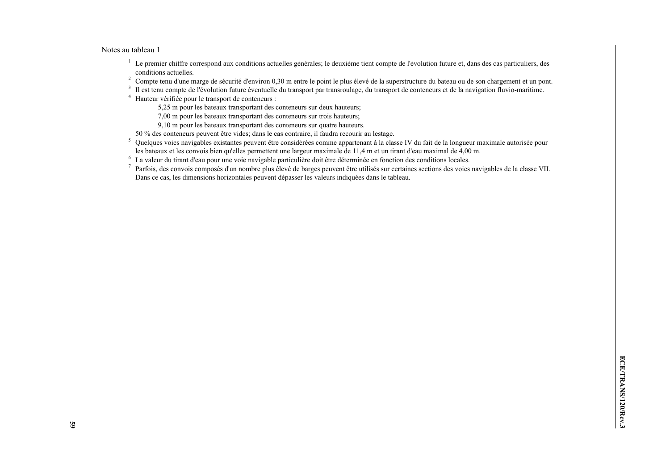#### Notes au tableau 1

- <sup>1</sup> Le premier chiffre correspond aux conditions actuelles générales; le deuxième tient compte de l'évolution future et, dans des cas particuliers, des conditions actuelles.
- <sup>2</sup> Compte tenu d'une marge de sécurité d'environ 0,30 m entre le point le plus élevé de la superstructure du bateau ou de son chargement et un pont.<br><sup>3</sup> Il est tenu compte de l'évolution future éventuelle du transport pa
- Il est tenu compte de l'évolution future éventuelle du transport par transroulage, du transport de conteneurs et de la navigation fluvio-maritime.
- 4 Hauteur vérifiée pour le transport de conteneurs :
	- 5,25 m pour les bateaux transportant des conteneurs sur deux hauteurs;
	- 7,00 m pour les bateaux transportant des conteneurs sur trois hauteurs;
	- 9,10 m pour les bateaux transportant des conteneurs sur quatre hauteurs.
- 50 % des conteneurs peuvent être vides; dans le cas contraire, il faudra recourir au lestage.
- <sup>5</sup> Quelques voies navigables existantes peuvent être considérées comme appartenant à la classe IV du fait de la longueur maximale autorisée pour les bateaux et les convois bien qu'elles permettent une largeur maximale de 11,4 m et un tirant d'eau maximal de 4,00 m.
- 6 La valeur du tirant d'eau pour une voie navigable particulière doit être déterminée en fonction des conditions locales.
- 7 Parfois, des convois composés d'un nombre plus élevé de barges peuvent être utilisés sur certaines sections des voies navigables de la classe VII. Dans ce cas, les dimensions horizontales peuvent dépasser les valeurs indiquées dans le tableau.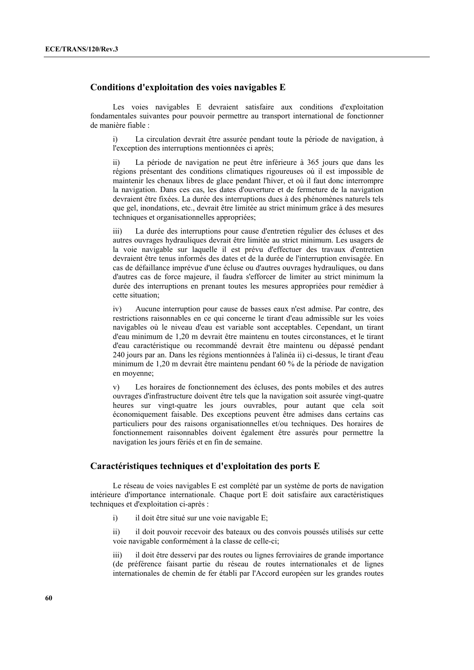### **Conditions d'exploitation des voies navigables E**

 Les voies navigables E devraient satisfaire aux conditions d'exploitation fondamentales suivantes pour pouvoir permettre au transport international de fonctionner de manière fiable :

i) La circulation devrait être assurée pendant toute la période de navigation, à l'exception des interruptions mentionnées ci après;

ii) La période de navigation ne peut être inférieure à 365 jours que dans les régions présentant des conditions climatiques rigoureuses où il est impossible de maintenir les chenaux libres de glace pendant l'hiver, et où il faut donc interrompre la navigation. Dans ces cas, les dates d'ouverture et de fermeture de la navigation devraient être fixées. La durée des interruptions dues à des phénomènes naturels tels que gel, inondations, etc., devrait être limitée au strict minimum grâce à des mesures techniques et organisationnelles appropriées;

iii) La durée des interruptions pour cause d'entretien régulier des écluses et des autres ouvrages hydrauliques devrait être limitée au strict minimum. Les usagers de la voie navigable sur laquelle il est prévu d'effectuer des travaux d'entretien devraient être tenus informés des dates et de la durée de l'interruption envisagée. En cas de défaillance imprévue d'une écluse ou d'autres ouvrages hydrauliques, ou dans d'autres cas de force majeure, il faudra s'efforcer de limiter au strict minimum la durée des interruptions en prenant toutes les mesures appropriées pour remédier à cette situation;

iv) Aucune interruption pour cause de basses eaux n'est admise. Par contre, des restrictions raisonnables en ce qui concerne le tirant d'eau admissible sur les voies navigables où le niveau d'eau est variable sont acceptables. Cependant, un tirant d'eau minimum de 1,20 m devrait être maintenu en toutes circonstances, et le tirant d'eau caractéristique ou recommandé devrait être maintenu ou dépassé pendant 240 jours par an. Dans les régions mentionnées à l'alinéa ii) ci-dessus, le tirant d'eau minimum de 1,20 m devrait être maintenu pendant 60 % de la période de navigation en moyenne;

v) Les horaires de fonctionnement des écluses, des ponts mobiles et des autres ouvrages d'infrastructure doivent être tels que la navigation soit assurée vingt-quatre heures sur vingt-quatre les jours ouvrables, pour autant que cela soit économiquement faisable. Des exceptions peuvent être admises dans certains cas particuliers pour des raisons organisationnelles et/ou techniques. Des horaires de fonctionnement raisonnables doivent également être assurés pour permettre la navigation les jours fériés et en fin de semaine.

#### **Caractéristiques techniques et d'exploitation des ports E**

 Le réseau de voies navigables E est complété par un système de ports de navigation intérieure d'importance internationale. Chaque port E doit satisfaire aux caractéristiques techniques et d'exploitation ci-après :

i) il doit être situé sur une voie navigable E;

ii) il doit pouvoir recevoir des bateaux ou des convois poussés utilisés sur cette voie navigable conformément à la classe de celle-ci;

iii) il doit être desservi par des routes ou lignes ferroviaires de grande importance (de préférence faisant partie du réseau de routes internationales et de lignes internationales de chemin de fer établi par l'Accord européen sur les grandes routes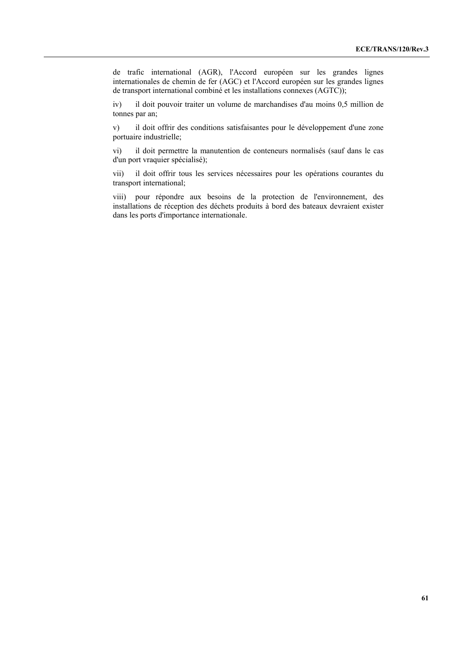de trafic international (AGR), l'Accord européen sur les grandes lignes internationales de chemin de fer (AGC) et l'Accord européen sur les grandes lignes de transport international combiné et les installations connexes (AGTC));

iv) il doit pouvoir traiter un volume de marchandises d'au moins 0,5 million de tonnes par an;

v) il doit offrir des conditions satisfaisantes pour le développement d'une zone portuaire industrielle;

vi) il doit permettre la manutention de conteneurs normalisés (sauf dans le cas d'un port vraquier spécialisé);

vii) il doit offrir tous les services nécessaires pour les opérations courantes du transport international;

viii) pour répondre aux besoins de la protection de l'environnement, des installations de réception des déchets produits à bord des bateaux devraient exister dans les ports d'importance internationale.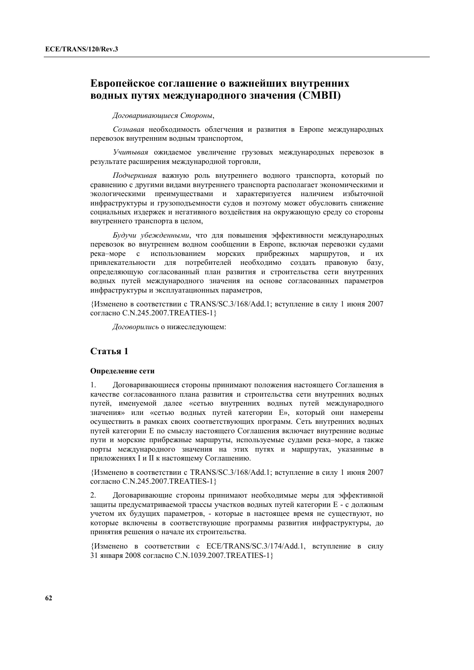# **Европейское соглашение о важнейших внутренних водных путях международного значения (СМВП)**

#### *Договаривающиеся Стороны*,

*Сознавая* необходимость облегчения и развития в Европе международных перевозок внутренним водным транспортом,

*Учитывая* ожидаемое увеличение грузовых международных перевозок в результате расширения международной торговли,

*Подчеркивая* важную роль внутреннего водного транспорта, который по сравнению с другими видами внутреннего транспорта располагает экономическими и экологическими преимуществами и характеризуется наличием избыточной инфраструктуры и грузоподъемности судов и поэтому может обусловить снижение социальных издержек и негативного воздействия на окружающую среду со стороны внутреннего транспорта в целом,

*Будучи убежденными*, что для повышения эффективности международных перевозок во внутреннем водном сообщении в Европе, включая перевозки судами река–море с использованием морских прибрежных маршрутов, и их привлекательности для потребителей необходимо создать правовую базу, определяющую согласованный план развития и строительства сети внутренних водных путей международного значения на основе согласованных параметров инфраструктуры и эксплуатационных параметров,

{Изменено в соответствии с TRANS/SC.3/168/Add.1; вступление в силу 1 июня 2007 согласно C.N.245.2007.TREATIES-1}

*Договорились* о нижеследующем:

### **Статья 1**

#### **Определение сети**

1. Договаривающиеся стороны принимают положения настоящего Соглашения в качестве согласованного плана развития и строительства сети внутренних водных путей, именуемой далее «сетью внутренних водных путей международного значения» или «сетью водных путей категории Е», который они намерены осуществить в рамках своих соответствующих программ. Сеть внутренних водных путей категории Е по смыслу настоящего Соглашения включает внутренние водные пути и морские прибрежные маршруты, используемые судами река–море, а также порты международного значения на этих путях и маршрутах, указанные в приложениях I и II к настоящему Соглашению.

{Изменено в соответствии с TRANS/SC.3/168/Add.1; вступление в силу 1 июня 2007 согласно C.N.245.2007.TREATIES-1}

2. Договаривающие стороны принимают необходимые меры для эффективной защиты предусматриваемой трассы участков водных путей категории Е - с должным учетом их будущих параметров, - которые в настоящее время не существуют, но которые включены в соответствующие программы развития инфраструктуры, до принятия решения о начале их строительства.

{Изменено в соответствии с ECE/TRANS/SC.3/174/Add.1, вступление в силу 31 января 2008 согласно C.N.1039.2007.TREATIES-1}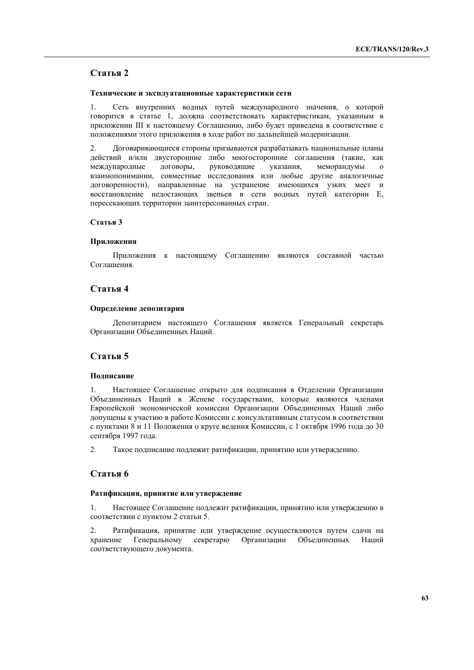### **Статья 2**

#### **Технические и эксплуатационные характеристики сети**

1. Сеть внутренних водных путей международного значения, о которой говорится в статье 1, должна соответствовать характеристикам, указанным в приложении III к настоящему Соглашению, либо будет приведена в соответствие с положениями этого приложения в ходе работ по дальнейшей модернизации.

2. Договаривающиеся стороны призываются разрабатывать национальные планы действий и/или двусторонние либо многосторонние соглашения (такие, как международные договоры, руководящие указания, меморандумы о взаимопонимании, совместные исследования или любые другие аналогичные договоренности), направленные на устранение имеющихся узких мест и восстановление недостающих звеньев в сети водных путей категории Е, пересекающих территории заинтересованных стран.

#### **Статья 3**

#### **Приложения**

Приложения к настоящему Соглашению являются составной частью Соглашения.

### **Статья 4**

#### **Определение депозитария**

Депозитарием настоящего Соглашения является Генеральный секретарь Организации Объединенных Наций.

### **Статья 5**

#### **Подписание**

1. Настоящее Соглашение открыто для подписания в Отделении Организации Объединенных Наций в Женеве государствами, которые являются членами Европейской экономической комиссии Организации Объединенных Наций либо допущены к участию в работе Комиссии с консультативным статусом в соответствии с пунктами 8 и 11 Положения о круге ведения Комиссии, с 1 октября 1996 года до 30 сентября 1997 года.

2. Такое подписание подлежит ратификации, принятию или утверждению.

### **Статья 6**

#### **Ратификация, принятие или утверждение**

1. Настоящее Соглашение подлежит ратификации, принятию или утверждению в соответствии с пунктом 2 статьи 5.

2. Ратификация, принятие или утверждение осуществляются путем сдачи на хранение Генеральному секретарю Организации Объединенных Наций соответствующего документа.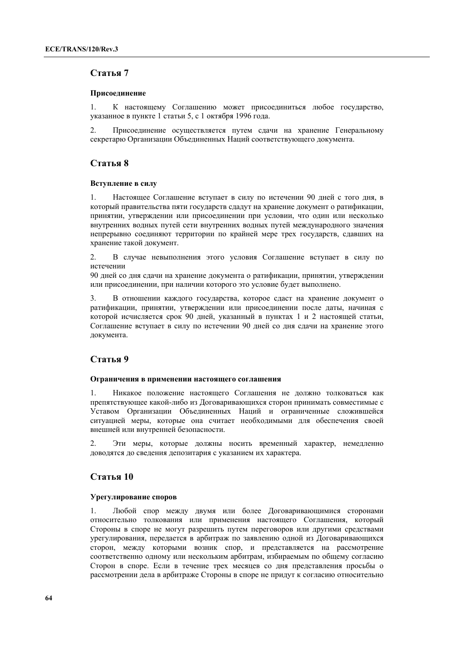### **Статья 7**

#### **Присоединение**

1. К настоящему Соглашению может присоединиться любое государство, указанное в пункте 1 статьи 5, с 1 октября 1996 года.

2. Присоединение осуществляется путем сдачи на хранение Генеральному секретарю Организации Объединенных Наций соответствующего документа.

### **Статья 8**

#### **Вступление в силу**

1. Настоящее Соглашение вступает в силу по истечении 90 дней с того дня, в который правительства пяти государств сдадут на хранение документ о ратификации, принятии, утверждении или присоединении при условии, что один или несколько внутренних водных путей сети внутренних водных путей международного значения непрерывно соединяют территории по крайней мере трех государств, сдавших на хранение такой документ.

2. В случае невыполнения этого условия Соглашение вступает в силу по истечении

90 дней со дня сдачи на хранение документа о ратификации, принятии, утверждении или присоединении, при наличии которого это условие будет выполнено.

3. В отношении каждого государства, которое сдаст на хранение документ о ратификации, принятии, утверждении или присоединении после даты, начиная с которой исчисляется срок 90 дней, указанный в пунктах 1 и 2 настоящей статьи, Соглашение вступает в силу по истечении 90 дней со дня сдачи на хранение этого документа.

### **Статья 9**

#### **Ограничения в применении настоящего соглашения**

1. Никакое положение настоящего Соглашения не должно толковаться как препятствующее какой-либо из Договаривающихся сторон принимать совместимые с Уставом Организации Объединенных Наций и ограниченные сложившейся ситуацией меры, которые она считает необходимыми для обеспечения своей внешней или внутренней безопасности.

2. Эти меры, которые должны носить временный характер, немедленно доводятся до сведения депозитария с указанием их характера.

### **Статья 10**

#### **Урегулирование споров**

1. Любой спор между двумя или более Договаривающимися сторонами относительно толкования или применения настоящего Соглашения, который Стороны в споре не могут разрешить путем переговоров или другими средствами урегулирования, передается в арбитраж по заявлению одной из Договаривающихся сторон, между которыми возник спор, и представляется на рассмотрение соответственно одному или нескольким арбитрам, избираемым по общему согласию Сторон в споре. Если в течение трех месяцев со дня представления просьбы о рассмотрении дела в арбитраже Стороны в споре не придут к согласию относительно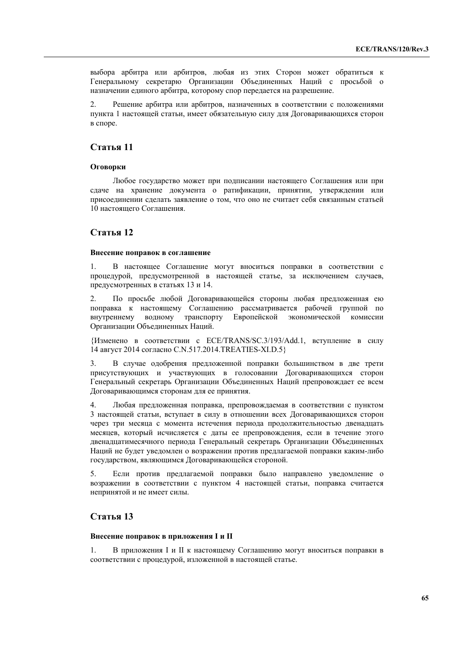выбора арбитра или арбитров, любая из этих Сторон может обратиться к Генеральному секретарю Организации Объединенных Наций с просьбой о назначении единого арбитра, которому спор передается на разрешение.

2. Решение арбитра или арбитров, назначенных в соответствии с положениями пункта 1 настоящей статьи, имеет обязательную силу для Договаривающихся сторон в споре.

### **Статья 11**

#### **Оговорки**

Любое государство может при подписании настоящего Соглашения или при сдаче на хранение документа о ратификации, принятии, утверждении или присоединении сделать заявление о том, что оно не считает себя связанным статьей 10 настоящего Соглашения.

#### **Статья 12**

#### **Внесение поправок в соглашение**

1. В настоящее Соглашение могут вноситься поправки в соответствии с процедурой, предусмотренной в настоящей статье, за исключением случаев, предусмотренных в статьях 13 и 14.

2. По просьбе любой Договаривающейся стороны любая предложенная ею поправка к настоящему Соглашению рассматривается рабочей группой по внутреннему водному транспорту Европейской экономической комиссии Организации Объединенных Наций.

{Изменено в соответствии с ECE/TRANS/SC.3/193/Add.1, вступление в силу 14 август 2014 согласно C.N.517.2014.TREATIES-XI.D.5}

3. В случае одобрения предложенной поправки большинством в две трети присутствующих и участвующих в голосовании Договаривающихся сторон Генеральный секретарь Организации Объединенных Наций препровождает ее всем Договаривающимся сторонам для ее принятия.

4. Любая предложенная поправка, препровождаемая в соответствии с пунктом 3 настоящей статьи, вступает в силу в отношении всех Договаривающихся сторон через три месяца с момента истечения периода продолжительностью двенадцать месяцев, который исчисляется с даты ее препровождения, если в течение этого двенадцатимесячного периода Генеральный секретарь Организации Объединенных Наций не будет уведомлен о возражении против предлагаемой поправки каким-либо государством, являющимся Договаривающейся стороной.

5. Если против предлагаемой поправки было направлено уведомление о возражении в соответствии с пунктом 4 настоящей статьи, поправка считается непринятой и не имеет силы.

### **Статья 13**

#### **Внесение поправок в приложения I и II**

1. В приложения I и II к настоящему Соглашению могут вноситься поправки в соответствии с процедурой, изложенной в настоящей статье.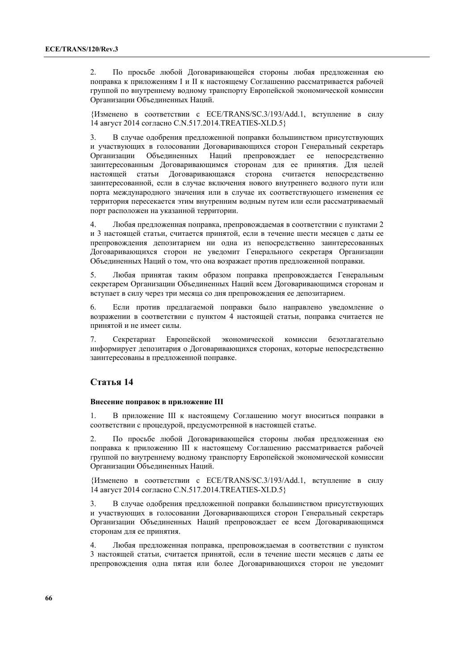2. По просьбе любой Договаривающейся стороны любая предложенная ею поправка к приложениям I и II к настоящему Соглашению рассматривается рабочей группой по внутреннему водному транспорту Европейской экономической комиссии Организации Объединенных Наций.

{Изменено в соответствии с ECE/TRANS/SC.3/193/Add.1, вступление в силу 14 август 2014 согласно C.N.517.2014.TREATIES-XI.D.5}

3. В случае одобрения предложенной поправки большинством присутствующих и участвующих в голосовании Договаривающихся сторон Генеральный секретарь Организации Объединенных Наций препровождает ее непосредственно заинтересованным Договаривающимся сторонам для ее принятия. Для целей настоящей статьи Договаривающаяся сторона считается непосредственно заинтересованной, если в случае включения нового внутреннего водного пути или порта международного значения или в случае их соответствующего изменения ее территория пересекается этим внутренним водным путем или если рассматриваемый порт расположен на указанной территории.

4. Любая предложенная поправка, препровождаемая в соответствии с пунктами 2 и 3 настоящей статьи, считается принятой, если в течение шести месяцев с даты ее препровождения депозитарием ни одна из непосредственно заинтересованных Договаривающихся сторон не уведомит Генерального секретаря Организации Объединенных Наций о том, что она возражает против предложенной поправки.

5. Любая принятая таким образом поправка препровождается Генеральным секретарем Организации Объединенных Наций всем Договаривающимся сторонам и вступает в силу через три месяца со дня препровождения ее депозитарием.

6. Если против предлагаемой поправки было направлено уведомление о возражении в соответствии с пунктом 4 настоящей статьи, поправка считается не принятой и не имеет силы.

7. Секретариат Европейской экономической комиссии безотлагательно информирует депозитария о Договаривающихся сторонах, которые непосредственно заинтересованы в предложенной поправке.

### **Статья 14**

#### **Внесение поправок в приложение III**

1. В приложение III к настоящему Соглашению могут вноситься поправки в соответствии с процедурой, предусмотренной в настоящей статье.

2. По просьбе любой Договаривающейся стороны любая предложенная ею поправка к приложению III к настоящему Соглашению рассматривается рабочей группой по внутреннему водному транспорту Европейской экономической комиссии Организации Объединенных Наций.

{Изменено в соответствии с ECE/TRANS/SC.3/193/Add.1, вступление в силу 14 август 2014 согласно C.N.517.2014.TREATIES-XI.D.5}

3. В случае одобрения предложенной поправки большинством присутствующих и участвующих в голосовании Договаривающихся сторон Генеральный секретарь Организации Объединенных Наций препровождает ее всем Договаривающимся сторонам для ее принятия.

4. Любая предложенная поправка, препровождаемая в соответствии с пунктом 3 настоящей статьи, считается принятой, если в течение шести месяцев с даты ее препровождения одна пятая или более Договаривающихся сторон не уведомит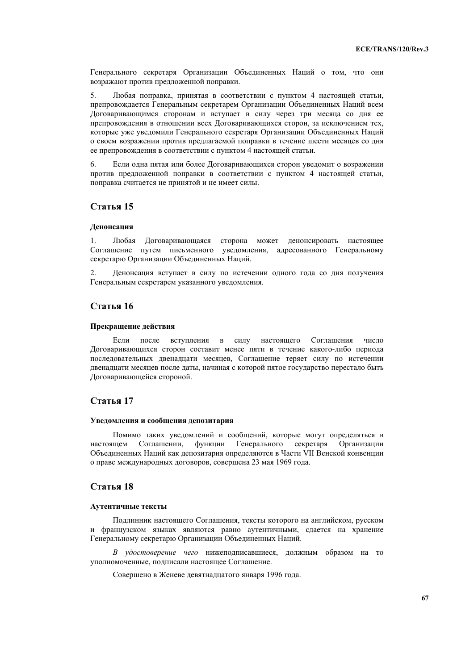Генерального секретаря Организации Объединенных Наций о том, что они возражают против предложенной поправки.

5. Любая поправка, принятая в соответствии с пунктом 4 настоящей статьи, препровождается Генеральным секретарем Организации Объединенных Наций всем Договаривающимся сторонам и вступает в силу через три месяца со дня ее препровождения в отношении всех Договаривающихся сторон, за исключением тех, которые уже уведомили Генерального секретаря Организации Объединенных Наций о своем возражении против предлагаемой поправки в течение шести месяцев со дня ее препровождения в соответствии с пунктом 4 настоящей статьи.

6. Если одна пятая или более Договаривающихся сторон уведомит о возражении против предложенной поправки в соответствии с пунктом 4 настоящей статьи, поправка считается не принятой и не имеет силы.

### **Статья 15**

#### **Денонсация**

1. Любая Договаривающаяся сторона может денонсировать настоящее Соглашение путем письменного уведомления, адресованного Генеральному секретарю Организации Объединенных Наций.

2. Денонсация вступает в силу по истечении одного года со дня получения Генеральным секретарем указанного уведомления.

### **Статья 16**

#### **Прекращение действия**

Если после вступления в силу настоящего Соглашения число Договаривающихся сторон составит менее пяти в течение какого-либо периода последовательных двенадцати месяцев, Соглашение теряет силу по истечении двенадцати месяцев после даты, начиная с которой пятое государство перестало быть Договаривающейся стороной.

### **Статья 17**

#### **Уведомления и сообщения депозитария**

Помимо таких уведомлений и сообщений, которые могут определяться в настоящем Соглашении, функции Генерального секретаря Организации Объединенных Наций как депозитария определяются в Части VII Венской конвенции о праве международных договоров, совершена 23 мая 1969 года.

### **Статья 18**

#### **Аутентичные тексты**

Подлинник настоящего Соглашения, тексты которого на английском, русском и французском языках являются равно аутентичными, сдается на хранение Генеральному секретарю Организации Объединенных Наций.

*В удостоверение чего* нижеподписавшиеся, должным образом на то уполномоченные, подписали настоящее Соглашение.

Совершено в Женеве девятнадцатого января 1996 года.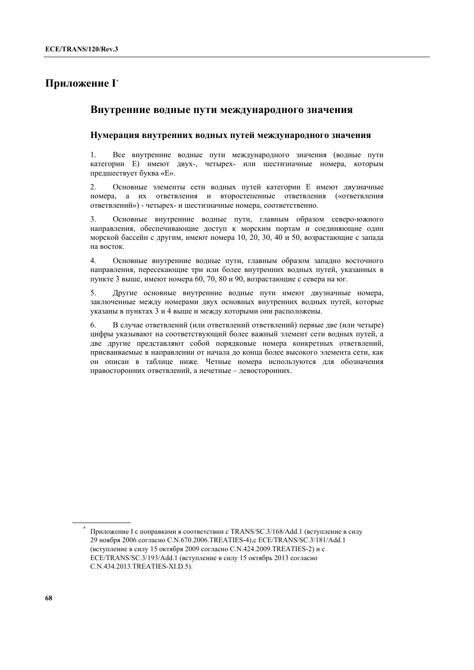# **Приложение I\***

# **Внутренние водные пути международного значения**

### **Нумерация внутренних водных путей международного значения**

1. Все внутренние водные пути международного значения (водные пути категории Е) имеют двух-, четырех- или шестизначные номера, которым предшествует буква «Е».

2. Основные элементы сети водных путей категории Е имеют двузначные номера, а их ответвления и второстепенные ответвления («ответвления ответвлений») - четырех- и шестизначные номера, соответственно.

3. Основные внутренние водные пути, главным образом северо-южного направления, обеспечивающие доступ к морским портам и соединяющие один морской бассейн с другим, имеют номера 10, 20, 30, 40 и 50, возрастающие с запада на восток.

4. Основные внутренние водные пути, главным образом западно восточного направления, пересекающие три или более внутренних водных путей, указанных в пункте 3 выше, имеют номера 60, 70, 80 и 90, возрастающие с севера на юг.

5. Другие основные внутренние водные пути имеют двузначные номера, заключенные между номерами двух основных внутренних водных путей, которые указаны в пунктах 3 и 4 выше и между которыми они расположены.

6. В случае ответвлений (или ответвлений ответвлений) первые две (или четыре) цифры указывают на соответствующий более важный элемент сети водных путей, а две другие представляют собой порядковые номера конкретных ответвлений, присваиваемые в направлении от начала до конца более высокого элемента сети, как он описан в таблице ниже. Четные номера используются для обозначения правосторонних ответвлений, а нечетные – левосторонних.

<sup>\*</sup> Приложение I с поправками в соответствии с TRANS/SC.3/168/Add.1 (вступление в силу 29 ноября 2006 согласно C.N.670.2006.TREATIES-4),с ECE/TRANS/SC.3/181/Add.1 (вступление в силу 15 октября 2009 согласно C.N.424.2009.TREATIES-2) и с ECE/TRANS/SC.3/193/Add.1 (вступление в силу 15 октябрь 2013 согласно C.N.434.2013.TREATIES-XI.D.5).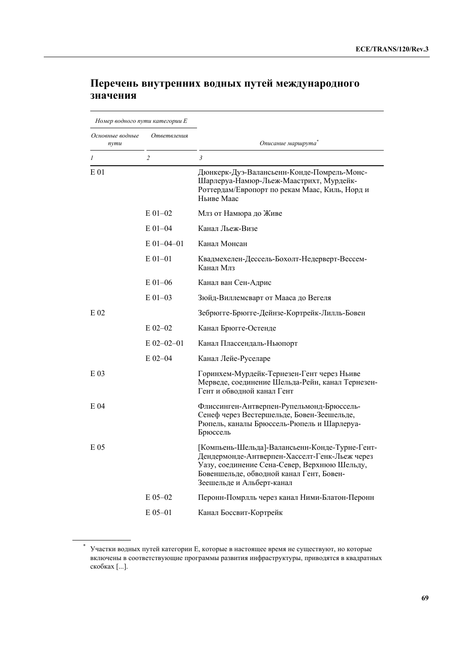| Номер водного пути категории Е |                |                                                                                                                                                                                                                          |  |  |  |
|--------------------------------|----------------|--------------------------------------------------------------------------------------------------------------------------------------------------------------------------------------------------------------------------|--|--|--|
| Основные водные<br>nymu        | Ответвления    | Описание маршрута                                                                                                                                                                                                        |  |  |  |
| $\mathcal{I}$                  | $\overline{c}$ | 3                                                                                                                                                                                                                        |  |  |  |
| E 01                           |                | Дюнкерк-Дуэ-Валансьенн-Конде-Помрель-Монс-<br>Шарлеруа-Намюр-Льеж-Маастрихт, Мурдейк-<br>Роттердам/Европорт по рекам Маас, Киль, Норд и<br>Ньиве Маас                                                                    |  |  |  |
|                                | $E$ 01-02      | Млз от Намюра до Живе                                                                                                                                                                                                    |  |  |  |
|                                | $E$ 01–04      | Канал Льеж-Визе                                                                                                                                                                                                          |  |  |  |
|                                | $E$ 01–04–01   | Канал Монсан                                                                                                                                                                                                             |  |  |  |
|                                | $E$ 01-01      | Квадмехелен-Дессель-Бохолт-Недерверт-Вессем-<br>Канал Млз                                                                                                                                                                |  |  |  |
|                                | $E$ 01–06      | Канал ван Сен-Адрис                                                                                                                                                                                                      |  |  |  |
|                                | $E$ 01–03      | Зюйд-Виллемсварт от Мааса до Вегеля                                                                                                                                                                                      |  |  |  |
| $E_{02}$                       |                | Зебрюгге-Брюгге-Дейнзе-Кортрейк-Лилль-Бовен                                                                                                                                                                              |  |  |  |
|                                | $E$ 02-02      | Канал Брюгге-Остенде                                                                                                                                                                                                     |  |  |  |
|                                | $E$ 02-02-01   | Канал Плассендаль-Ньюпорт                                                                                                                                                                                                |  |  |  |
|                                | $E$ 02-04      | Канал Лейе-Руселаре                                                                                                                                                                                                      |  |  |  |
| E 03                           |                | Горинхем-Мурдейк-Тернезен-Гент через Ньиве<br>Мерведе, соединение Шельда-Рейн, канал Тернезен-<br>Гент и обволной канал Гент                                                                                             |  |  |  |
| E 04                           |                | Флиссинген-Антверпен-Рупельмонд-Брюссель-<br>Сенеф через Вестершельде, Бовен-Зеешельде,<br>Рюпель, каналы Брюссель-Рюпель и Шарлеруа-<br>Брюссель                                                                        |  |  |  |
| E 05                           |                | ГКомпьень-Шельда]-Валансьенн-Конде-Турне-Гент-<br>Дендермонде-Антверпен-Хасселт-Генк-Льеж через<br>Уазу, соединение Сена-Север, Верхнюю Шельду,<br>Бовеншельде, обводной канал Гент, Бовен-<br>Зеешельде и Альберт-канал |  |  |  |
|                                | $E$ 05-02      | Перонн-Помрлль через канал Ними-Блатон-Перонн                                                                                                                                                                            |  |  |  |
|                                | $E$ 05-01      | Канал Боссвит-Кортрейк                                                                                                                                                                                                   |  |  |  |

# **Перечень внутренних водных путей международного значения**

<sup>\*</sup> Участки водных путей категории Е, которые в настоящее время не существуют, но которые включены в соответствующие программы развития инфраструктуры, приводятся в квадратных скобках [...].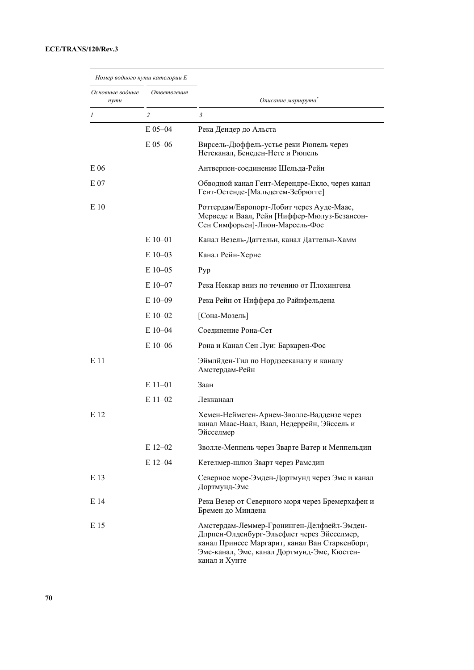| Номер водного пути категории Е<br>Основные водные<br>Ответвления<br>nymu |                |                                                                                                                                                                                                            |  |
|--------------------------------------------------------------------------|----------------|------------------------------------------------------------------------------------------------------------------------------------------------------------------------------------------------------------|--|
|                                                                          |                | Описание маршрута                                                                                                                                                                                          |  |
| 1                                                                        | $\overline{2}$ | 3                                                                                                                                                                                                          |  |
|                                                                          | $E$ 05-04      | Река Дендер до Альста                                                                                                                                                                                      |  |
|                                                                          | $E$ 05-06      | Вирсель-Дюффель-устье реки Рюпель через<br>Нетеканал, Бенеден-Нете и Рюпель                                                                                                                                |  |
| E 06                                                                     |                | Антверпен-соединение Шельда-Рейн                                                                                                                                                                           |  |
| E 07                                                                     |                | Обводной канал Гент-Мерендре-Екло, через канал<br>Гент-Остенде-[Мальдегем-Зебрюгге]                                                                                                                        |  |
| E 10                                                                     |                | Роттердам/Европорт-Лобит через Ауде-Маас,<br>Мерведе и Ваал, Рейн [Ниффер-Мюлуз-Безансон-<br>Сен Симфорьен]-Лион-Марсель-Фос                                                                               |  |
|                                                                          | $E10-01$       | Канал Везель-Даттельн, канал Даттельн-Хамм                                                                                                                                                                 |  |
|                                                                          | $E$ 10-03      | Канал Рейн-Херне                                                                                                                                                                                           |  |
|                                                                          | $E$ 10–05      | Pyp                                                                                                                                                                                                        |  |
|                                                                          | $E$ 10-07      | Река Неккар вниз по течению от Плохингена                                                                                                                                                                  |  |
|                                                                          | $E10-09$       | Река Рейн от Ниффера до Райнфельдена                                                                                                                                                                       |  |
|                                                                          | $E10-02$       | [Сона-Мозель]                                                                                                                                                                                              |  |
|                                                                          | $E$ 10-04      | Соединение Рона-Сет                                                                                                                                                                                        |  |
|                                                                          | $E10-06$       | Рона и Канал Сен Луи: Баркарен-Фос                                                                                                                                                                         |  |
| E 11                                                                     |                | Эймлйден-Тил по Нордзееканалу и каналу<br>Амстердам-Рейн                                                                                                                                                   |  |
|                                                                          | $E11-01$       | Заан                                                                                                                                                                                                       |  |
|                                                                          | $E$ 11-02      | Лекканаал                                                                                                                                                                                                  |  |
| E 12                                                                     |                | Хемен-Неймеген-Арнем-Зволле-Ваддензе через<br>канал Маас-Ваал, Ваал, Недеррейн, Эйссель и<br>Эйсселмер                                                                                                     |  |
|                                                                          | $E$ 12-02      | Зволле-Меппель через Зварте Ватер и Меппельдип                                                                                                                                                             |  |
|                                                                          | $E$ 12-04      | Кетелмер-шлюз Зварт через Рамсдип                                                                                                                                                                          |  |
| E 13                                                                     |                | Северное море-Эмден-Дортмунд через Эмс и канал<br>Дортмунд-Эмс                                                                                                                                             |  |
| E 14                                                                     |                | Река Везер от Северного моря через Бремерхафен и<br>Бремен до Миндена                                                                                                                                      |  |
| E 15                                                                     |                | Амстердам-Леммер-Гронинген-Делфзейл-Эмден-<br>Длрпен-Олденбург-Эльсфлет через Эйсселмер,<br>канал Принсес Маргарит, канал Ван Старкенборг,<br>Эмс-канал, Эмс, канал Дортмунд-Эмс, Кюстен-<br>канал и Хунте |  |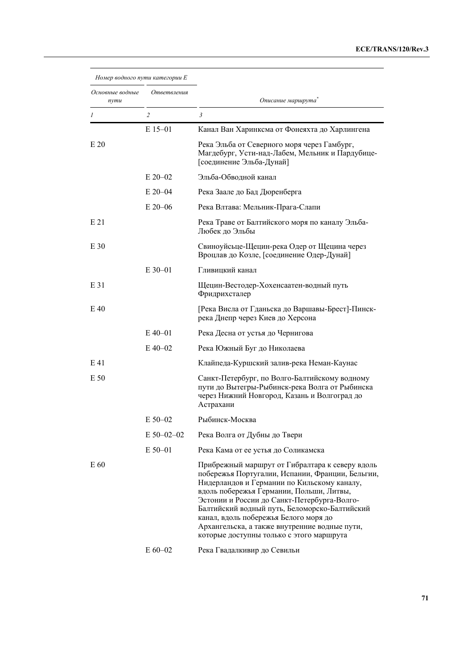| Номер водного пути категории Е |             |                                                                                                                                                                                                                                                                                                                                                                                                                                      |
|--------------------------------|-------------|--------------------------------------------------------------------------------------------------------------------------------------------------------------------------------------------------------------------------------------------------------------------------------------------------------------------------------------------------------------------------------------------------------------------------------------|
| Основные водные<br>nymu        | Ответвления | Описание маршрута                                                                                                                                                                                                                                                                                                                                                                                                                    |
| 1                              | 2           | 3                                                                                                                                                                                                                                                                                                                                                                                                                                    |
|                                | $E$ 15-01   | Канал Ван Харинксма от Фонеяхта до Харлингена                                                                                                                                                                                                                                                                                                                                                                                        |
| E20                            |             | Река Эльба от Северного моря через Гамбург,<br>Магдебург, Усти-над-Лабем, Мельник и Пардубице-<br>[соединение Эльба-Дунай]                                                                                                                                                                                                                                                                                                           |
|                                | $E 20 - 02$ | Эльба-Обводной канал                                                                                                                                                                                                                                                                                                                                                                                                                 |
|                                | $E 20 - 04$ | Река Заале до Бад Дюренберга                                                                                                                                                                                                                                                                                                                                                                                                         |
|                                | $E$ 20–06   | Река Влтава: Мельник-Прага-Слапи                                                                                                                                                                                                                                                                                                                                                                                                     |
| E21                            |             | Река Траве от Балтийского моря по каналу Эльба-<br>Любек до Эльбы                                                                                                                                                                                                                                                                                                                                                                    |
| E 30                           |             | Свиноуйсьце-Щецин-река Одер от Щецина через<br>Вроцлав до Козле, [соединение Одер-Дунай]                                                                                                                                                                                                                                                                                                                                             |
|                                | $E$ 30-01   | Гливицкий канал                                                                                                                                                                                                                                                                                                                                                                                                                      |
| E 31                           |             | Щецин-Вестодер-Хохенсаатен-водный путь<br>Фридрихсталер                                                                                                                                                                                                                                                                                                                                                                              |
| E 40                           |             | [Река Висла от Гданьска до Варшавы-Брест]-Пинск-<br>река Днепр через Киев до Херсона                                                                                                                                                                                                                                                                                                                                                 |
|                                | $E$ 40–01   | Река Десна от устья до Чернигова                                                                                                                                                                                                                                                                                                                                                                                                     |
|                                | $E$ 40–02   | Река Южный Буг до Николаева                                                                                                                                                                                                                                                                                                                                                                                                          |
| E 41                           |             | Клайпеда-Куршский залив-река Неман-Каунас                                                                                                                                                                                                                                                                                                                                                                                            |
| E 50                           |             | Санкт-Петербург, по Волго-Балтийскому водному<br>пути до Вытегры-Рыбинск-река Волга от Рыбинска<br>через Нижний Новгород, Казань и Волгоград до<br>Астрахани                                                                                                                                                                                                                                                                         |
|                                | $E$ 50–02   | Рыбинск-Москва                                                                                                                                                                                                                                                                                                                                                                                                                       |
|                                | E 50-02-02  | Река Волга от Дубны до Твери                                                                                                                                                                                                                                                                                                                                                                                                         |
|                                | E 50-01     | Река Кама от ее устья до Соликамска                                                                                                                                                                                                                                                                                                                                                                                                  |
| E 60                           |             | Прибрежный маршрут от Гибралтара к северу вдоль<br>побережья Португалии, Испании, Франции, Бельгии,<br>Нидерландов и Германии по Кильскому каналу,<br>вдоль побережья Германии, Польши, Литвы,<br>Эстонии и России до Санкт-Петербурга-Волго-<br>Балтийский водный путь, Беломорско-Балтийский<br>канал, вдоль побережья Белого моря до<br>Архангельска, а также внутренние водные пути,<br>которые доступны только с этого маршрута |
|                                | $E 60 - 02$ | Река Гвадалкивир до Севильи                                                                                                                                                                                                                                                                                                                                                                                                          |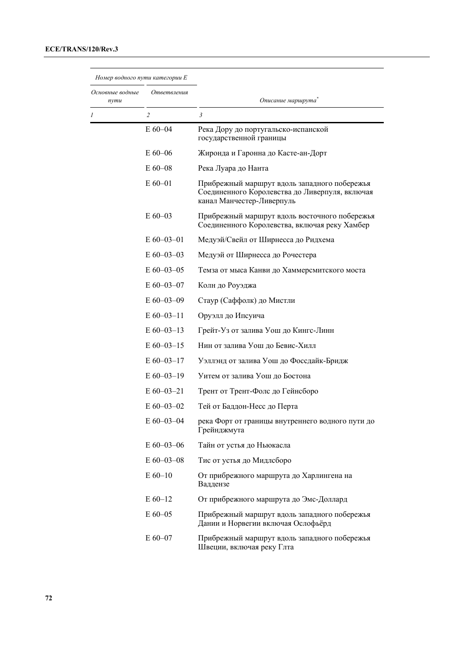| Номер водного пути категории Е         |                  |                                                                                                                             |  |  |  |
|----------------------------------------|------------------|-----------------------------------------------------------------------------------------------------------------------------|--|--|--|
| Основные водные<br>Ответвления<br>nymu |                  | Описание маршрута                                                                                                           |  |  |  |
| 1                                      | $\overline{2}$   | 3                                                                                                                           |  |  |  |
|                                        | E 60-04          | Река Дору до португальско-испанской<br>государственной границы                                                              |  |  |  |
|                                        | $E 60 - 06$      | Жиронда и Гаронна до Касте-ан-Дорт                                                                                          |  |  |  |
|                                        | $E$ 60–08        | Река Луара до Нанта                                                                                                         |  |  |  |
|                                        | $E 60 - 01$      | Прибрежный маршрут вдоль западного побережья<br>Соединенного Королевства до Ливерпуля, включая<br>канал Манчестер-Ливерпуль |  |  |  |
|                                        | $E 60 - 03$      | Прибрежный маршрут вдоль восточного побережья<br>Соединенного Королевства, включая реку Хамбер                              |  |  |  |
|                                        | $E$ 60-03-01     | Медуэй/Свейл от Ширнесса до Ридхема                                                                                         |  |  |  |
|                                        | $E$ 60–03–03     | Медуэй от Ширнесса до Рочестера                                                                                             |  |  |  |
|                                        | $E$ 60-03-05     | Темза от мыса Канви до Хаммерсмитского моста                                                                                |  |  |  |
|                                        | $E$ 60–03–07     | Колн до Роуэджа                                                                                                             |  |  |  |
|                                        | $E$ 60–03–09     | Стаур (Саффолк) до Мистли                                                                                                   |  |  |  |
|                                        | $E$ 60–03–11     | Оруэлл до Ипсуича                                                                                                           |  |  |  |
|                                        | $E$ 60–03–13     | Грейт-Уз от залива Уош до Кингс-Линн                                                                                        |  |  |  |
|                                        | $E$ 60–03–15     | Нин от залива Уош до Бевис-Хилл                                                                                             |  |  |  |
|                                        | $E$ 60–03–17     | Уэллэнд от залива Уош до Фоссдайк-Бридж                                                                                     |  |  |  |
|                                        | $E$ 60–03–19     | Уитем от залива Уош до Бостона                                                                                              |  |  |  |
|                                        | E 60-03-21       | Трент от Трент-Фолс до Гейнсборо                                                                                            |  |  |  |
|                                        | $E$ 60-03-02     | Тей от Баддон-Несс до Перта                                                                                                 |  |  |  |
|                                        | $E$ 60–03–04     | река Форт от границы внутреннего водного пути до<br>1 рейнджмута                                                            |  |  |  |
|                                        | $E 60 - 03 - 06$ | Тайн от устья до Ньюкасла                                                                                                   |  |  |  |
|                                        | $E$ 60-03-08     | Тис от устья до Мидлсборо                                                                                                   |  |  |  |
|                                        | $E 60 - 10$      | От прибрежного маршрута до Харлингена на<br>Ваддензе                                                                        |  |  |  |
|                                        | $E 60-12$        | От прибрежного маршрута до Эмс-Доллард                                                                                      |  |  |  |
|                                        | $E 60 - 05$      | Прибрежный маршрут вдоль западного побережья<br>Дании и Норвегии включая Ослофьёрд                                          |  |  |  |
|                                        | E 60-07          | Прибрежный маршрут вдоль западного побережья<br>Швеции, включая реку Глта                                                   |  |  |  |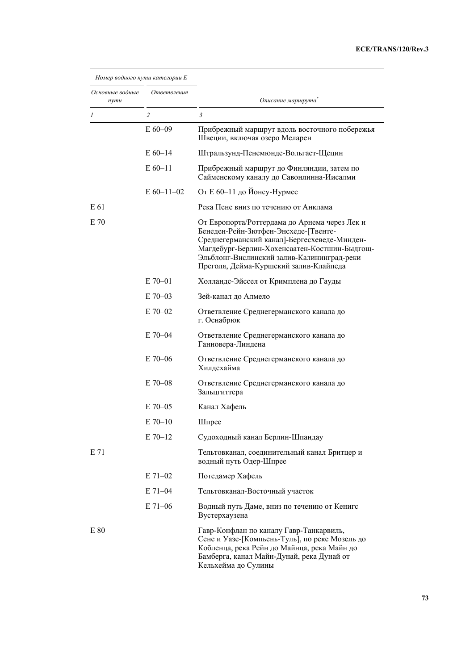#### **ECE/TRANS/120/Rev.3**

| Номер водного пути категории Е |              |                                                                                                                                                                                                                                                                               |
|--------------------------------|--------------|-------------------------------------------------------------------------------------------------------------------------------------------------------------------------------------------------------------------------------------------------------------------------------|
| Основные водные<br>nymu        | Ответвления  | Описание маршрута                                                                                                                                                                                                                                                             |
| 1                              | 2            | 3                                                                                                                                                                                                                                                                             |
|                                | $E 60 - 09$  | Прибрежный маршрут вдоль восточного побережья<br>Швеции, включая озеро Меларен                                                                                                                                                                                                |
|                                | $E 60 - 14$  | Штральзунд-Пенемюнде-Вольгаст-Щецин                                                                                                                                                                                                                                           |
|                                | $E 60 - 11$  | Прибрежный маршрут до Финляндии, затем по<br>Сайменскому каналу до Савонлинна-Иисалми                                                                                                                                                                                         |
|                                | $E$ 60-11-02 | От Е 60-11 до Йонсу-Нурмес                                                                                                                                                                                                                                                    |
| E 61                           |              | Река Пене вниз по течению от Анклама                                                                                                                                                                                                                                          |
| E 70                           |              | От Европорта/Роттердама до Арнема через Лек и<br>Бенеден-Рейн-Зютфен-Энсхеде-[Твенте-<br>Среднегерманский канал]-Бергесхеведе-Минден-<br>Магдебург-Берлин-Хохенсаатен-Костшин-Быдгощ-<br>Эльблонг-Вислинский залив-Калининград-реки<br>Преголя, Дейма-Куршский залив-Клайпеда |
|                                | $E$ 70–01    | Холландс-Эйссел от Кримплена до Гауды                                                                                                                                                                                                                                         |
|                                | $E$ 70–03    | Зей-канал до Алмело                                                                                                                                                                                                                                                           |
|                                | $E$ 70–02    | Ответвление Среднегерманского канала до<br>г. Оснабрюк                                                                                                                                                                                                                        |
|                                | $E$ 70–04    | Ответвление Среднегерманского канала до<br>Ганновера-Линдена                                                                                                                                                                                                                  |
|                                | $E$ 70–06    | Ответвление Среднегерманского канала до<br>Хилдсхайма                                                                                                                                                                                                                         |
|                                | $E$ 70–08    | Ответвление Среднегерманского канала до<br>Зальцгиттера                                                                                                                                                                                                                       |
|                                | $E$ 70–05    | Канал Хафель                                                                                                                                                                                                                                                                  |
|                                | $E$ 70–10    | Шпрее                                                                                                                                                                                                                                                                         |
|                                | $E 70-12$    | Судоходный канал Берлин-Шпандау                                                                                                                                                                                                                                               |
| E 71                           |              | Тельтовканал, соединительный канал Бритцер и<br>водный путь Одер-Шпрее                                                                                                                                                                                                        |
|                                | $E 71 - 02$  | Потсдамер Хафель                                                                                                                                                                                                                                                              |
|                                | $E$ 71–04    | Тельтовканал-Восточный участок                                                                                                                                                                                                                                                |
|                                | $E$ 71-06    | Водный путь Даме, вниз по течению от Кенигс<br>Вустерхаузена                                                                                                                                                                                                                  |
| E 80                           |              | Гавр-Конфлан по каналу Гавр-Танкарвиль,<br>Сене и Уазе-[Компьень-Туль], по реке Мозель до<br>Кобленца, река Рейн до Майнца, река Майн до<br>Бамберга, канал Майн-Дунай, река Дунай от<br>Кельхейма до Сулины                                                                  |

**73**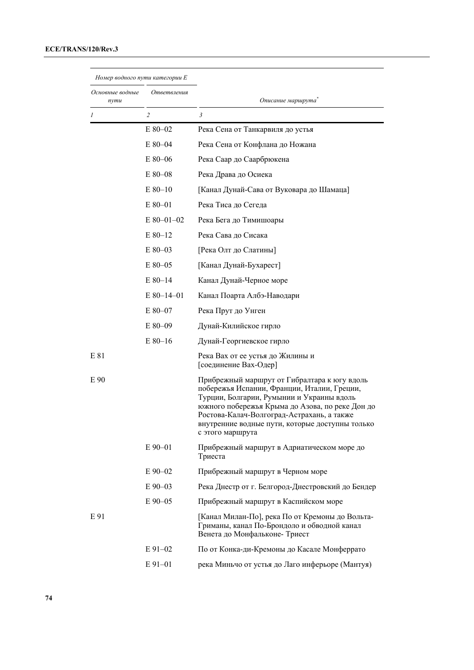| Номер водного пути категории Е         |              |                                                                                                                                                                                                                                                                                                                  |
|----------------------------------------|--------------|------------------------------------------------------------------------------------------------------------------------------------------------------------------------------------------------------------------------------------------------------------------------------------------------------------------|
| Основные водные<br>Ответвления<br>nymu |              | Описание маршрута                                                                                                                                                                                                                                                                                                |
| $\prime$                               | 2            | $\mathfrak{Z}$                                                                                                                                                                                                                                                                                                   |
|                                        | $E80-02$     | Река Сена от Танкарвиля до устья                                                                                                                                                                                                                                                                                 |
|                                        | $E80 - 04$   | Река Сена от Конфлана до Ножана                                                                                                                                                                                                                                                                                  |
|                                        | E 80-06      | Река Саар до Саарбрюкена                                                                                                                                                                                                                                                                                         |
|                                        | $E80 - 08$   | Река Драва до Осиека                                                                                                                                                                                                                                                                                             |
|                                        | $E80-10$     | [Канал Дунай-Сава от Вуковара до Шамаца]                                                                                                                                                                                                                                                                         |
|                                        | $E80-01$     | Река Тиса до Сегеда                                                                                                                                                                                                                                                                                              |
|                                        | $E$ 80-01-02 | Река Бега до Тимишоары                                                                                                                                                                                                                                                                                           |
|                                        | $E80-12$     | Река Сава до Сисака                                                                                                                                                                                                                                                                                              |
|                                        | $E80-03$     | [Река Олт до Слатины]                                                                                                                                                                                                                                                                                            |
|                                        | $E80-05$     | [Канал Дунай-Бухарест]                                                                                                                                                                                                                                                                                           |
|                                        | $E80-14$     | Канал Дунай-Черное море                                                                                                                                                                                                                                                                                          |
|                                        | $E$ 80-14-01 | Канал Поарта Албэ-Наводари                                                                                                                                                                                                                                                                                       |
|                                        | $E80-07$     | Река Прут до Унген                                                                                                                                                                                                                                                                                               |
|                                        | $E80-09$     | Дунай-Килийское гирло                                                                                                                                                                                                                                                                                            |
|                                        | $E80-16$     | Дунай-Георгиевское гирло                                                                                                                                                                                                                                                                                         |
| E 81                                   |              | Река Вах от ее устья до Жилины и<br>[соединение Вах-Одер]                                                                                                                                                                                                                                                        |
| E 90                                   |              | Прибрежный маршрут от Гибралтара к югу вдоль<br>побережья Испании, Франции, Италии, Греции,<br>Турции, Болгарии, Румынии и Украины вдоль<br>южного побережья Крыма до Азова, по реке Дон до<br>Ростова-Калач-Волгоград-Астрахань, а также<br>внутренние водные пути, которые доступны только<br>с этого маршрута |
|                                        | $E90 - 01$   | Прибрежный маршрут в Адриатическом море до<br>Триеста                                                                                                                                                                                                                                                            |
|                                        | E 90-02      | Прибрежный маршрут в Черном море                                                                                                                                                                                                                                                                                 |
|                                        | $E90-03$     | Река Днестр от г. Белгород-Днестровский до Бендер                                                                                                                                                                                                                                                                |
|                                        | E 90-05      | Прибрежный маршрут в Каспийском море                                                                                                                                                                                                                                                                             |
| E 91                                   |              | [Канал Милан-По], река По от Кремоны до Вольта-<br>Гриманы, канал По-Брондоло и обводной канал<br>Венета до Монфальконе-Триест                                                                                                                                                                                   |
|                                        | $E91-02$     | По от Конка-ди-Кремоны до Касале Монферрато                                                                                                                                                                                                                                                                      |
|                                        | $E91-01$     | река Миньчо от устья до Лаго инферьоре (Мантуя)                                                                                                                                                                                                                                                                  |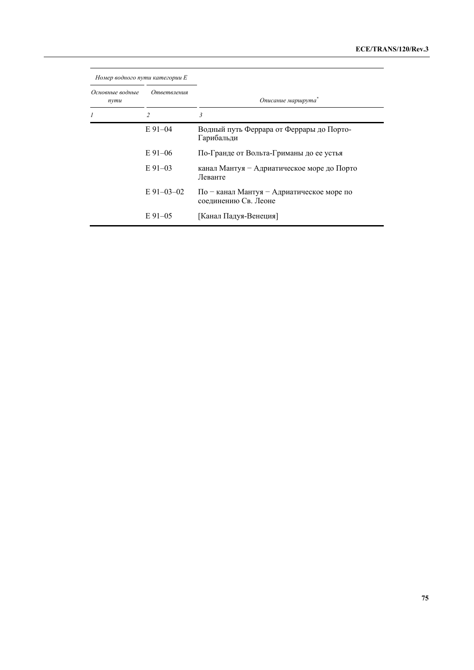| Номер водного пути категории Е |                |                                                                   |
|--------------------------------|----------------|-------------------------------------------------------------------|
| Основные водные<br>nymu        | Ответвления    | Описание маршрута                                                 |
|                                | $\mathfrak{D}$ | 3                                                                 |
|                                | $E91-04$       | Водный путь Феррара от Феррары до Порто-<br>Гарибальди            |
|                                | $E91-06$       | По-Гранде от Вольта-Гриманы до ее устья                           |
|                                | $E_{91-03}$    | канал Мантуя - Адриатическое море до Порто<br>Леванте             |
|                                | E 91-03-02     | По – канал Мантуя – Адриатическое море по<br>соединению Св. Леоне |
|                                | $E91-05$       | [Канал Падуя-Венеция]                                             |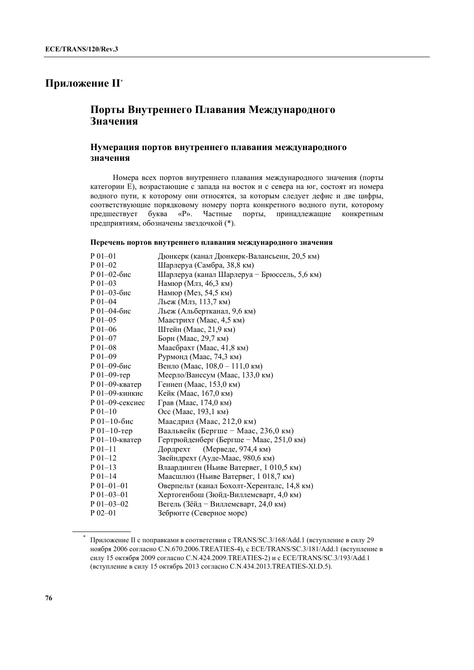# **Приложение II\***

# **Порты Внутреннего Плавания Международного Значения**

### **Нумерация портов внутреннего плавания международного значения**

Номера всех портов внутреннего плавания международного значения (порты категории Е), возрастающие с запада на восток и с севера на юг, состоят из номера водного пути, к которому они относятся, за которым следует дефис и две цифры, соответствующие порядковому номеру порта конкретного водного пути, которому предшествует буква «Р». Частные порты, принадлежащие конкретным предприятиям, обозначены звездочкой (\*).

#### **Перечень портов внутреннего плавания международного значения**

| Дюнкерк (канал Дюнкерк-Валансьенн, 20,5 км)  |
|----------------------------------------------|
| Шарлеруа (Самбра, 38,8 км)                   |
| Шарлеруа (канал Шарлеруа – Брюссель, 5,6 км) |
| Намюр (Млз, 46,3 км)                         |
| Намюр (Мез, 54,5 км)                         |
| Льеж (Млз, 113,7 км)                         |
| Льеж (Альбертканал, 9,6 км)                  |
| Маастрихт (Маас, 4,5 км)                     |
| Штейн (Маас, 21,9 км)                        |
| Борн (Маас, 29,7 км)                         |
| Маасбрахт (Маас, 41,8 км)                    |
| Рурмонд (Маас, 74,3 км)                      |
| Венло (Маас, 108,0 - 111,0 км)               |
| Меерло/Ванссум (Маас, 133,0 км)              |
| Геннеп (Маас, 153,0 км)                      |
| Кейк (Маас, 167,0 км)                        |
| Грав (Маас, 174,0 км)                        |
| Осс (Маас, 193,1 км)                         |
| Маасдрил (Маас, 212,0 км)                    |
| Ваальвейк (Бергше - Маас, 236,0 км)          |
| Гертрюйденберг (Бергше - Маас, 251,0 км)     |
| (Мерведе, 974,4 км)<br>Дордрехт              |
| Звейндрехт (Ауде-Маас, 980,6 км)             |
| Влаардинген (Ньиве Ватервег, 1 010,5 км)     |
| Маасшлюз (Ньиве Ватервег, 1 018,7 км)        |
| Оверпельт (канал Бохолт-Херенталс, 14,8 км)  |
| Хертогенбош (Зюйд-Виллемсварт, 4,0 км)       |
| Вегель (Зёйд - Виллемсварт, 24,0 км)         |
| Зебрюгге (Северное море)                     |
|                                              |

<sup>\*</sup> Приложение II с поправками в соответствии с TRANS/SC.3/168/Add.1 (вступление в силу 29 ноября 2006 согласно C.N.670.2006.TREATIES-4), с ECE/TRANS/SC.3/181/Add.1 (вступление в силу 15 октября 2009 согласно C.N.424.2009.TREATIES-2) и с ECE/TRANS/SC.3/193/Add.1 (вступление в силу 15 октябрь 2013 согласно C.N.434.2013.TREATIES-XI.D.5).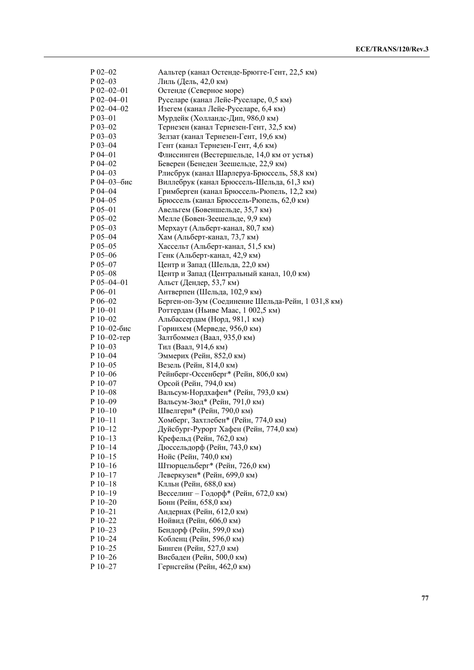| $P$ 02-02              | Аальтер (канал Остенде-Брюгге-Гент, 22,5 км)            |
|------------------------|---------------------------------------------------------|
| $P$ 02-03              | Лиль (Дель, 42,0 км)                                    |
| $P$ 02-02-01           | Остенде (Северное море)                                 |
| $P$ 02-04-01           | Руселаре (канал Лейе-Руселаре, 0,5 км)                  |
| $P$ 02-04-02           | Изегем (канал Лейе-Руселаре, 6,4 км)                    |
| $P_{03-01}$            | Мурдейк (Холландс-Дип, 986,0 км)                        |
| $P$ 03-02              | Тернезен (канал Тернезен-Гент, 32,5 км)                 |
| $P_{03-03}$            | Зелзат (канал Тернезен-Гент, 19,6 км)                   |
| $P$ 03-04              | Гент (канал Тернезен-Гент, 4,6 км)                      |
| $P$ 04-01              | Флиссинген (Вестершельде, 14,0 км от устья)             |
| $P$ 04-02              | Беверен (Бенеден Зеешельде, 22,9 км)                    |
| $P$ 04-03              | Рлисбрук (канал Шарлеруа-Брюссель, 58,8 км)             |
| Р 04-03-бис            | Виллебрук (канал Брюссель-Шельда, 61,3 км)              |
| $P$ 04-04              | Гримберген (канал Брюссель-Рюпель, 12,2 км)             |
| $P$ 04-05              | Брюссель (канал Брюссель-Рюпель, 62,0 км)               |
| $P_{05-01}$            | Авельгем (Бовеншельде, 35,7 км)                         |
| $P$ 05-02              | Мелле (Бовен-Зеешельде, 9,9 км)                         |
| $P$ 05-03              | Мерхаут (Альберт-канал, 80,7 км)                        |
| $P_{05-04}$            | Хам (Альберт-канал, 73,7 км)                            |
| $P_{05-05}$            | Хассельт (Альберт-канал, 51,5 км)                       |
| $P$ 05-06              | Генк (Альберт-канал, 42,9 км)                           |
| $P$ 05-07              | Центр и Запад (Шельда, 22,0 км)                         |
| $P$ 05-08              | Центр и Запад (Центральный канал, 10,0 км)              |
| $P$ 05-04-01           | Альст (Дендер, 53,7 км)                                 |
| $P 06 - 01$            | Антверпен (Шельда, 102,9 км)                            |
| $P$ 06-02              | Берген-оп-Зум (Соединение Шельда-Рейн, 1 031,8 км)      |
| $P10-01$               | Роттердам (Ньиве Маас, 1 002,5 км)                      |
| P 10-02                | Альбассердам (Норд, 981,1 км)                           |
| Р 10-02-бис            | Горинхем (Мерведе, 956,0 км)                            |
| Р 10-02-тер            | Залтбоммел (Ваал, 935,0 км)                             |
| $P10-03$               | Тил (Ваал, 914,6 км)                                    |
| $P_10-04$              | Эммерих (Рейн, 852,0 км)                                |
| $P_10-05$              | Везель (Рейн, 814,0 км)                                 |
| $P10-06$               | Рейнберг-Оссенберг* (Рейн, 806,0 км)                    |
| $P$ 10–07              | Орсой (Рейн, 794,0 км)                                  |
| $P_10-08$              | Вальсум-Нордхафен* (Рейн, 793,0 км)                     |
| P 10-09                | Вальсум-Зюд* (Рейн, 791,0 км)                           |
| $P_10-10$              | Швелгерн* (Рейн, 790,0 км)                              |
| $P_10-11$              | Хомберг, Захтлебен* (Рейн, 774,0 км)                    |
| $P 10-12$              | Дуйсбург-Рурорт Хафен (Рейн, 774,0 км)                  |
| $P 10-13$              | Крефельд (Рейн, 762,0 км)                               |
| $P_10-14$              | Дюссельдорф (Рейн, 743,0 км)                            |
| $P$ 10-15              | Нойс (Рейн, 740,0 км)                                   |
| $P_10-16$              | Штюрцельберг* (Рейн, 726,0 км)                          |
| $P$ 10-17              | Леверкузен* (Рейн, 699,0 км)                            |
| $P 10-18$              | Клльн (Рейн, 688,0 км)                                  |
| $P 10-19$              | Весселинг - Годорф* (Рейн, 672,0 км)                    |
| P 10-20                | Бонн (Рейн, 658,0 км)                                   |
|                        |                                                         |
|                        |                                                         |
| P 10-21                | Андернах (Рейн, 612,0 км)                               |
| P 10-22                | Нойвид (Рейн, 606,0 км)                                 |
| $P_10-23$              | Бендорф (Рейн, 599,0 км)                                |
| $P 10 - 24$            | Кобленц (Рейн, 596,0 км)                                |
| $P10-25$               | Бинген (Рейн, 527,0 км)                                 |
| $P_10-26$<br>$P 10-27$ | Висбаден (Рейн, 500,0 км)<br>Гернсгейм (Рейн, 462,0 км) |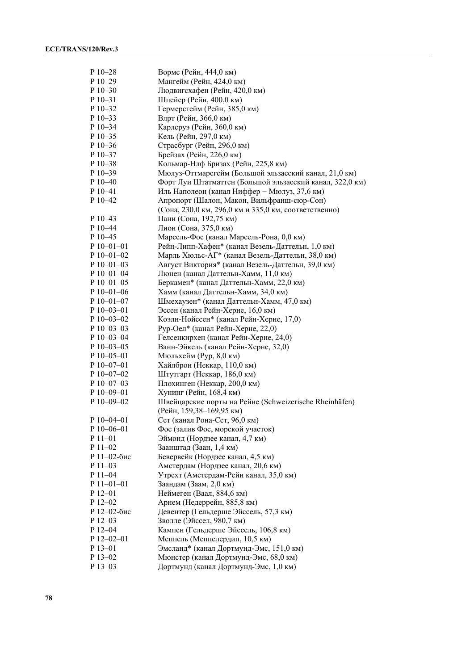| P 10-28          | Вормс (Рейн, 444,0 км)                                   |
|------------------|----------------------------------------------------------|
| $P$ 10-29        | Мангейм (Рейн, 424,0 км)                                 |
| $P$ 10-30        | Людвигсхафен (Рейн, 420,0 км)                            |
| $P$ 10-31        | Шпейер (Рейн, 400,0 км)                                  |
| P 10-32          | Гермерсгейм (Рейн, 385,0 км)                             |
| P 10-33          | Влрт (Рейн, 366,0 км)                                    |
| P 10-34          | Карлсруэ (Рейн, 360,0 км)                                |
| P 10-35          | Кель (Рейн, 297,0 км)                                    |
| $P$ 10-36        | Страсбург (Рейн, 296,0 км)                               |
| $P$ 10–37        | Брейзах (Рейн, 226,0 км)                                 |
| $P$ 10–38        | Кольмар-Нлф Бризах (Рейн, 225,8 км)                      |
| $P$ 10–39        | Мюлуз-Оттмарсгейм (Большой эльзасский канал, 21,0 км)    |
| $P$ 10–40        | Форт Луи Штатматтен (Большой эльзасский канал, 322,0 км) |
| $P_10-41$        | Иль Наполеон (канал Ниффер - Мюлуз, 37,6 км)             |
| $P$ 10-42        | Апропорт (Шалон, Макон, Вильфранш-сюр-Сон)               |
|                  | (Сона, 230,0 км, 296,0 км и 335,0 км, соответственно)    |
| P 10-43          | Пани (Сона, 192,75 км)                                   |
| $P$ 10–44        | Лион (Сона, 375,0 км)                                    |
| P 10-45          | Марсель-Фос (канал Марсель-Рона, 0,0 км)                 |
| $P 10 - 01 - 01$ | Рейн-Липп-Хафен* (канал Везель-Даттельн, 1,0 км)         |
| $P$ 10-01-02     | Марль Хюльс-АГ* (канал Везель-Даттельн, 38,0 км)         |
| $P$ 10-01-03     | Август Виктория* (канал Везель-Даттельн, 39,0 км)        |
| $P$ 10–01–04     | Люнен (канал Даттельн-Хамм, 11,0 км)                     |
| $P$ 10–01–05     | Беркамен* (канал Даттельн-Хамм, 22,0 км)                 |
| $P$ 10-01-06     |                                                          |
| $P$ 10-01-07     | Хамм (канал Даттельн-Хамм, 34,0 км)                      |
|                  | Шмехаузен* (канал Даттельн-Хамм, 47,0 км)                |
| $P$ 10-03-01     | Эссен (канал Рейн-Херне, 16,0 км)                        |
| $P$ 10-03-02     | Коэлн-Нойссен* (канал Рейн-Херне, 17,0)                  |
| $P$ 10-03-03     | Рур-Оел* (канал Рейн-Херне, 22,0)                        |
| $P$ 10-03-04     | Гелсенкирхен (канал Рейн-Херне, 24,0)                    |
| $P$ 10-03-05     | Ванн-Эйкель (канал Рейн-Херне, 32,0)                     |
| $P$ 10–05–01     | Мюльхейм (Рур, 8,0 км)                                   |
| $P$ 10–07–01     | Хайлброн (Неккар, 110,0 км)                              |
| P 10-07-02       | Штутгарт (Неккар, 186,0 км)                              |
| $P 10 - 07 - 03$ | Плохинген (Неккар, 200,0 км)                             |
| $P$ 10–09–01     | Хунинг (Рейн, 168,4 км)                                  |
| P 10-09-02       | Швейцарские порты на Рейне (Schweizerische Rheinhäfen)   |
|                  | (Рейн, 159,38-169,95 км)                                 |
| $P$ 10-04-01     | Сет (канал Рона-Сет, 96,0 км)                            |
| P 10-06-01       | Фос (залив Фос, морской участок)                         |
| $P11-01$         | Эймонд (Нордзее канал, 4,7 км)                           |
| $P11-02$         | Заанштад (Заан, 1,4 км)                                  |
| Р 11-02-бис      | Бевервейк (Нордзее канал, 4,5 км)                        |
| $P11-03$         | Амстердам (Нордзее канал, 20,6 км)                       |
| $P$ 11–04        | Утрехт (Амстердам-Рейн канал, 35,0 км)                   |
| $P$ 11-01-01     | Заандам (Заам, 2,0 км)                                   |
| $P_12-01$        | Неймеген (Ваал, 884,6 км)                                |
| $P_12-02$        | Арнем (Недеррейн, 885,8 км)                              |
| Р 12-02-бис      | Девентер (Гельдерше Эйссель, 57,3 км)                    |
| P 12-03          | Зволле (Эйссел, 980,7 км)                                |
| P 12-04          | Кампен (Гельдерше Эйссель, 106,8 км)                     |
| $P$ 12-02-01     | Меппель (Меппелердип, 10,5 км)                           |
| P 13-01          | Эмсланд* (канал Дортмунд-Эмс, 151,0 км)                  |
| P 13-02          | Мюнстер (канал Дортмунд-Эмс, 68,0 км)                    |
| P 13-03          | Дортмунд (канал Дортмунд-Эмс, 1,0 км)                    |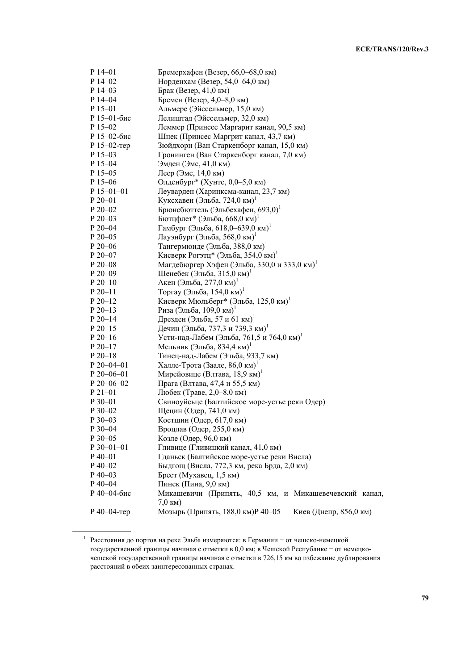| $P$ 14-01        | Бремерхафен (Везер, 66,0-68,0 км)                                            |
|------------------|------------------------------------------------------------------------------|
| $P$ 14–02        | Норденхам (Везер, 54,0-64,0 км)                                              |
| $P$ 14–03        | Брак (Везер, 41,0 км)                                                        |
| $P$ 14-04        | Бремен (Везер, 4,0–8,0 км)                                                   |
| $P$ 15-01        | Альмере (Эйссельмер, 15,0 км)                                                |
| Р 15-01-бис      | Лелиштад (Эйссельмер, 32,0 км)                                               |
| $P$ 15-02        | Леммер (Принсес Маргарит канал, 90,5 км)                                     |
| Р 15-02-бис      | Шнек (Принсес Маргрит канал, 43,7 км)                                        |
| Р 15-02-тер      | Зюйдхорн (Ван Старкенборг канал, 15,0 км)                                    |
| $P$ 15-03        | Гронинген (Ван Старкенборг канал, 7,0 км)                                    |
| $P$ 15–04        | Эмден (Эмс, 41,0 км)                                                         |
| $P$ 15–05        | Леер (Эмс, 14,0 км)                                                          |
| $P$ 15–06        | Олденбург* (Хунте, 0,0-5,0 км)                                               |
| $P$ 15–01–01     | Леуварден (Харинксма-канал, 23,7 км)                                         |
| $P 20 - 01$      | Куксхавен (Эльба, 724,0 км)                                                  |
| $P 20 - 02$      | Брюнсбюттель (Эльбехафен, 693,0) <sup>1</sup>                                |
| $P 20 - 03$      | Бютцфлет* (Эльба, 668,0 км)                                                  |
| P 20-04          | Гамбург (Эльба, 618,0–639,0 км)                                              |
| $P 20 - 05$      | Лауэнбург (Эльба, 568,0 км)                                                  |
| $P 20 - 06$      | Тангермюнде (Эльба, 388,0 км)                                                |
| $P 20 - 07$      | Кисверк Рогэтц* (Эльба, 354,0 км)                                            |
| $P 20 - 08$      | Магдебюргер Хэфен (Эльба, 330,0 и 333,0 км)                                  |
| $P 20 - 09$      | Шенебек (Эльба, 315,0 км)                                                    |
| $P 20-10$        | Акен (Эльба, 277,0 км)                                                       |
| $P 20 - 11$      | Торгау (Эльба, 154,0 км) <sup>1</sup>                                        |
| $P 20 - 12$      | Кисверк Мюльберг* (Эльба, 125,0 км)                                          |
| $P 20 - 13$      | Риза (Эльба, 109,0 км)                                                       |
| $P 20 - 14$      | Дрезден (Эльба, 57 и 61 км) <sup>1</sup>                                     |
| $P 20 - 15$      | Дечин (Эльба, 737,3 и 739,3 км) <sup>1</sup>                                 |
| $P 20-16$        | Усти-над-Лабем (Эльба, 761,5 и 764,0 км)                                     |
| $P 20 - 17$      | Мельник (Эльба, 834,4 км)                                                    |
| $P 20 - 18$      | Тинец-над-Лабем (Эльба, 933,7 км)                                            |
| $P 20 - 04 - 01$ | Халле-Трота (Заале, 86,0 км)                                                 |
| $P 20 - 06 - 01$ | Мирейовице (Влтава, 18,9 км)                                                 |
| $P 20 - 06 - 02$ | Прага (Влтава, 47,4 и 55,5 км)                                               |
| $P21-01$         | Любек (Траве, 2,0-8,0 км)                                                    |
| $P_30-01$        | Свиноуйсьце (Балтийское море-устье реки Одер)                                |
| $P$ 30-02        | Щецин (Одер, 741,0 км)                                                       |
| P 30-03          | Костшин (Одер, 617,0 км)                                                     |
| $P_{30-04}$      | Вроцлав (Одер, 255,0 км)                                                     |
| P 30-05          | Козле (Одер, 96,0 км)                                                        |
| P 30-01-01       | Гливице (Гливицкий канал, 41,0 км)                                           |
| $P$ 40–01        | Гданьск (Балтийское море-устье реки Висла)                                   |
| $P$ 40-02        | Быдгощ (Висла, 772,3 км, река Брда, 2,0 км)                                  |
| $P$ 40–03        | Брест (Мухавец, 1,5 км)                                                      |
| $P$ 40–04        | Пинск (Пина, 9,0 км)                                                         |
| Р 40-04-бис      | Микашевичи (Припять, 40,5 км, и Микашевечевский канал,<br>$7,0 \text{ km}$ ) |
| Р 40-04-тер      | Мозырь (Припять, 188,0 км)Р 40-05<br>Киев (Днепр, 856,0 км)                  |

<sup>1</sup> Расстояния до портов на реке Эльба измеряются: в Германии − от чешско-немецкой государственной границы начиная с отметки в 0,0 км; в Чешской Республике − от немецкочешской государственной границы начиная с отметки в 726,15 км во избежание дублирования расстояний в обеих заинтересованных странах.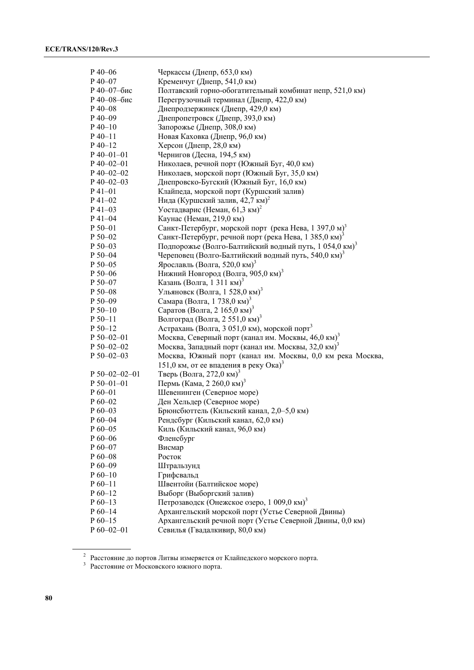| $P$ 40–06             | Черкассы (Днепр, 653,0 км)                                         |
|-----------------------|--------------------------------------------------------------------|
| $P$ 40-07             | Кременчуг (Днепр, 541,0 км)                                        |
| Р 40-07-бис           | Полтавский горно-обогатительный комбинат непр, 521,0 км)           |
| Р 40-08-бис           | Перегрузочный терминал (Днепр, 422,0 км)                           |
| $P$ 40–08             | Днепродзержинск (Днепр, 429,0 км)                                  |
| $P$ 40-09             | Днепропетровск (Днепр, 393,0 км)                                   |
| $P_40-10$             | Запорожье (Днепр, 308,0 км)                                        |
| $P 40 - 11$           | Новая Каховка (Днепр, 96,0 км)                                     |
| $P$ 40-12             | Херсон (Днепр, 28,0 км)                                            |
| $P$ 40–01–01          | Чернигов (Десна, 194,5 км)                                         |
| $P$ 40–02–01          | Николаев, речной порт (Южный Буг, 40,0 км)                         |
| $P$ 40–02–02          | Николаев, морской порт (Южный Буг, 35,0 км)                        |
| $P$ 40-02-03          | Днепровско-Бугский (Южный Буг, 16,0 км)                            |
| $P_41 - 01$           | Клайпеда, морской порт (Куршский залив)                            |
| $P$ 41-02             | Нида (Куршский залив, 42,7 км) <sup>2</sup>                        |
| $P$ 41–03             | Уостадварис (Неман, 61,3 км) <sup>2</sup>                          |
| $P$ 41–04             |                                                                    |
| P 50-01               | Каунас (Неман, 219,0 км)                                           |
|                       | Санкт-Петербург, морской порт (река Нева, 1 397,0 м) <sup>3</sup>  |
| $P 50 - 02$           | Санкт-Петербург, речной порт (река Нева, 1 385,0 км) <sup>3</sup>  |
| $P 50 - 03$           | Подпорожье (Волго-Балтийский водный путь, 1 054,0 км) <sup>3</sup> |
| P 50-04               | Череповец (Волго-Балтийский водный путь, 540,0 км) <sup>3</sup>    |
| $P 50 - 05$           | Ярославль (Волга, 520,0 км) <sup>3</sup>                           |
| $P 50 - 06$           | Нижний Новгород (Волга, 905,0 км) <sup>3</sup>                     |
| P 50-07               | Казань (Волга, 1 311 км) <sup>3</sup>                              |
| $P 50 - 08$           | Ульяновск (Волга, 1 528,0 км) <sup>3</sup>                         |
| $P 50 - 09$           | Самара (Волга, 1 738,0 км) <sup>3</sup>                            |
| $P 50-10$             | Саратов (Волга, 2 165,0 км) <sup>3</sup>                           |
| $P 50 - 11$           | Волгоград (Волга, 2 551,0 км) <sup>3</sup>                         |
| $P 50 - 12$           | Астрахань (Волга, 3 051,0 км), морской порт <sup>3</sup>           |
| $P 50 - 02 - 01$      | Москва, Северный порт (канал им. Москвы, 46,0 км) <sup>3</sup>     |
| $P 50 - 02 - 02$      | Москва, Западный порт (канал им. Москвы, 32,0 км) <sup>3</sup>     |
| $P 50 - 02 - 03$      | Москва, Южный порт (канал им. Москвы, 0,0 км река Москва,          |
|                       | 151,0 км, от ее впадения в реку Ока) <sup>3</sup>                  |
| $P 50 - 02 - 02 - 01$ | Тверь (Волга, 272,0 км) <sup>3</sup>                               |
| $P 50 - 01 - 01$      | Пермь (Кама, 2 260,0 км) <sup>3</sup>                              |
| $P_60-01$             | Шевенинген (Северное море)                                         |
| $P_060-02$            | Ден Хельдер (Северное море)                                        |
| $P60-03$              | Брюнсбюттель (Кильский канал, 2,0-5,0 км)                          |
| $P_60 - 04$           | Рендсбург (Кильский канал, 62,0 км)                                |
| $P60-05$              | Киль (Кильский канал, 96,0 км)                                     |
| $P_60-06$             | Фленсбург                                                          |
| $P60-07$              | Висмар                                                             |
| $P60-08$              | Росток                                                             |
| $P_60-09$             | Штральзунд                                                         |
| $P_60-10$             | Грифсвальд                                                         |
| $P_60-11$             | Швентойи (Балтийское море)                                         |
| $P_60-12$             | Выборг (Выборгский залив)                                          |
| $P_60-13$             | Петрозаводск (Онежское озеро, 1 009,0 км) <sup>3</sup>             |
| $P_60-14$             | Архангельский морской порт (Устье Северной Двины)                  |
| $P_60-15$             | Архангельский речной порт (Устье Северной Двины, 0,0 км)           |
| $P 60 - 02 - 01$      | Севилья (Гвадалкивир, 80,0 км)                                     |
|                       |                                                                    |

<sup>&</sup>lt;sup>2</sup> Расстояние до портов Литвы измеряется от Клайпедского морского порта.<br><sup>3</sup> Расстояние от Московского южного порта.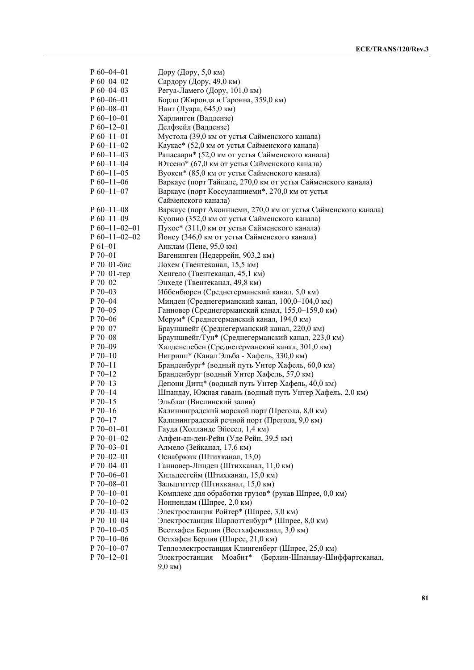| $P_060-04-01$    | Дору (Дору, 5,0 км)                                            |
|------------------|----------------------------------------------------------------|
| $P_060-04-02$    | Сардору (Дору, 49,0 км)                                        |
| $P_60 - 04 - 03$ | Регуа-Ламего (Дору, 101,0 км)                                  |
| $P 60 - 06 - 01$ | Бордо (Жиронда и Гаронна, 359,0 км)                            |
| $P 60 - 08 - 01$ | Нант (Луара, 645,0 км)                                         |
| $P_60-10-01$     | Харлинген (Ваддензе)                                           |
| $P_60-12-01$     | Делфзейл (Ваддензе)                                            |
| $P_60-11-01$     | Мустола (39,0 км от устья Сайменского канала)                  |
| $P_0$ 60-11-02   | Каукас* (52,0 км от устья Сайменского канала)                  |
| $P_060-11-03$    | Рапасаари* (52,0 км от устья Сайменского канала)               |
| $P_060-11-04$    | Ютсено* (67,0 км от устья Сайменского канала)                  |
| $P_060-11-05$    | Вуокси* (85,0 км от устья Сайменского канала)                  |
| $P_060-11-06$    | Варкаус (порт Тайпале, 270,0 км от устья Сайменского канала)   |
| $P_60-11-07$     | Варкаус (порт Коссуланниеми*, 270,0 км от устья                |
|                  | Сайменского канала)                                            |
| $P_60-11-08$     | Варкаус (порт Аконниеми, 270,0 км от устья Сайменского канала) |
| $P_60-11-09$     |                                                                |
| $P_60-11-02-01$  | Куопио (352,0 км от устья Сайменского канала)                  |
|                  | Пухос* (311,0 км от устья Сайменского канала)                  |
| $P_60-11-02-02$  | Йонсу (346,0 км от устья Сайменского канала)                   |
| $P 61 - 01$      | Анклам (Пене, 95,0 км)                                         |
| $P 70 - 01$      | Вагенинген (Недеррейн, 903,2 км)                               |
| Р 70-01-бис      | Лохем (Твентеканал, 15,5 км)                                   |
| Р 70-01-тер      | Хенгело (Твентеканал, 45,1 км)                                 |
| $P 70 - 02$      | Энхеде (Твентеканал, 49,8 км)                                  |
| $P70-03$         | Иббенбюрен (Среднегерманский канал, 5,0 км)                    |
| P 70-04          | Минден (Среднегерманский канал, 100,0-104,0 км)                |
| $P$ 70–05        | Ганновер (Среднегерманский канал, 155,0-159,0 км)              |
| $P70-06$         | Мерум* (Среднегерманский канал, 194,0 км)                      |
| P 70-07          | Брауншвейг (Среднегерманский канал, 220,0 км)                  |
| $P 70 - 08$      | Брауншвейг/Тун* (Среднегерманский канал, 223,0 км)             |
| $P 70 - 09$      | Халденслебен (Среднегерманский канал, 301,0 км)                |
| $P 70-10$        | Нигрипп* (Канал Эльба - Хафель, 330,0 км)                      |
| $P 70 - 11$      | Бранденбург* (водный путь Унтер Хафель, 60,0 км)               |
| $P 70-12$        | Бранденбург (водный Унтер Хафель, 57,0 км)                     |
| $P 70-13$        | Депони Дитц* (водный путь Унтер Хафель, 40,0 км)               |
| $P 70-14$        | Шпандау, Южная гавань (водный путь Унтер Хафель, 2,0 км)       |
| $P 70-15$        | Эльблаг (Вислинский залив)                                     |
| $P 70-16$        | Калининградский морской порт (Прегола, 8,0 км)                 |
| $P 70-17$        | Калининградский речной порт (Прегола, 9,0 км)                  |
| $P 70 - 01 - 01$ | Гауда (Холландс Эйссел, 1,4 км)                                |
| P 70-01-02       | Алфен-ан-ден-Рейн (Уде Рейн, 39,5 км)                          |
| $P 70 - 03 - 01$ | Алмело (Зейканал, 17,6 км)                                     |
| $P 70 - 02 - 01$ | Оснабрюкк (Штихканал, 13,0)                                    |
| P 70-04-01       | Ганновер-Линден (Штихканал, 11,0 км)                           |
| $P 70 - 06 - 01$ | Хильдесгейм (Штихканал, 15,0 км)                               |
| P 70-08-01       | Зальцгиттер (Штихканал, 15,0 км)                               |
| $P 70 - 10 - 01$ | Комплекс для обработки грузов* (рукав Шпрее, 0,0 км)           |
| $P 70 - 10 - 02$ | Ноннендам (Шпрее, 2,0 км)                                      |
| $P 70 - 10 - 03$ | Электростанция Ройтер* (Шпрее, 3,0 км)                         |
| $P 70 - 10 - 04$ | Электростанция Шарлоттенбург* (Шпрее, 8,0 км)                  |
| $P 70 - 10 - 05$ | Вестхафен Берлин (Вестхафенканал, 3,0 км)                      |
| $P 70 - 10 - 06$ | Остхафен Берлин (Шпрее, 21,0 км)                               |
| $P 70 - 10 - 07$ | Теплоэлектростанция Клингенберг (Шпрее, 25,0 км)               |
| $P 70 - 12 - 01$ | Электростанция<br>Моабит*<br>(Берлин-Шпандау-Шиффартсканал,    |
|                  | $9,0 \text{ km}$ )                                             |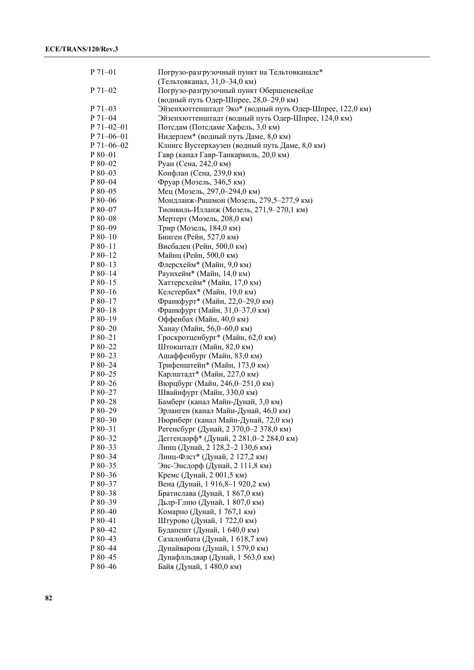| P 71-01          | Погрузо-разгрузочный пункт на Тельтовканале*<br>(Тельтовканал, 31,0-34,0 км) |
|------------------|------------------------------------------------------------------------------|
| P 71-02          | Погрузо-разгрузочный пункт Обершеневейде                                     |
|                  | (водный путь Одер-Шпрее, 28,0-29,0 км)                                       |
| $P 71-03$        | Эйзенхюттенштадт Эко* (водный путь Одер-Шпрее, 122,0 км)                     |
| P 71-04          | Эйзенхюттенштадт (водный путь Одер-Шпрее, 124,0 км)                          |
| $P 71 - 02 - 01$ | Потедам (Потедаме Хафель, 3,0 км)                                            |
| $P 71 - 06 - 01$ | Нидерлем* (водный путь Даме, 8,0 км)                                         |
| $P 71 - 06 - 02$ | Клнигс Вустерхаузен (водный путь Даме, 8,0 км)                               |
| $P80-01$         | Гавр (канал Гавр-Танкарвиль, 20,0 км)                                        |
| $P80-02$         | Руан (Сена, 242,0 км)                                                        |
| P 80-03          | Конфлан (Сена, 239,0 км)                                                     |
| P 80-04          | Фруар (Мозель, 346,5 км)                                                     |
| P 80-05          | Мец (Мозель, 297,0-294,0 км)                                                 |
| P 80-06          | Мондланж-Ришмон (Мозель, 279,5-277,9 км)                                     |
| P 80-07          | Тионвиль-Илланж (Мозель, 271,9-270,1 км)                                     |
| P 80-08          | Мертерт (Мозель, 208,0 км)                                                   |
| P 80-09          | Трир (Мозель, 184,0 км)                                                      |
| $P80-10$         | Бинген (Рейн, 527,0 км)                                                      |
| $P80-11$         | Висбаден (Рейн, 500,0 км)                                                    |
| $P80-12$         | Майнц (Рейн, 500,0 км)                                                       |
| $P80-13$         | Флерсхейм* (Майн, 9,0 км)                                                    |
| $P80-14$         | Раунхейм* (Майн, 14,0 км)                                                    |
| $P80-15$         | Хаттерсхейм* (Майн, 17,0 км)                                                 |
| $P80-16$         | Келстербах* (Майн, 19,0 км)                                                  |
| $P80-17$         | Франкфурт* (Майн, 22,0-29,0 км)                                              |
| $P80-18$         | Франкфурт (Майн, 31,0-37,0 км)                                               |
| $P80-19$         | Оффенбах (Майн, 40,0 км)                                                     |
| $P80-20$         | Ханау (Майн, 56,0-60,0 км)                                                   |
| $P80-21$         | Гроскротценбург* (Майн, 62,0 км)                                             |
| P 80-22          | Штокштадт (Майн, 82,0 км)                                                    |
| $P80-23$         | Ашаффенбург (Майн, 83,0 км)                                                  |
| $P80-24$         | Трифенштейн* (Майн, 173,0 км)                                                |
| $P80-25$         | Карлштадт* (Майн, 227,0 км)                                                  |
| $P80-26$         | Вюрцбург (Майн, 246,0-251,0 км)                                              |
| $P80-27$         | Швайнфурт (Майн, 330,0 км)                                                   |
| P 80-28          | Бамберг (канал Майн-Дунай, 3,0 км)                                           |
| P 80-29          | Эрланген (канал Майн-Дунай, 46,0 км)                                         |
| P 80-30          | Нюрнберг (канал Майн-Дунай, 72,0 км)                                         |
| P 80-31          | Регенсбург (Дунай, 2 370,0-2 378,0 км)                                       |
| P 80-32          | Деггендорф* (Дунай, 2 281,0-2 284,0 км)                                      |
| P 80-33          | Линц (Дунай, 2 128,2-2 130,6 км)                                             |
| P 80-34          | Линц-Флст* (Дунай, 2 127,2 км)                                               |
| P 80-35          | Энс-Энсдорф (Дунай, 2 111,8 км)                                              |
| P 80-36          | Кремс (Дунай, 2001,5 км)                                                     |
| P 80-37          | Вена (Дунай, 1916,8-1920,2 км)                                               |
| $P80 - 38$       | Братислава (Дунай, 1 867,0 км)                                               |
| $P80-39$         | Дьлр-Глню (Дунай, 1 807,0 км)                                                |
| $P80-40$         | Комарно (Дунай, 1767,1 км)                                                   |
| P 80-41          | Штурово (Дунай, 1 722,0 км)                                                  |
| P 80-42          | Будапешт (Дунай, 1 640,0 км)                                                 |
| P 80-43          | Сазалонбата (Дунай, 1 618,7 км)                                              |
| P 80-44          | Дунайварош (Дунай, 1 579,0 км)                                               |
| $P80-45$         | Дунафлльдвар (Дунай, 1563,0 км)                                              |
| P 80-46          | Байя (Дунай, 1 480,0 км)                                                     |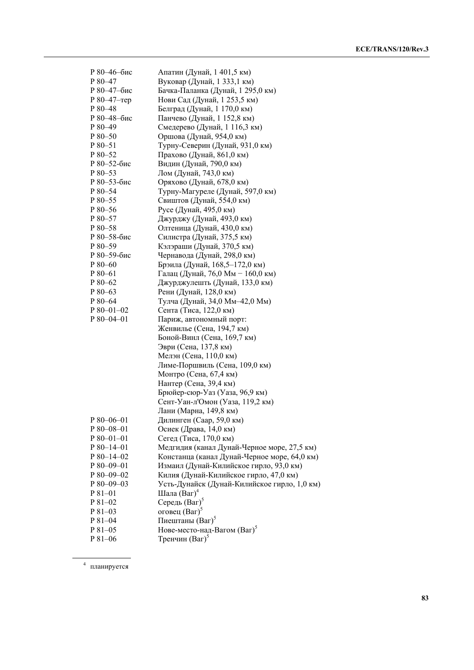| Р 80-46-бис     | Апатин (Дунай, 1401,5 км)                    |
|-----------------|----------------------------------------------|
| P 80-47         | Вуковар (Дунай, 1 333,1 км)                  |
| Р 80-47-бис     | Бачка-Паланка (Дунай, 1 295,0 км)            |
| $P80-47$ -rep   | Нови Сад (Дунай, 1 253,5 км)                 |
| P 80-48         | Белград (Дунай, 1 170,0 км)                  |
| Р 80-48-бис     | Панчево (Дунай, 1 152,8 км)                  |
| P 80-49         | Смедерево (Дунай, 1 116,3 км)                |
| P 80-50         | Оршова (Дунай, 954,0 км)                     |
| P 80-51         | Турну-Северин (Дунай, 931,0 км)              |
| P 80-52         | Прахово (Дунай, 861,0 км)                    |
| Р 80-52-бис     | Видин (Дунай, 790,0 км)                      |
| P 80-53         | Лом (Дунай, 743,0 км)                        |
| Р 80-53-бис     | Оряхово (Дунай, 678,0 км)                    |
|                 |                                              |
| $P80-54$        | Турну-Магуреле (Дунай, 597,0 км)             |
| P 80-55         | Свиштов (Дунай, 554,0 км)                    |
| $P80 - 56$      | Русе (Дунай, 495,0 км)                       |
| $P80-57$        | Джурджу (Дунай, 493,0 км)                    |
| P 80-58         | Олтеница (Дунай, 430,0 км)                   |
| Р 80-58-бис     | Силистра (Дунай, 375,5 км)                   |
| P 80-59         | Кэлэраши (Дунай, 370,5 км)                   |
| Р 80-59-бис     | Чернавода (Дунай, 298,0 км)                  |
| $P80-60$        | Брэила (Дунай, 168,5-172,0 км)               |
| P 80-61         | Галац (Дунай, 76,0 Мм - 160,0 км)            |
| P 80-62         | Джурджулешть (Дунай, 133,0 км)               |
| $P80-63$        | Рени (Дунай, 128,0 км)                       |
| $P80-64$        | Тулча (Дунай, 34,0 Мм-42,0 Мм)               |
| $P80-01-02$     | Сента (Тиса, 122,0 км)                       |
| P 80-04-01      | Париж, автономный порт:                      |
|                 | Женвилье (Сена, 194,7 км)                    |
|                 | Боной-Винл (Сена, 169,7 км)                  |
|                 | Эври (Сена, 137,8 км)                        |
|                 | Мелэн (Сена, 110,0 км)                       |
|                 | Лиме-Поршвиль (Сена, 109,0 км)               |
|                 | Монтро (Сена, 67,4 км)                       |
|                 | Нантер (Сена, 39,4 км)                       |
|                 | Брюйер-сюр-Уаз (Уаза, 96,9 км)               |
|                 | Сент-Уан-л'Омон (Уаза, 119,2 км)             |
|                 | Лани (Марна, 149,8 км)                       |
|                 |                                              |
| P 80–06–01      | Дилинген (Саар, 59,0 км)                     |
| $P80 - 08 - 01$ | Осиек (Драва, 14,0 км)                       |
| $P80-01-01$     | Сегед (Тиса, 170,0 км)                       |
| $P80-14-01$     | Медгидия (канал Дунай-Черное море, 27,5 км)  |
| P 80-14-02      | Констанца (канал Дунай-Черное море, 64,0 км) |
| $P80-09-01$     | Измаил (Дунай-Килийское гирло, 93,0 км)      |
| P 80-09-02      | Килия (Дунай-Килийское гирло, 47,0 км)       |
| P 80-09-03      | Усть-Дунайск (Дунай-Килийское гирло, 1,0 км) |
| $P81-01$        | Шала $(Bar)^4$                               |
| P 81-02         | Середь $(Bar)^5$                             |
| $P81-03$        | оговец $(Bar)$ <sup>3</sup>                  |
| P 81-04         | Пиештаны (Ваг) <sup>5</sup>                  |
| $P81-05$        | Нове-место-над-Вагом (Bar) <sup>5</sup>      |
| P 81-06         | Тренчин (Bar) <sup>5</sup>                   |

<sup>4</sup> планируется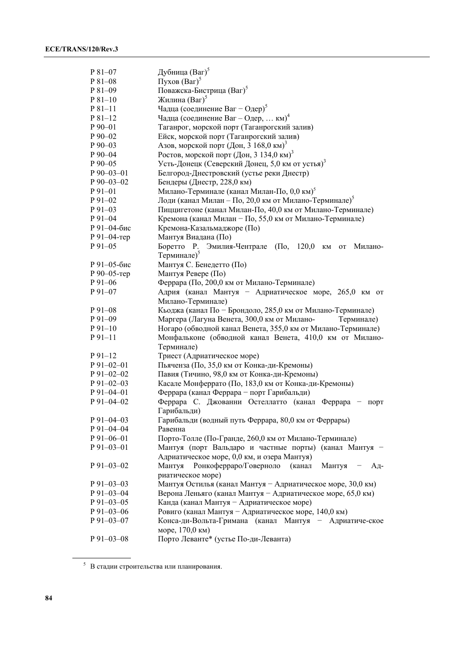| P 81-07          | Дубница (Ваг) <sup>5</sup>                                                                       |
|------------------|--------------------------------------------------------------------------------------------------|
| P 81-08          | Пухов $(Bar)^5$                                                                                  |
| P 81-09          | Поважска-Бистрица (Ваг) <sup>5</sup>                                                             |
| $P81-10$         | Жилина (Bar) <sup>5</sup>                                                                        |
| $P81-11$         | Чадца (соединение Ваг – Одер) <sup>5</sup>                                                       |
| $P81-12$         | Чадца (соединение Ваг – Одер,  км) <sup>4</sup>                                                  |
| $P_{90-01}$      | Таганрог, морской порт (Таганрогский залив)                                                      |
| P 90-02          | Ейск, морской порт (Таганрогский залив)                                                          |
| $P90-03$         | Азов, морской порт (Дон, 3 168,0 км) <sup>3</sup>                                                |
| $P_{90-04}$      | Ростов, морской порт (Дон, 3 134,0 км) <sup>3</sup>                                              |
| P 90-05          | Усть-Донецк (Северский Донец, 5,0 км от устья) <sup>3</sup>                                      |
| P 90-03-01       | Белгород-Днестровский (устье реки Днестр)                                                        |
| $P$ 90–03–02     | Бендеры (Днестр, 228,0 км)                                                                       |
| $P91-01$         | Милано-Терминале (канал Милан-По, 0,0 км) <sup>5</sup>                                           |
| $P91-02$         | Лоди (канал Милан - По, 20,0 км от Милано-Терминале) <sup>5</sup>                                |
| $P91-03$         | Пиццигетоне (канал Милан-По, 40,0 км от Милано-Терминале)                                        |
| P 91-04          | Кремона (канал Милан - По, 55,0 км от Милано-Терминале)                                          |
| Р 91-04-бис      | Кремона-Казальмаджоре (По)                                                                       |
| Р 91-04-тер      | Мантуя Виадана (По)                                                                              |
| $P91-05$         | $(\Pi_0, 120, 0$<br>Боретто Р. Эмилия-Чентрале<br>$\mathbf{K}\mathbf{M}$<br>Милано-<br><b>OT</b> |
|                  | Терминале) <sup>5</sup>                                                                          |
| Р 91-05-бис      | Мантуя С. Бенедетто (По)                                                                         |
| Р 90-05-тер      | Мантуя Ревере (По)                                                                               |
| $P91-06$         | Феррара (По, 200,0 км от Милано-Терминале)                                                       |
| $P91-07$         | Адрия (канал Мантуя - Адриатическое море, 265,0 км от                                            |
|                  | Милано-Терминале)                                                                                |
| $P_{91-08}$      | Кьоджа (канал По - Брондоло, 285,0 км от Милано-Терминале)                                       |
| P 91-09          | Маргера (Лагуна Венета, 300,0 км от Милано-<br>Терминале)                                        |
| $P91-10$         | Ногаро (обводной канал Венета, 355,0 км от Милано-Терминале)                                     |
| $P91-11$         | Монфальконе (обводной канал Венета, 410,0 км от Милано-                                          |
|                  | Терминале)                                                                                       |
| $P91-12$         | Триест (Адриатическое море)                                                                      |
| $P$ 91-02-01     | Пьяченза (По, 35,0 км от Конка-ди-Кремоны)                                                       |
| $P 91 - 02 - 02$ | Павия (Тичино, 98,0 км от Конка-ди-Кремоны)                                                      |
| $P$ 91-02-03     | Касале Монферрато (По, 183,0 км от Конка-ди-Кремоны)                                             |
| $P$ 91-04-01     | Феррара (канал Феррара - порт Гарибальди)                                                        |
| P 91-04-02       | Феррара С. Джованни Остеллатто (канал Феррара -<br>порт                                          |
|                  | Гарибальди)                                                                                      |
| $P$ 91-04-03     | Гарибальди (водный путь Феррара, 80,0 км от Феррары)                                             |
| P 91-04-04       | Равенна                                                                                          |
| $P$ 91-06-01     | Порто-Толле (По-Гранде, 260,0 км от Милано-Терминале)                                            |
| P 91-03-01       | Мантуя (порт Вальдаро и частные порты) (канал Мантуя -                                           |
|                  | Адриатическое море, 0,0 км, и озера Мантуя)                                                      |
| $P$ 91-03-02     | Мантуя<br>Ронкоферраро/Говерноло<br>(канал<br>Мантуя<br>Ад-                                      |
|                  | риатическое море)                                                                                |
| $P$ 91-03-03     | Мантуя Остилья (канал Мантуя - Адриатическое море, 30,0 км)                                      |
| $P$ 91-03-04     | Верона Леньяго (канал Мантуя - Адриатическое море, 65,0 км)                                      |
| $P$ 91-03-05     | Канда (канал Мантуя - Адриатическое море)                                                        |
| $P91-03-06$      | Ровиго (канал Мантуя - Адриатическое море, 140,0 км)                                             |
| P 91-03-07       | Конса-ди-Вольта-Гримана (канал Мантуя - Адриатиче-ское                                           |
|                  | море, 170,0 км)                                                                                  |
| $P$ 91-03-08     | Порто Леванте* (устье По-ди-Леванта)                                                             |

 $^{\rm 5}$ В стадии строительства или планирования.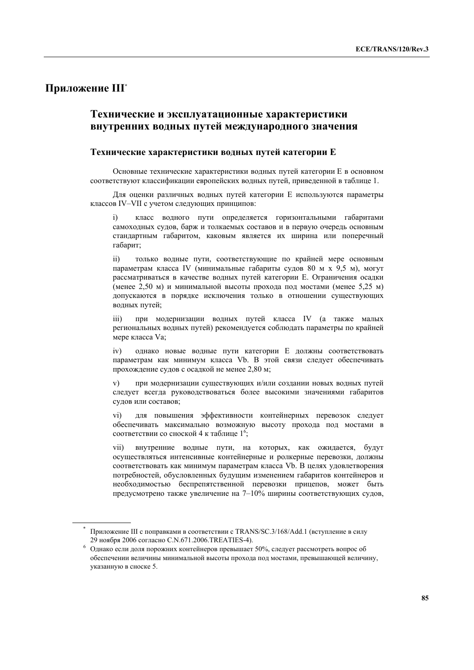### **Приложение III\***

 $\overline{a}$ 

## **Технические и эксплуатационные характеристики внутренних водных путей международного значения**

#### **Технические характеристики водных путей категории Е**

Основные технические характеристики водных путей категории Е в основном соответствуют классификации европейских водных путей, приведенной в таблице 1.

Для оценки различных водных путей категории Е используются параметры классов IV–VII с учетом следующих принципов:

i) класс водного пути определяется горизонтальными габаритами самоходных судов, барж и толкаемых составов и в первую очередь основным стандартным габаритом, каковым является их ширина или поперечный габарит;

ii) только водные пути, соответствующие по крайней мере основным параметрам класса IV (минимальные габариты судов 80 м х 9,5 м), могут рассматриваться в качестве водных путей категории Е. Ограничения осадки (менее 2,50 м) и минимальной высоты прохода под мостами (менее 5,25 м) допускаются в порядке исключения только в отношении существующих водных путей;

iii) при модернизации водных путей класса IV (а также малых региональных водных путей) рекомендуется соблюдать параметры по крайней мере класса Vа;

iv) однако новые водные пути категории Е должны соответствовать параметрам как минимум класса Vb. В этой связи следует обеспечивать прохождение судов с осадкой не менее 2,80 м;

v) при модернизации существующих и/или создании новых водных путей следует всегда руководствоваться более высокими значениями габаритов судов или составов;

vi) для повышения эффективности контейнерных перевозок следует обеспечивать максимально возможную высоту прохода под мостами в соответствии со сноской 4 к таблице 1<sup>6</sup>;

vii) внутренние водные пути, на которых, как ожидается, будут осуществляться интенсивные контейнерные и ролкерные перевозки, должны соответствовать как минимум параметрам класса Vb. В целях удовлетворения потребностей, обусловленных будущим изменением габаритов контейнеров и необходимостью беспрепятственной перевозки прицепов, может быть предусмотрено также увеличение на 7–10% ширины соответствующих судов,

<sup>\*</sup> Приложение III с поправками в соответствии с TRANS/SC.3/168/Add.1 (вступление в силу

<sup>29</sup>ноября 2006 согласно C.N.671.2006.TREATIES-4). 6 Однако если доля порожних контейнеров превышает 50%, следует рассмотреть вопрос об обеспечении величины минимальной высоты прохода под мостами, превышающей величину, указанную в сноске 5.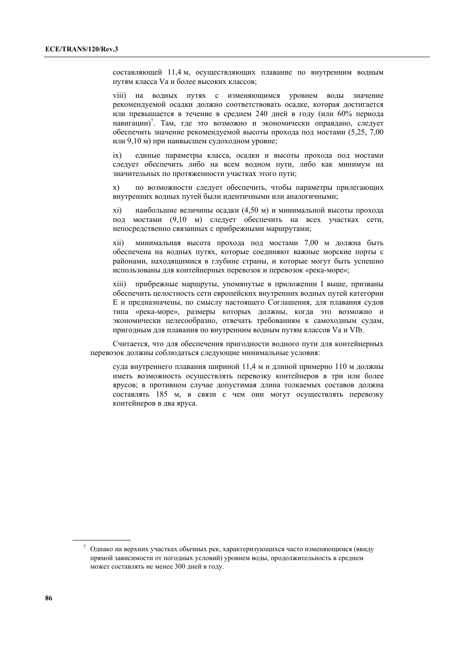составляющей 11,4 м, осуществляющих плавание по внутренним водным путям класса Vа и более высоких классов;

viii) на водных путях с изменяющимся уровнем воды значение рекомендуемой осадки должно соответствовать осадке, которая достигается или превышается в течение в среднем 240 дней в году (или 60% периода навигации) 7 . Там, где это возможно и экономически оправдано, следует обеспечить значение рекомендуемой высоты прохода под мостами (5,25, 7,00 или 9,10 м) при наивысшем судоходном уровне;

ix) единые параметры класса, осадки и высоты прохода под мостами следует обеспечить либо на всем водном пути, либо как минимум на значительных по протяженности участках этого пути;

x) по возможности следует обеспечить, чтобы параметры прилегающих внутренних водных путей были идентичными или аналогичными;

xi) наибольшие величины осадки (4,50 м) и минимальной высоты прохода под мостами (9,10 м) следует обеспечить на всех участках сети, непосредственно связанных с прибрежными маршрутами;

xii) минимальная высота прохода под мостами 7,00 м должна быть обеспечена на водных путях, которые соединяют важные морские порты с районами, находящимися в глубине страны, и которые могут быть успешно использованы для контейнерных перевозок и перевозок «река-море»;

xiii) прибрежные маршруты, упомянутые в приложении I выше, призваны обеспечить целостность сети европейских внутренних водных путей категории Е и предназначены, по смыслу настоящего Соглашения, для плавания судов типа «река-море», размеры которых должны, когда это возможно и экономически целесообразно, отвечать требованиям к самоходным судам, пригодным для плавания по внутренним водным путям классов Va и VIb.

Считается, что для обеспечения пригодности водного пути для контейнерных перевозок должны соблюдаться следующие минимальные условия:

суда внутреннего плавания шириной 11,4 м и длиной примерно 110 м должны иметь возможность осуществлять перевозку контейнеров в три или более ярусов; в противном случае допустимая длина толкаемых составов должна составлять 185 м, в связи с чем они могут осуществлять перевозку контейнеров в два яруса.

 $7$  Однако на верхних участках обычных рек, характеризующихся часто изменяющимся (ввиду прямой зависимости от погодных условий) уровнем воды, продолжительность в среднем может составлять не менее 300 дней в году.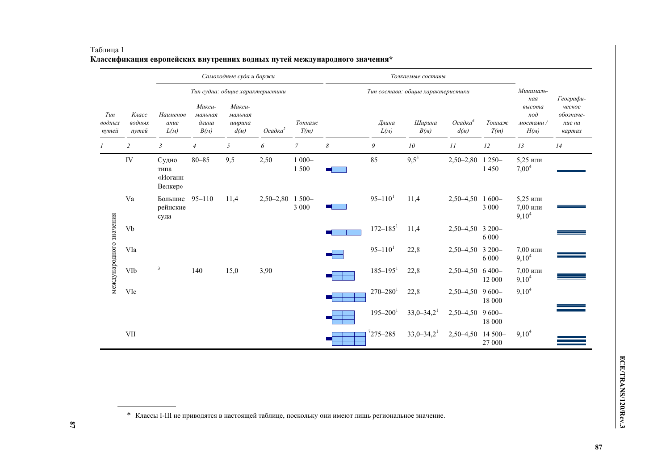|                         | Класс<br>водных<br>nymeŭ | Самоходные суда и баржи<br>Тип судна: общие характеристики |                                    |                                     |                          |                     | Толкаемые составы<br>Тип состава: общие характеристики |                           |                          |                             |                     | Минималь-                                 |                                                      |
|-------------------------|--------------------------|------------------------------------------------------------|------------------------------------|-------------------------------------|--------------------------|---------------------|--------------------------------------------------------|---------------------------|--------------------------|-----------------------------|---------------------|-------------------------------------------|------------------------------------------------------|
| Tun<br>водных<br>nymeŭ  |                          |                                                            |                                    |                                     |                          |                     |                                                        |                           |                          |                             |                     |                                           |                                                      |
|                         |                          | Наименов<br>ание<br>$L(\mathcal{M})$                       | Макси-<br>мальная<br>длина<br>B(M) | Макси-<br>мальная<br>иирина<br>d(M) | $Oca\partial \kappa a^2$ | Тоннаж<br>T(m)      |                                                        | Длина<br>$L(\mathcal{M})$ | Ширина<br>B(M)           | Осадка <sup>6</sup><br>d(M) | Тоннаж<br>T(m)      | ная<br>высота<br>nod<br>мостами /<br>H(M) | Географи-<br>ческое<br>обозначе-<br>ние на<br>картах |
|                         | $\overline{2}$           | $\mathfrak{Z}$                                             | $\overline{4}$                     | 5                                   | 6                        | $\overline{7}$      | 8                                                      | 9                         | 10                       | 11                          | 12                  | 13                                        | 14                                                   |
| международного значения | IV                       | Судно<br>типа<br>«Иоганн<br>Велкер»                        | $80 - 85$                          | 9,5                                 | 2,50                     | $1000 -$<br>1500    |                                                        | 85                        | $9,5^5$                  | $2,50 - 2,80$               | $1250-$<br>1450     | 5,25 или<br>$7,00^4$                      |                                                      |
|                         | Va                       | Большие<br>рейнские<br>суда                                | $95 - 110$                         | 11,4                                | $2,50-2,80$              | $1500 -$<br>3 0 0 0 |                                                        | $95 - 110$ <sup>1</sup>   | 11,4                     | $2,50-4,50$                 | $1600 -$<br>3 0 0 0 | 5,25 или<br>7,00 или<br>$9,10^4$          |                                                      |
|                         | Vb                       |                                                            |                                    |                                     |                          |                     |                                                        | $172 - 185$ <sup>1</sup>  | 11,4                     | 2,50-4,50 3 200-            | 6 0 0 0             |                                           |                                                      |
|                         | VIa                      |                                                            |                                    |                                     |                          |                     |                                                        | $95 - 110$ <sup>1</sup>   | 22,8                     | $2,50-4,50$                 | $3200 -$<br>6 0 0 0 | 7,00 или<br>$9,10^4$                      |                                                      |
|                         | VIb                      | $\overline{3}$                                             | 140                                | 15,0                                | 3,90                     |                     |                                                        | $185 - 195$ <sup>1</sup>  | 22,8                     | $2,50-4,50$ 6 400-          | 12 000              | 7,00 или<br>$9,10^4$                      |                                                      |
|                         | VIc                      |                                                            |                                    |                                     |                          |                     |                                                        | $270 - 280$ <sup>1</sup>  | 22,8                     | 2,50-4,50 9600-             | 18 000              | $9,10^4$                                  |                                                      |
|                         |                          |                                                            |                                    |                                     |                          |                     |                                                        | $195 - 200$ <sup>1</sup>  | $33,0-34,2$ <sup>1</sup> | $2,50-4,50$                 | $9600 -$<br>18 000  |                                           |                                                      |
|                         | <b>VII</b>               |                                                            |                                    |                                     |                          |                     |                                                        | $7275 - 285$              | $33,0-34,2$ <sup>1</sup> | $2,50-4,50$                 | 14 500-<br>27 000   | $9,10^4$                                  |                                                      |

### Таблица 1 **Классификация европейских внутренних водных путей международного значения\***

\* Классы I-III не приводятся <sup>в</sup> настоящей таблице, поскольку они имеют лишь региональное значение.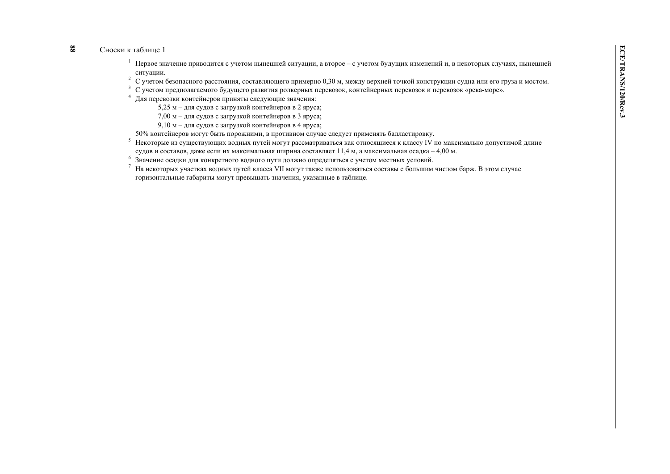### **88**

Сноски к таблице 1<br>
1 Первое значение приводится с учетом нынешней ситуации, а второе – с учетом будущих изменений и, в некоторых случаях, нынешней<br>
2 С учетом безопасного расстояния, составляющего примерно 0,30 м, между

- 
- 
- 9,10 <sup>м</sup> для судов <sup>с</sup> загрузкой контейнеров <sup>в</sup> 4 яруса;
- 50% контейнеров могут быть порожними, <sup>в</sup> противном случае следует применять балластировку.
- 5 Некоторые из существующих водных путей могут рассматриваться как относящиеся <sup>к</sup> классу IV по максимально допустимой длине судов <sup>и</sup> составов, даже если их максимальная ширина составляет 11,4 <sup>м</sup>, <sup>а</sup> максимальная осадка – 4,00 <sup>м</sup>.
- $6\overline{6}$ Значение осадки для конкретного водного пути должно определяться <sup>с</sup> учетом местных условий.
- 7 На некоторых участках водных путей класса VII могут также использоваться составы <sup>с</sup> большим числом барж. В этом случае горизонтальные габариты могут превышать значения, указанные <sup>в</sup> таблице.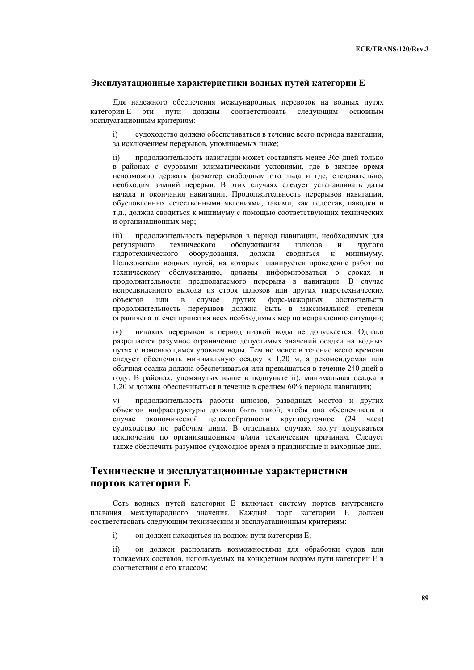#### **Эксплуатационные характеристики водных путей категории Е**

Для надежного обеспечения международных перевозок на водных путях категории Е эти пути должны соответствовать следующим основным эксплуатационным критериям:

i) судоходство должно обеспечиваться в течение всего периода навигации, за исключением перерывов, упоминаемых ниже;

ii) продолжительность навигации может составлять менее 365 дней только в районах с суровыми климатическими условиями, где в зимнее время невозможно держать фарватер свободным ото льда и где, следовательно, необходим зимний перерыв. В этих случаях следует устанавливать даты начала и окончания навигации. Продолжительность перерывов навигации, обусловленных естественными явлениями, такими, как ледостав, паводки и т.д., должна сводиться к минимуму с помощью соответствующих технических и организационных мер;

iii) продолжительность перерывов в период навигации, необходимых для регулярного технического обслуживания шлюзов и другого гидротехнического оборудования, должна сводиться к минимуму. Пользователи водных путей, на которых планируется проведение работ по техническому обслуживанию, должны информироваться о сроках и продолжительности предполагаемого перерыва в навигации. В случае непредвиденного выхода из строя шлюзов или других гидротехнических объектов или в случае других форс-мажорных обстоятельств продолжительность перерывов должна быть в максимальной степени ограничена за счет принятия всех необходимых мер по исправлению ситуации;

iv) никаких перерывов в период низкой воды не допускается. Однако разрешается разумное ограничение допустимых значений осадки на водных путях с изменяющимся уровнем воды. Тем не менее в течение всего времени следует обеспечить минимальную осадку в 1,20 м, а рекомендуемая или обычная осадка должна обеспечиваться или превышаться в течение 240 дней в году. В районах, упомянутых выше в подпункте ii), минимальная осадка в 1,20 м должна обеспечиваться в течение в среднем 60% периода навигации;

v) продолжительность работы шлюзов, разводных мостов и других объектов инфраструктуры должна быть такой, чтобы она обеспечивала в случае экономической целесообразности круглосуточное (24 часа) судоходство по рабочим дням. В отдельных случаях могут допускаться исключения по организационным и/или техническим причинам. Следует также обеспечить разумное судоходное время в праздничные и выходные дни.

## **Технические и эксплуатационные характеристики портов категории Е**

Сеть водных путей категории Е включает систему портов внутреннего плавания международного значения. Каждый порт категории Е должен соответствовать следующим техническим и эксплуатационным критериям:

i) он должен находиться на водном пути категории Е;

ii) он должен располагать возможностями для обработки судов или толкаемых составов, используемых на конкретном водном пути категории Е в соответствии с его классом;